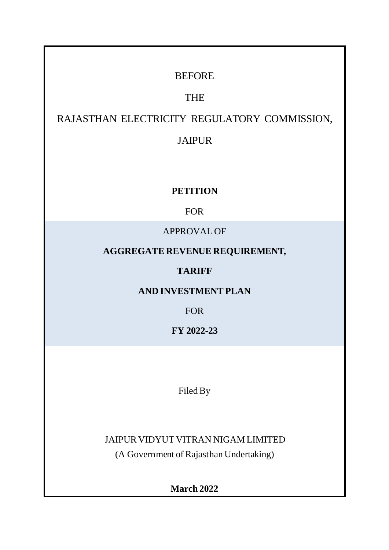# **BEFORE**

# THE

# RAJASTHAN ELECTRICITY REGULATORY COMMISSION,

# JAIPUR

# **PETITION**

# FOR

# APPROVAL OF

# **AGGREGATE REVENUE REQUIREMENT,**

# **TARIFF**

# **AND INVESTMENT PLAN**

FOR

**FY 2022-23**

Filed By

JAIPUR VIDYUT VITRAN NIGAM LIMITED

(A Government of Rajasthan Undertaking)

**March 2022**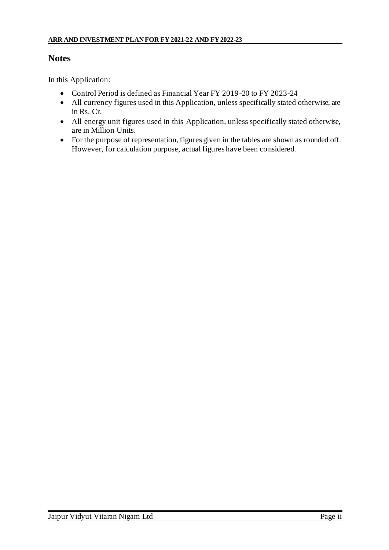# **Notes**

In this Application:

- Control Period is defined as Financial Year FY 2019-20 to FY 2023-24
- All currency figures used in this Application, unless specifically stated otherwise, are in Rs. Cr.
- All energy unit figures used in this Application, unless specifically stated otherwise, are in Million Units.
- For the purpose of representation, figures given in the tables are shown as rounded off. However, for calculation purpose, actual figures have been considered.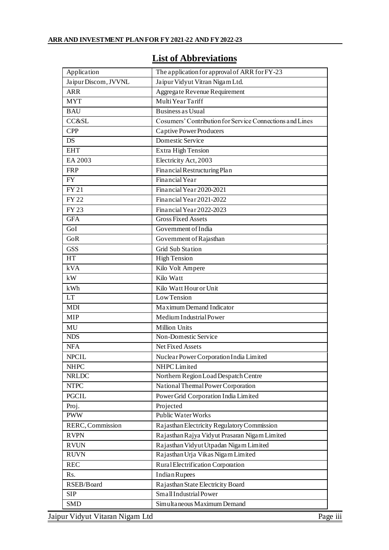|  |  |  | <b>List of Abbreviations</b> |  |
|--|--|--|------------------------------|--|
|  |  |  |                              |  |

| Application                     | The application for approval of ARR for FY-23            |
|---------------------------------|----------------------------------------------------------|
| Jaipur Discom, JVVNL            | Jaipur Vidyut Vitran Nigam Ltd.                          |
| <b>ARR</b>                      | Aggregate Revenue Requirement                            |
| <b>MYT</b>                      | Multi Year Tariff                                        |
| <b>BAU</b>                      | <b>Business as Usual</b>                                 |
| CC&SL                           | Cosumers' Contribution for Service Connections and Lines |
| <b>CPP</b>                      | <b>Captive Power Producers</b>                           |
| <b>DS</b>                       | Domestic Service                                         |
| <b>EHT</b>                      | Extra High Tension                                       |
| EA 2003                         | Electricity Act, 2003                                    |
| <b>FRP</b>                      | Financial Restructuring Plan                             |
| <b>FY</b>                       | Financial Year                                           |
| <b>FY21</b>                     | Financial Year 2020-2021                                 |
| <b>FY22</b>                     | Financial Year 2021-2022                                 |
| <b>FY23</b>                     | Financial Year 2022-2023                                 |
| <b>GFA</b>                      | <b>Gross Fixed Assets</b>                                |
| GoI                             | Government of India                                      |
| GoR                             | Government of Rajasthan                                  |
| <b>GSS</b>                      | <b>Grid Sub Station</b>                                  |
| <b>HT</b>                       | <b>High Tension</b>                                      |
| kVA                             | Kilo Volt Ampere                                         |
| kW                              | Kilo Watt                                                |
| kWh                             | Kilo Watt Hour or Unit                                   |
| <b>LT</b>                       | Low Tension                                              |
| <b>MDI</b>                      | Maximum Demand Indicator                                 |
| <b>MIP</b>                      | Medium Industrial Power                                  |
| MU                              | <b>Million Units</b>                                     |
| <b>NDS</b>                      | Non-Domestic Service                                     |
| <b>NFA</b>                      | Net Fixed Assets                                         |
| <b>NPCIL</b>                    | Nuclear Power Corporation India Limited                  |
| <b>NHPC</b>                     | NHPC Limited                                             |
| <b>NRLDC</b>                    | Northern Region Load Despatch Centre                     |
| <b>NTPC</b>                     | National Thermal Power Corporation                       |
| <b>PGCIL</b>                    | Power Grid Corporation India Limited                     |
| Proj.                           | Projected                                                |
| <b>PWW</b>                      | <b>Public Water Works</b>                                |
| RERC, Commission                | Rajasthan Electricity Regulatory Commission              |
| <b>RVPN</b>                     | Rajasthan Rajya Vidyut Prasaran Nigam Limited            |
| <b>RVUN</b>                     | Rajasthan Vidyut Utpadan Nigam Limited                   |
| <b>RUVN</b>                     | Rajasthan Urja Vikas Nigam Limited                       |
| <b>REC</b>                      | Rural Electrification Corporation                        |
| Rs.                             | <b>Indian Rupees</b>                                     |
| RSEB/Board                      | Rajasthan State Electricity Board                        |
| <b>SIP</b>                      | Small Industrial Power                                   |
| <b>SMD</b>                      | Simultaneous Maximum Demand                              |
| Jaipur Vidyut Vitaran Nigam Ltd |                                                          |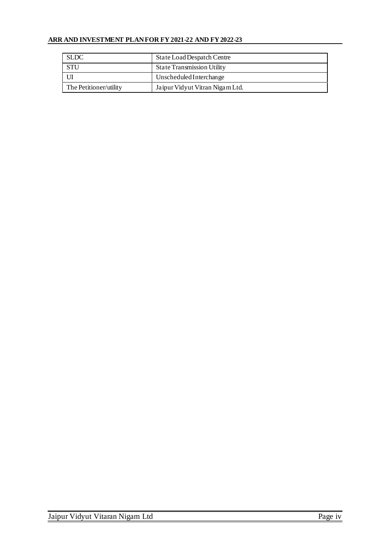| <b>SLDC</b>            | State Load Despatch Centre        |  |
|------------------------|-----------------------------------|--|
| <b>STU</b>             | <b>State Transmission Utility</b> |  |
|                        | Unscheduled Interchange           |  |
| The Petitioner/utility | Jaipur Vidyut Vitran Nigam Ltd.   |  |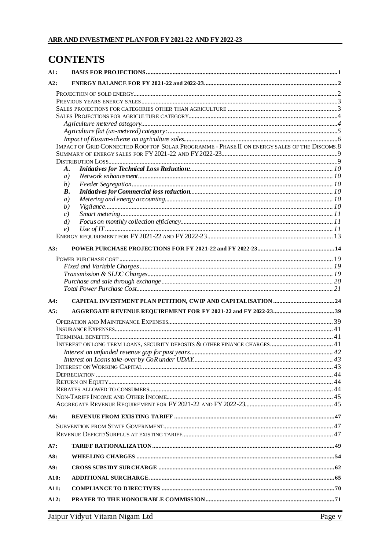# **CONTENTS**

| A1:  |                                                                                              |  |
|------|----------------------------------------------------------------------------------------------|--|
| A2:  |                                                                                              |  |
|      |                                                                                              |  |
|      |                                                                                              |  |
|      |                                                                                              |  |
|      |                                                                                              |  |
|      |                                                                                              |  |
|      |                                                                                              |  |
|      | IMPACT OF GRID CONNECTED ROOFTOP SOLAR PROGRAMME - PHASE II ON ENERGY SALES OF THE DISCOMS.8 |  |
|      |                                                                                              |  |
|      |                                                                                              |  |
|      | A.                                                                                           |  |
|      | a)                                                                                           |  |
|      | (b)                                                                                          |  |
|      | В.                                                                                           |  |
|      | a)<br>(b)                                                                                    |  |
|      | c)                                                                                           |  |
|      | $\left( d\right)$                                                                            |  |
|      | e)                                                                                           |  |
|      |                                                                                              |  |
|      |                                                                                              |  |
| A3:  |                                                                                              |  |
|      |                                                                                              |  |
|      |                                                                                              |  |
|      |                                                                                              |  |
|      |                                                                                              |  |
|      |                                                                                              |  |
| A4:  |                                                                                              |  |
| A5:  |                                                                                              |  |
|      |                                                                                              |  |
|      |                                                                                              |  |
|      |                                                                                              |  |
|      |                                                                                              |  |
|      |                                                                                              |  |
|      |                                                                                              |  |
|      |                                                                                              |  |
|      |                                                                                              |  |
|      |                                                                                              |  |
|      |                                                                                              |  |
|      |                                                                                              |  |
| A6:  |                                                                                              |  |
|      |                                                                                              |  |
|      |                                                                                              |  |
|      |                                                                                              |  |
| A7:  |                                                                                              |  |
| A8:  |                                                                                              |  |
| A9:  |                                                                                              |  |
| A10: |                                                                                              |  |
| A11: |                                                                                              |  |
| A12: |                                                                                              |  |
|      | $\frac{1}{2}$                                                                                |  |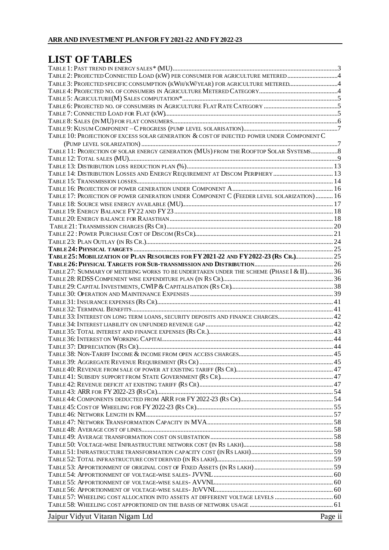# **LIST OF TABLES**

| TABLE 3: PROJECTED SPECIFIC CONSUMPTION (KWH/KW/YEAR) FOR AGRICULTURE METERED4             |         |
|--------------------------------------------------------------------------------------------|---------|
|                                                                                            |         |
|                                                                                            |         |
|                                                                                            |         |
|                                                                                            |         |
|                                                                                            |         |
| TABLE 10: PROJECTION OF EXCESS SOLAR GENERATION & COST OF INJECTED POWER UNDER COMPONENT C |         |
|                                                                                            |         |
| TABLE 11: PROJECTION OF SOLAR ENERGY GENERATION (MUS) FROM THE ROOFTOP SOLAR SYSTEMS       |         |
|                                                                                            |         |
|                                                                                            |         |
| TABLE 14: DISTRIBUTION LOSSES AND ENERGY REQUIREMENT AT DISCOM PERPHERY  13                |         |
|                                                                                            |         |
|                                                                                            |         |
| TABLE 17: PROJECTION OF POWER GENERATION UNDER COMPONENT C (FEEDER LEVEL SOLARIZATION)  16 |         |
|                                                                                            |         |
|                                                                                            |         |
|                                                                                            |         |
|                                                                                            |         |
|                                                                                            |         |
|                                                                                            |         |
| TABLE 25: MOBILIZATION OF PLAN RESOURCES FOR FY 2021-22 AND FY 2022-23 (RS CR.) 25         |         |
|                                                                                            |         |
| TABLE 27: SUMMARY OF METERING WORKS TO BE UNDERTAKEN UNDER THE SCHEME (PHASE I & II) 36    |         |
|                                                                                            |         |
|                                                                                            |         |
|                                                                                            |         |
|                                                                                            |         |
| TABLE 33: INTEREST ON LONG TERM LOANS, SECURITY DEPOSITS AND FINANCE CHARGES 42            |         |
|                                                                                            |         |
|                                                                                            |         |
|                                                                                            |         |
|                                                                                            |         |
|                                                                                            |         |
|                                                                                            |         |
|                                                                                            |         |
|                                                                                            |         |
|                                                                                            |         |
|                                                                                            |         |
|                                                                                            |         |
|                                                                                            |         |
|                                                                                            |         |
|                                                                                            |         |
|                                                                                            |         |
|                                                                                            |         |
|                                                                                            |         |
|                                                                                            |         |
|                                                                                            |         |
|                                                                                            |         |
|                                                                                            |         |
| TABLE 57: WHEELING COST ALLOCATION INTO ASSETS AT DIFFERENT VOLTAGE LEVELS  60             |         |
|                                                                                            |         |
|                                                                                            |         |
| Jaipur Vidyut Vitaran Nigam Ltd                                                            | Page ii |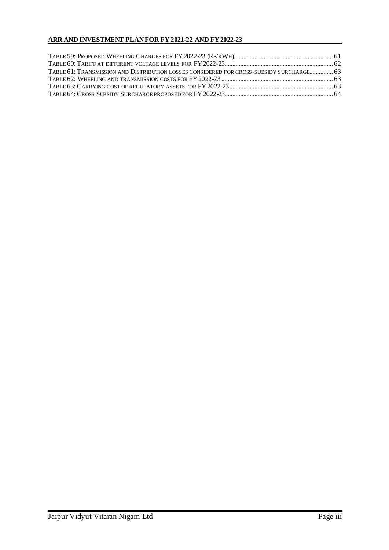| TABLE 61: TRANSMISSION AND DISTRIBUTION LOSSES CONSIDERED FOR CROSS-SUBSIDY SURCHARGE 63 |  |
|------------------------------------------------------------------------------------------|--|
|                                                                                          |  |
|                                                                                          |  |
|                                                                                          |  |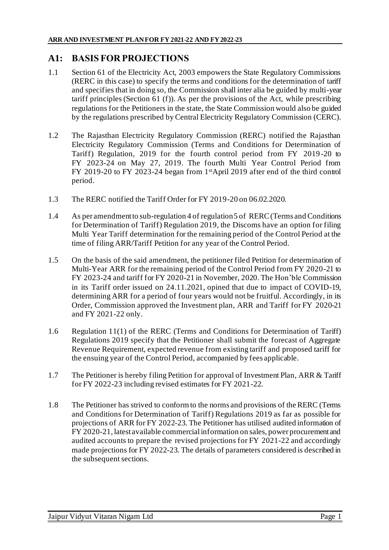# **A1: BASIS FOR PROJECTIONS**

- 1.1 Section 61 of the Electricity Act, 2003 empowers the State Regulatory Commissions (RERC in this case) to specify the terms and conditions for the determination of tariff and specifies that in doing so, the Commission shall inter alia be guided by multi-year tariff principles (Section 61 (f)). As per the provisions of the Act, while prescribing regulations for the Petitioners in the state, the State Commission would also be guided by the regulations prescribed by Central Electricity Regulatory Commission (CERC).
- 1.2 The Rajasthan Electricity Regulatory Commission (RERC) notified the Rajasthan Electricity Regulatory Commission (Terms and Conditions for Determination of Tariff) Regulation, 2019 for the fourth control period from FY 2019-20 to FY 2023-24 on May 27, 2019. The fourth Multi Year Control Period from FY 2019-20 to FY 2023-24 began from 1stApril 2019 after end of the third control period.
- 1.3 The RERC notified the Tariff Order for FY 2019-20 on 06.02.2020.
- 1.4 As per amendment to sub-regulation 4 of regulation 5 of RERC (Terms and Conditions for Determination of Tariff) Regulation 2019, the Discoms have an option for filing Multi Year Tariff determination for the remaining period of the Control Period at the time of filing ARR/Tariff Petition for any year of the Control Period.
- 1.5 On the basis of the said amendment, the petitioner filed Petition for determination of Multi-Year ARR for the remaining period of the Control Period from FY 2020-21 to FY 2023-24 and tariff for FY 2020-21 in November, 2020. The Hon'ble Commission in its Tariff order issued on 24.11.2021, opined that due to impact of COVID-19, determining ARR for a period of four years would not be fruitful. Accordingly, in its Order, Commission approved the Investment plan, ARR and Tariff for FY 2020-21 and FY 2021-22 only.
- 1.6 Regulation 11(1) of the RERC (Terms and Conditions for Determination of Tariff) Regulations 2019 specify that the Petitioner shall submit the forecast of Aggregate Revenue Requirement, expected revenue from existing tariff and proposed tariff for the ensuing year of the Control Period, accompanied by fees applicable.
- 1.7 The Petitioner is hereby filing Petition for approval of Investment Plan, ARR & Tariff for FY 2022-23 including revised estimates for FY 2021-22.
- 1.8 The Petitioner has strived to conform to the norms and provisions of the RERC (Terms and Conditions for Determination of Tariff) Regulations 2019 as far as possible for projections of ARR for FY 2022-23. The Petitioner has utilised audited information of FY 2020-21, latest available commercial information on sales, power procurement and audited accounts to prepare the revised projections for FY 2021-22 and accordingly made projections for FY 2022-23. The details of parameters considered is described in the subsequent sections.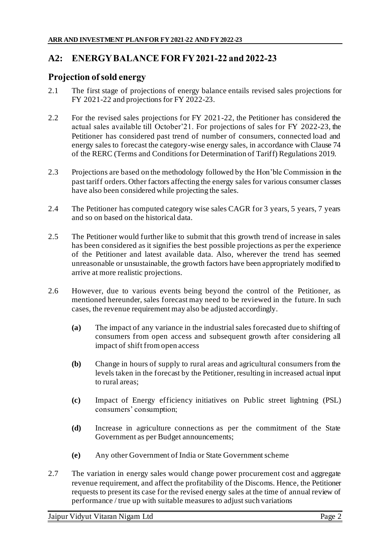# **A2: ENERGY BALANCE FOR FY 2021-22 and 2022-23**

### **Projection of sold energy**

- 2.1 The first stage of projections of energy balance entails revised sales projections for FY 2021-22 and projections for FY 2022-23.
- 2.2 For the revised sales projections for FY 2021-22, the Petitioner has considered the actual sales available till October'21. For projections of sales for FY 2022-23, the Petitioner has considered past trend of number of consumers, connected load and energy sales to forecast the category-wise energy sales, in accordance with Clause 74 of the RERC (Terms and Conditions for Determination of Tariff) Regulations 2019.
- 2.3 Projections are based on the methodology followed by the Hon'ble Commission in the past tariff orders. Other factors affecting the energy sales for various consumer classes have also been considered while projecting the sales.
- 2.4 The Petitioner has computed category wise sales CAGR for 3 years, 5 years, 7 years and so on based on the historical data.
- 2.5 The Petitioner would further like to submit that this growth trend of increase in sales has been considered as it signifies the best possible projections as per the experience of the Petitioner and latest available data. Also, wherever the trend has seemed unreasonable or unsustainable, the growth factors have been appropriately modified to arrive at more realistic projections.
- 2.6 However, due to various events being beyond the control of the Petitioner, as mentioned hereunder, sales forecast may need to be reviewed in the future. In such cases, the revenue requirement may also be adjusted accordingly.
	- **(a)** The impact of any variance in the industrial sales forecasted due to shifting of consumers from open access and subsequent growth after considering all impact of shift from open access
	- **(b)** Change in hours of supply to rural areas and agricultural consumers from the levels taken in the forecast by the Petitioner, resulting in increased actual input to rural areas;
	- **(c)** Impact of Energy efficiency initiatives on Public street lightning (PSL) consumers' consumption;
	- **(d)** Increase in agriculture connections as per the commitment of the State Government as per Budget announcements;
	- **(e)** Any other Government of India or State Government scheme
- 2.7 The variation in energy sales would change power procurement cost and aggregate revenue requirement, and affect the profitability of the Discoms. Hence, the Petitioner requests to present its case for the revised energy sales at the time of annual review of performance / true up with suitable measures to adjust such variations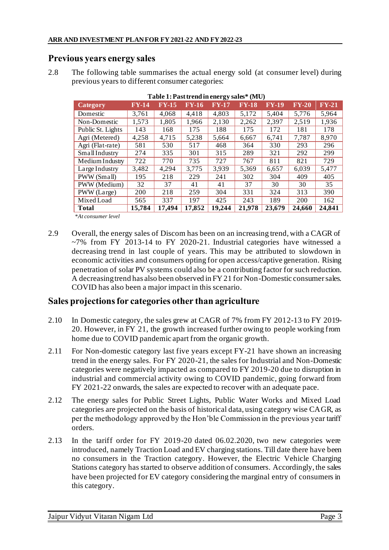### **Previous years energy sales**

2.8 The following table summarises the actual energy sold (at consumer level) during previous years to different consumer categories:

| Category                                  | <b>FY-14</b> | <b>FY-15</b> | <b>FY-16</b> | FY-17  | FY-18  | $FY-19$ | $FY-20$ | $FY-21$ |
|-------------------------------------------|--------------|--------------|--------------|--------|--------|---------|---------|---------|
| Domestic                                  | 3,761        | 4,068        | 4,418        | 4,803  | 5,172  | 5,404   | 5,776   | 5,964   |
| Non-Domestic                              | 1,573        | 1,805        | 1,966        | 2,130  | 2,262  | 2,397   | 2,519   | 1,936   |
| Public St. Lights                         | 143          | 168          | 175          | 188    | 175    | 172     | 181     | 178     |
| Agri (Metered)                            | 4,258        | 4,715        | 5,238        | 5,664  | 6,667  | 6,741   | 7,787   | 8,970   |
| Agri (Flat-rate)                          | 581          | 530          | 517          | 468    | 364    | 330     | 293     | 296     |
| SmallIndustry                             | 274          | 335          | 301          | 315    | 289    | 321     | 292     | 299     |
| Medium Industry                           | 722          | 770          | 735          | 727    | 767    | 811     | 821     | 729     |
| Large Industry                            | 3,482        | 4,294        | 3,775        | 3,939  | 5,369  | 6,657   | 6.039   | 5,477   |
| PWW (Small)                               | 195          | 218          | 229          | 241    | 302    | 304     | 409     | 405     |
| PWW (Medium)                              | 32           | 37           | 41           | 41     | 37     | 30      | 30      | 35      |
| PWW (Large)                               | 200          | 218          | 259          | 304    | 331    | 324     | 313     | 390     |
| Mixed Load                                | 565          | 337          | 197          | 425    | 243    | 189     | 200     | 162     |
| <b>Total</b><br>$\mathbf{r}$ $\mathbf{r}$ | 15,784       | 17.494       | 17,852       | 19,244 | 21,978 | 23,679  | 24,660  | 24,841  |

**Table 1: Past trend in energy sales\* (MU)** 

*\*At consumer level*

2.9 Overall, the energy sales of Discom has been on an increasing trend, with a CAGR of  $~1$ % from FY 2013-14 to FY 2020-21. Industrial categories have witnessed a decreasing trend in last couple of years. This may be attributed to slowdown in economic activities and consumers opting for open access/captive generation. Rising penetration of solar PV systems could also be a contributing factor for such reduction. A decreasing trend has also been observed in FY 21 for Non-Domestic consumer sales. COVID has also been a major impact in this scenario.

## **Sales projections for categories other than agriculture**

- 2.10 In Domestic category, the sales grew at CAGR of 7% from FY 2012-13 to FY 2019- 20. However, in FY 21, the growth increased further owing to people working from home due to COVID pandemic apart from the organic growth.
- 2.11 For Non-domestic category last five years except FY-21 have shown an increasing trend in the energy sales. For FY 2020-21, the sales for Industrial and Non-Domestic categories were negatively impacted as compared to FY 2019-20 due to disruption in industrial and commercial activity owing to COVID pandemic, going forward from FY 2021-22 onwards, the sales are expected to recover with an adequate pace.
- 2.12 The energy sales for Public Street Lights, Public Water Works and Mixed Load categories are projected on the basis of historical data, using category wise CAGR, as per the methodology approved by the Hon'ble Commission in the previous year tariff orders.
- 2.13 In the tariff order for FY 2019-20 dated 06.02.2020, two new categories were introduced, namely Traction Load and EV charging stations. Till date there have been no consumers in the Traction category. However, the Electric Vehicle Charging Stations category has started to observe addition of consumers. Accordingly, the sales have been projected for EV category considering the marginal entry of consumers in this category.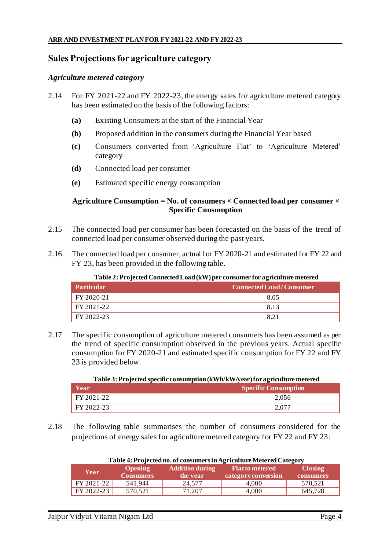### **Sales Projections for agriculture category**

#### *Agriculture metered category*

- 2.14 For FY 2021-22 and FY 2022-23, the energy sales for agriculture metered category has been estimated on the basis of the following factors:
	- **(a)** Existing Consumers at the start of the Financial Year
	- **(b)** Proposed addition in the consumers during the Financial Year based
	- **(c)** Consumers converted from 'Agriculture Flat' to 'Agriculture Metered' category
	- **(d)** Connected load per consumer
	- **(e)** Estimated specific energy consumption

#### **Agriculture Consumption = No. of consumers × Connected load per consumer × Specific Consumption**

- 2.15 The connected load per consumer has been forecasted on the basis of the trend of connected load per consumer observed during the past years.
- 2.16 The connected load per consumer, actual for FY 2020-21 and estimated for FY 22 and FY 23, has been provided in the following table.

| Tubic 21110 jected connected Doug (K++) per consumer for agriculture inclered |                                |  |  |  |
|-------------------------------------------------------------------------------|--------------------------------|--|--|--|
| <b>Particular</b>                                                             | <b>Connected Load/Consumer</b> |  |  |  |
| FY 2020-21                                                                    | 8.05                           |  |  |  |
| FY 2021-22                                                                    | 813                            |  |  |  |
| FY 2022-23                                                                    | 8.21                           |  |  |  |

#### **Table 2: Projected Connected Load (kW) per consumer for agriculture metered**

2.17 The specific consumption of agriculture metered consumers has been assumed as per the trend of specific consumption observed in the previous years. Actual specific consumption for FY 2020-21 and estimated specific consumption for FY 22 and FY 23 is provided below.

**Table 3: Projected specific consumption (kWh/kW/year) for agriculture metered**

| Year'      | <b>Specific Consumption</b> |
|------------|-----------------------------|
| FY 2021-22 | 2,056                       |
| FY 2022-23 |                             |

2.18 The following table summarises the number of consumers considered for the projections of energy sales for agriculture metered category for FY 22 and FY 23:

| Table 4: Projected no. of consumers in Agriculture Metered Category |                                    |                                    |                                               |                             |  |  |  |
|---------------------------------------------------------------------|------------------------------------|------------------------------------|-----------------------------------------------|-----------------------------|--|--|--|
| Year                                                                | <b>Opening</b><br><b>Consumers</b> | <b>Addition during</b><br>the year | <b>Flat to metered</b><br>category conversion | <b>Closing</b><br>consumers |  |  |  |
| FY 2021-22                                                          | 541.944                            | 24,577                             | 4.000                                         | 570,521                     |  |  |  |
| FY 2022-23                                                          | 570.521                            | 71,207                             | 4.000                                         | 645.728                     |  |  |  |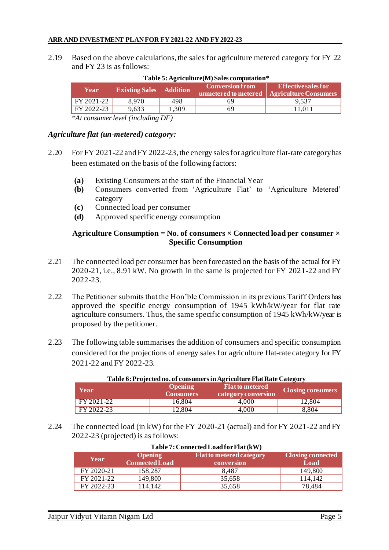2.19 Based on the above calculations, the sales for agriculture metered category for FY 22 and FY 23 is as follows:

| Year       | <b>Existing Sales</b> Addition      |       | $\sim$ Conversion from $\sim$ | Effectivesales for<br>unmetered to metered   Agriculture Consumers |
|------------|-------------------------------------|-------|-------------------------------|--------------------------------------------------------------------|
| FY 2021-22 | 8.970                               | 498.  | 69                            | 9.537                                                              |
| FY 2022-23 | 9.633                               | 1.309 | 69                            | 11.011                                                             |
|            | $*4$ congumentand (including $DF$ ) |       |                               |                                                                    |

#### **Table 5: Agriculture(M) Sales computation\***

*\*At consumer level (including DF)*

#### *Agriculture flat (un-metered) category:*

- 2.20 For FY 2021-22 and FY 2022-23, the energy sales for agriculture flat-rate category has been estimated on the basis of the following factors:
	- **(a)** Existing Consumers at the start of the Financial Year
	- **(b)** Consumers converted from 'Agriculture Flat' to 'Agriculture Metered' category
	- **(c)** Connected load per consumer
	- **(d)** Approved specific energy consumption

#### **Agriculture Consumption = No. of consumers × Connected load per consumer × Specific Consumption**

- 2.21 The connected load per consumer has been forecasted on the basis of the actual for FY 2020-21, i.e., 8.91 kW. No growth in the same is projected for FY 2021-22 and FY 2022-23.
- 2.22 The Petitioner submits that the Hon'ble Commission in its previous Tariff Orders has approved the specific energy consumption of 1945 kWh/kW/year for flat rate agriculture consumers. Thus, the same specific consumption of 1945 kWh/kW/year is proposed by the petitioner.
- 2.23 The following table summarises the addition of consumers and specific consumption considered for the projections of energy sales for agriculture flat-rate category for FY 2021-22 and FY 2022-23.

| Year       | <b>Opening</b><br><b>Consumers</b> | <b>1 able 6: Projected no. 01 consumers in Agriculture Flat Rate Category</b><br><b>Flat to metered</b><br>category conversion | <b>Closing consumers</b> |
|------------|------------------------------------|--------------------------------------------------------------------------------------------------------------------------------|--------------------------|
| FY 2021-22 | 16.804                             | 4.000                                                                                                                          | 12.804                   |
| FY 2022-23 | 12.804                             | 4.000                                                                                                                          | 8.804                    |

# **Table 6: Projected no. of consumers in Agriculture Flat Rate Category**

2.24 The connected load (in kW) for the FY 2020-21 (actual) and for FY 2021-22 and FY 2022-23 (projected) is as follows:

| Year       | <b>Table /: Connected Load for Flat (KW)</b><br><b>Flat to metered category</b><br><b>Closing connected</b><br><b>Opening</b><br><b>Connected Load</b><br>Load<br>conversion |        |         |  |  |  |  |
|------------|------------------------------------------------------------------------------------------------------------------------------------------------------------------------------|--------|---------|--|--|--|--|
| FY 2020-21 | 158,287                                                                                                                                                                      | 8.487  | 149,800 |  |  |  |  |
| FY 2021-22 | 149.800                                                                                                                                                                      | 35,658 | 114.142 |  |  |  |  |
| FY 2022-23 | 14,142                                                                                                                                                                       | 35,658 | 78,484  |  |  |  |  |

# **Table 7: Connected Load for Flat (kW)**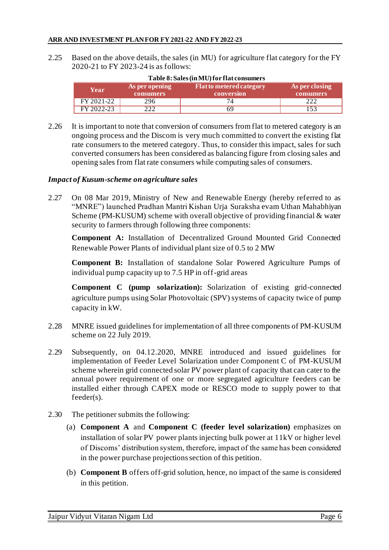2.25 Based on the above details, the sales (in MU) for agriculture flat category for the FY 2020-21 to FY 2023-24 is as follows:

| As per opening<br>Year<br>consumers |     | <b>Flat to metered category</b><br>conversion | As per closing<br>consumers |  |
|-------------------------------------|-----|-----------------------------------------------|-----------------------------|--|
| FY 2021-22                          | 296 |                                               |                             |  |
| FY 2022-23                          | ົາ  |                                               |                             |  |

#### **Table 8: Sales (in MU) for flat consumers**

2.26 It is important to note that conversion of consumers from flat to metered category is an ongoing process and the Discom is very much committed to convert the existing flat rate consumers to the metered category. Thus, to consider this impact, sales for such converted consumers has been considered as balancing figure from closing sales and opening sales from flat rate consumers while computing sales of consumers.

#### *Impact of Kusum-scheme on agriculture sales*

2.27 On 08 Mar 2019, Ministry of New and Renewable Energy (hereby referred to as "MNRE") launched Pradhan Mantri Kishan Urja Suraksha evam Uthan Mahabhiyan Scheme (PM-KUSUM) scheme with overall objective of providing financial & water security to farmers through following three components:

**Component A:** Installation of Decentralized Ground Mounted Grid Connected Renewable Power Plants of individual plant size of 0.5 to 2 MW

**Component B:** Installation of standalone Solar Powered Agriculture Pumps of individual pump capacity up to 7.5 HP in off-grid areas

**Component C (pump solarization):** Solarization of existing grid-connected agriculture pumps using Solar Photovoltaic (SPV) systems of capacity twice of pump capacity in kW.

- 2.28 MNRE issued guidelines for implementation of all three components of PM-KUSUM scheme on 22 July 2019.
- 2.29 Subsequently, on 04.12.2020, MNRE introduced and issued guidelines for implementation of Feeder Level Solarization under Component C of PM-KUSUM scheme wherein grid connected solar PV power plant of capacity that can cater to the annual power requirement of one or more segregated agriculture feeders can be installed either through CAPEX mode or RESCO mode to supply power to that feeder(s).
- 2.30 The petitioner submits the following:
	- (a) **Component A** and **Component C (feeder level solarization)** emphasizes on installation of solar PV power plants injecting bulk power at 11kV or higher level of Discoms' distribution system, therefore, impact of the same has been considered in the power purchase projections section of this petition.
	- (b) **Component B** offers off-grid solution, hence, no impact of the same is considered in this petition.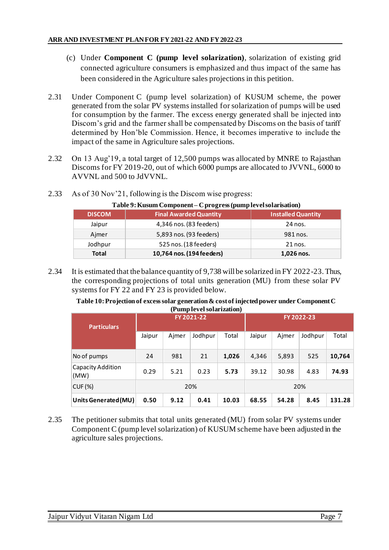- (c) Under **Component C (pump level solarization)**, solarization of existing grid connected agriculture consumers is emphasized and thus impact of the same has been considered in the Agriculture sales projections in this petition.
- 2.31 Under Component C (pump level solarization) of KUSUM scheme, the power generated from the solar PV systems installed for solarization of pumps will be used for consumption by the farmer. The excess energy generated shall be injected into Discom's grid and the farmer shall be compensated by Discoms on the basis of tariff determined by Hon'ble Commission. Hence, it becomes imperative to include the impact of the same in Agriculture sales projections.
- 2.32 On 13 Aug'19, a total target of 12,500 pumps was allocated by MNRE to Rajasthan Discoms for FY 2019-20, out of which 6000 pumps are allocated to JVVNL, 6000 to AVVNL and 500 to JdVVNL.

| Table 9: Kusum Component – C progress (pump level solarisation) |                               |                           |  |  |  |
|-----------------------------------------------------------------|-------------------------------|---------------------------|--|--|--|
| <b>DISCOM</b>                                                   | <b>Final Awarded Quantity</b> | <b>Installed Quantity</b> |  |  |  |
| Jaipur                                                          | 4,346 nos. (83 feeders)       | 24 nos.                   |  |  |  |
| Ajmer                                                           | 5,893 nos. (93 feeders)       | 981 nos.                  |  |  |  |
| Jodhpur                                                         | 525 nos. (18 feeders)         | 21 nos.                   |  |  |  |
| <b>Total</b>                                                    | 10,764 nos. (194 feeders)     | 1,026 nos.                |  |  |  |

2.33 As of 30 Nov'21, following is the Discom wise progress:

2.34 It is estimated that the balance quantity of 9,738 will be solarized in FY 2022-23. Thus, the corresponding projections of total units generation (MU) from these solar PV systems for FY 22 and FY 23 is provided below.

| Table 10: Projection of excess solar generation & cost of injected power under Component C |  |
|--------------------------------------------------------------------------------------------|--|
| (Pump level solarization)                                                                  |  |

|                           | $($ = $\frac{1}{2}$ = $\frac{1}{2}$ = $\frac{1}{2}$ + $\frac{1}{2}$ = $\frac{1}{2}$ = $\frac{1}{2}$ = $\frac{1}{2}$ = $\frac{1}{2}$ = $\frac{1}{2}$ = $\frac{1}{2}$ |       |         |       |            |       |         |        |
|---------------------------|---------------------------------------------------------------------------------------------------------------------------------------------------------------------|-------|---------|-------|------------|-------|---------|--------|
| <b>Particulars</b>        | FY 2021-22                                                                                                                                                          |       |         |       | FY 2022-23 |       |         |        |
|                           | Jaipur                                                                                                                                                              | Aimer | Jodhpur | Total | Jaipur     | Ajmer | Jodhpur | Total  |
| No of pumps               | 24                                                                                                                                                                  | 981   | 21      | 1,026 | 4,346      | 5,893 | 525     | 10,764 |
| Capacity Addition<br>(MW) | 0.29                                                                                                                                                                | 5.21  | 0.23    | 5.73  | 39.12      | 30.98 | 4.83    | 74.93  |
| $CUF \, (\%)$             |                                                                                                                                                                     |       | 20%     |       |            |       | 20%     |        |
| Units Generated (MU)      | 0.50                                                                                                                                                                | 9.12  | 0.41    | 10.03 | 68.55      | 54.28 | 8.45    | 131.28 |

2.35 The petitioner submits that total units generated (MU) from solar PV systems under Component C (pump level solarization) of KUSUM scheme have been adjusted in the agriculture sales projections.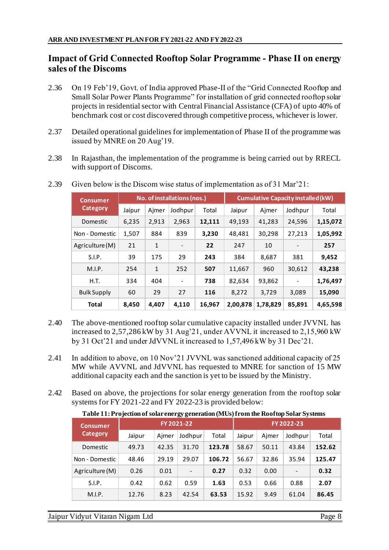# **Impact of Grid Connected Rooftop Solar Programme - Phase II on energy sales of the Discoms**

- 2.36 On 19 Feb'19, Govt. of India approved Phase-II of the "Grid Connected Rooftop and Small Solar Power Plants Programme" for installation of grid connected rooftop solar projects in residential sector with Central Financial Assistance (CFA) of upto 40% of benchmark cost or cost discovered through competitive process, whichever is lower.
- 2.37 Detailed operational guidelines for implementation of Phase II of the programme was issued by MNRE on 20 Aug'19.
- 2.38 In Rajasthan, the implementation of the programme is being carried out by RRECL with support of Discoms.

| <b>Consumer</b>    |        | No. of installations (nos.) |                              |        | <b>Cumulative Capacity installed (kW)</b> |          |         |          |
|--------------------|--------|-----------------------------|------------------------------|--------|-------------------------------------------|----------|---------|----------|
| Category           | Jaipur | Ajmer                       | Jodhpur                      | Total  | Jaipur                                    | Ajmer    | Jodhpur | Total    |
| Domestic           | 6,235  | 2,913                       | 2,963                        | 12,111 | 49,193                                    | 41,283   | 24,596  | 1,15,072 |
| Non - Domestic     | 1,507  | 884                         | 839                          | 3,230  | 48,481                                    | 30,298   | 27,213  | 1,05,992 |
| Agriculture (M)    | 21     | $\mathbf{1}$                | -                            | 22     | 247                                       | 10       |         | 257      |
| S.I.P.             | 39     | 175                         | 29                           | 243    | 384                                       | 8,687    | 381     | 9,452    |
| M.I.P.             | 254    | $\mathbf{1}$                | 252                          | 507    | 11,667                                    | 960      | 30,612  | 43,238   |
| H.T.               | 334    | 404                         | $\qquad \qquad \blacksquare$ | 738    | 82,634                                    | 93,862   |         | 1,76,497 |
| <b>Bulk Supply</b> | 60     | 29                          | 27                           | 116    | 8,272                                     | 3,729    | 3,089   | 15,090   |
| <b>Total</b>       | 8,450  | 4,407                       | 4,110                        | 16,967 | 2,00,878                                  | 1,78,829 | 85,891  | 4,65,598 |

2.39 Given below is the Discom wise status of implementation as of 31 Mar'21:

- 2.40 The above-mentioned rooftop solar cumulative capacity installed under JVVNL has increased to 2,57,286 kW by 31 Aug'21, under AVVNL it increased to 2,15,960 kW by 31 Oct'21 and under JdVVNL it increased to 1,57,496 kW by 31 Dec'21.
- 2.41 In addition to above, on 10 Nov'21 JVVNL was sanctioned additional capacity of 25 MW while AVVNL and JdVVNL has requested to MNRE for sanction of 15 MW additional capacity each and the sanction is yet to be issued by the Ministry.
- 2.42 Based on above, the projections for solar energy generation from the rooftop solar systems for FY 2021-22 and FY 2022-23 is provided below:

**Table 11: Projection of solar energy generation (MUs) from the Rooftop Solar Systems**

| <b>Consumer</b> |        |       | FY 2022-23               |        |        |       |                          |        |
|-----------------|--------|-------|--------------------------|--------|--------|-------|--------------------------|--------|
| <b>Category</b> | Jaipur | Ajmer | Jodhpur                  | Total  | Jaipur | Aimer | Jodhpur                  | Total  |
| Domestic        | 49.73  | 42.35 | 31.70                    | 123.78 | 58.67  | 50.11 | 43.84                    | 152.62 |
| Non - Domestic  | 48.46  | 29.19 | 29.07                    | 106.72 | 56.67  | 32.86 | 35.94                    | 125.47 |
| Agriculture (M) | 0.26   | 0.01  | $\overline{\phantom{a}}$ | 0.27   | 0.32   | 0.00  | $\overline{\phantom{a}}$ | 0.32   |
| S.I.P.          | 0.42   | 0.62  | 0.59                     | 1.63   | 0.53   | 0.66  | 0.88                     | 2.07   |
| M.I.P.          | 12.76  | 8.23  | 42.54                    | 63.53  | 15.92  | 9.49  | 61.04                    | 86.45  |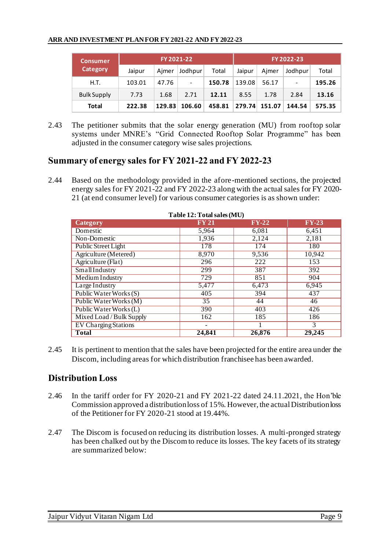| <b>Consumer</b>    |        |        | FY 2022-23                   |        |        |        |         |        |
|--------------------|--------|--------|------------------------------|--------|--------|--------|---------|--------|
| <b>Category</b>    | Jaipur | Ajmer  | Jodhpur                      | Total  | Jaipur | Aimer  | Jodhpur | Total  |
| H.T.               | 103.01 | 47.76  | $\qquad \qquad \blacksquare$ | 150.78 | 139.08 | 56.17  | -       | 195.26 |
| <b>Bulk Supply</b> | 7.73   | 1.68   | 2.71                         | 12.11  | 8.55   | 1.78   | 2.84    | 13.16  |
| Total              | 222.38 | 129.83 | 106.60                       | 458.81 | 279.74 | 151.07 | 144.54  | 575.35 |

2.43 The petitioner submits that the solar energy generation (MU) from rooftop solar systems under MNRE's "Grid Connected Rooftop Solar Programme" has been adjusted in the consumer category wise sales projections.

# **Summary of energy sales for FY 2021-22 and FY 2022-23**

2.44 Based on the methodology provided in the afore-mentioned sections, the projected energy sales for FY 2021-22 and FY 2022-23 along with the actual sales for FY 2020- 21 (at end consumer level) for various consumer categories is as shown under:

| $1$ avit $14$ . I vial saits $(1)$ |                 |         |              |  |  |  |  |
|------------------------------------|-----------------|---------|--------------|--|--|--|--|
| Category                           | <b>FY 21</b>    | $FY-22$ | <b>FY-23</b> |  |  |  |  |
| Domestic                           | 5,964           | 6,081   | 6,451        |  |  |  |  |
| Non-Domestic                       | 1,936           | 2,124   | 2,181        |  |  |  |  |
| <b>Public Street Light</b>         | 178             | 174     | 180          |  |  |  |  |
| Agriculture (Metered)              | 8,970           | 9,536   | 10,942       |  |  |  |  |
| Agriculture (Flat)                 | 296             | 222     | 153          |  |  |  |  |
| SmallIndustry                      | 299             | 387     | 392          |  |  |  |  |
| <b>Medium Industry</b>             | 729             | 851     | 904          |  |  |  |  |
| Large Industry                     | 5,477           | 6,473   | 6,945        |  |  |  |  |
| Public Water Works (S)             | 405             | 394     | 437          |  |  |  |  |
| Public Water Works (M)             | $\overline{35}$ | 44      | 46           |  |  |  |  |
| Public Water Works (L)             | 390             | 403     | 426          |  |  |  |  |
| Mixed Load / Bulk Supply           | 162             | 185     | 186          |  |  |  |  |
| <b>EV Charging Stations</b>        |                 |         | 3            |  |  |  |  |
| <b>Total</b>                       | 24,841          | 26,876  | 29,245       |  |  |  |  |

#### **Table 12: Totalsales (MU)**

2.45 It is pertinent to mention that the sales have been projected for the entire area under the Discom, including areas for which distribution franchisee has been awarded.

## **Distribution Loss**

- 2.46 In the tariff order for FY 2020-21 and FY 2021-22 dated 24.11.2021, the Hon'ble Commission approved a distribution loss of 15%. However, the actual Distribution loss of the Petitioner for FY 2020-21 stood at 19.44%.
- 2.47 The Discom is focused on reducing its distribution losses. A multi-pronged strategy has been chalked out by the Discom to reduce its losses. The key facets of its strategy are summarized below: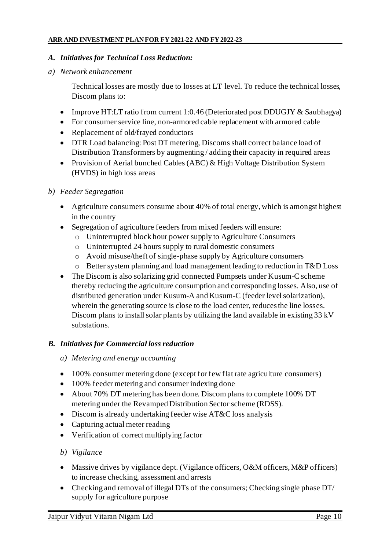#### *A. Initiatives for Technical Loss Reduction:*

*a) Network enhancement*

Technical losses are mostly due to losses at LT level. To reduce the technical losses, Discom plans to:

- Improve HT:LT ratio from current 1:0.46 (Deteriorated post DDUGJY & Saubhagya)
- For consumer service line, non-armored cable replacement with armored cable
- Replacement of old/frayed conductors
- DTR Load balancing: Post DT metering, Discoms shall correct balance load of Distribution Transformers by augmenting / adding their capacity in required areas
- Provision of Aerial bunched Cables (ABC) & High Voltage Distribution System (HVDS) in high loss areas

#### *b) Feeder Segregation*

- Agriculture consumers consume about 40% of total energy, which is amongst highest in the country
- Segregation of agriculture feeders from mixed feeders will ensure:
	- o Uninterrupted block hour power supply to Agriculture Consumers
	- o Uninterrupted 24 hours supply to rural domestic consumers
	- o Avoid misuse/theft of single-phase supply by Agriculture consumers
	- o Better system planning and load management leading to reduction in T&D Loss
- The Discom is also solarizing grid connected Pumpsets under Kusum-C scheme thereby reducing the agriculture consumption and corresponding losses. Also, use of distributed generation under Kusum-A and Kusum-C (feeder level solarization), wherein the generating source is close to the load center, reduces the line losses. Discom plans to install solar plants by utilizing the land available in existing 33 kV substations.

#### *B. Initiatives for Commercial loss reduction*

- *a) Metering and energy accounting*
- 100% consumer metering done (except for few flat rate agriculture consumers)
- 100% feeder metering and consumer indexing done
- About 70% DT metering has been done. Discomplans to complete 100% DT metering under the Revamped Distribution Sector scheme (RDSS).
- Discom is already undertaking feeder wise AT&C loss analysis
- Capturing actual meter reading
- Verification of correct multiplying factor

#### *b) Vigilance*

- Massive drives by vigilance dept. (Vigilance officers, O&M officers, M&P officers) to increase checking, assessment and arrests
- Checking and removal of illegal DTs of the consumers; Checking single phase DT/ supply for agriculture purpose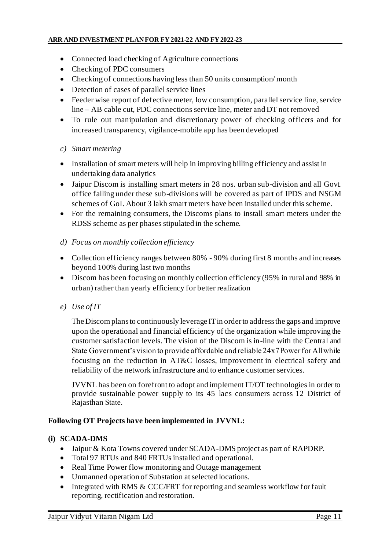- Connected load checking of Agriculture connections
- Checking of PDC consumers
- Checking of connections having less than 50 units consumption/month
- Detection of cases of parallel service lines
- Feeder wise report of defective meter, low consumption, parallel service line, service line – AB cable cut, PDC connections service line, meter and DT not removed
- To rule out manipulation and discretionary power of checking officers and for increased transparency, vigilance-mobile app has been developed

#### *c) Smart metering*

- Installation of smart meters will help in improving billing efficiency and assist in undertaking data analytics
- Jaipur Discom is installing smart meters in 28 nos. urban sub-division and all Govt. office falling under these sub-divisions will be covered as part of IPDS and NSGM schemes of GoI. About 3 lakh smart meters have been installed under this scheme.
- For the remaining consumers, the Discoms plans to install smart meters under the RDSS scheme as per phases stipulated in the scheme.

### *d) Focus on monthly collection efficiency*

- Collection efficiency ranges between 80% 90% during first 8 months and increases beyond 100% during last two months
- Discom has been focusing on monthly collection efficiency (95% in rural and 98% in urban) rather than yearly efficiency for better realization
- *e) Use of IT*

The Discom plans to continuously leverage IT in order to address the gaps and improve upon the operational and financial efficiency of the organization while improving the customer satisfaction levels. The vision of the Discom is in-line with the Central and State Government's vision to provide affordable and reliable 24x7 Power for All while focusing on the reduction in AT&C losses, improvement in electrical safety and reliability of the network infrastructure and to enhance customer services.

JVVNL has been on forefront to adopt and implement IT/OT technologies in order to provide sustainable power supply to its 45 lacs consumers across 12 District of Rajasthan State.

### **Following OT Projects have been implemented in JVVNL:**

#### **(i) SCADA-DMS**

- Jaipur & Kota Towns covered under SCADA-DMS project as part of RAPDRP.
- Total 97 RTUs and 840 FRTUs installed and operational.
- Real Time Power flow monitoring and Outage management
- Unmanned operation of Substation at selected locations.
- Integrated with RMS & CCC/FRT for reporting and seamless workflow for fault reporting, rectification and restoration.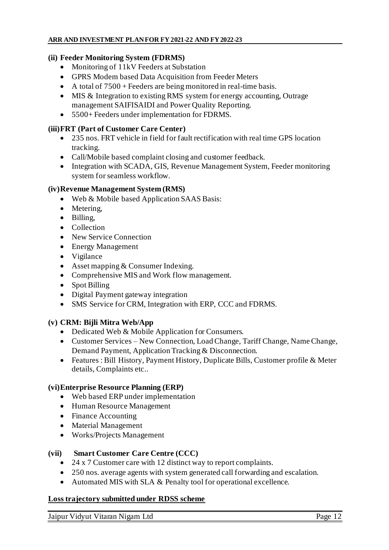#### **(ii) Feeder Monitoring System (FDRMS)**

- Monitoring of 11kV Feeders at Substation
- GPRS Modem based Data Acquisition from Feeder Meters
- A total of  $7500 + \text{Feeders}$  are being monitored in real-time basis.
- MIS & Integration to existing RMS system for energy accounting, Outrage management SAIFISAIDI and Power Quality Reporting.
- 5500+ Feeders under implementation for FDRMS.

#### **(iii)FRT (Part of Customer Care Center)**

- 235 nos. FRT vehicle in field for fault rectification with real time GPS location tracking.
- Call/Mobile based complaint closing and customer feedback.
- Integration with SCADA, GIS, Revenue Management System, Feeder monitoring system for seamless workflow.

#### **(iv)Revenue Management System (RMS)**

- Web & Mobile based Application SAAS Basis:
- Metering,
- Billing,
- Collection
- New Service Connection
- Energy Management
- Vigilance
- Asset mapping & Consumer Indexing.
- Comprehensive MIS and Work flow management.
- Spot Billing
- Digital Payment gateway integration
- SMS Service for CRM, Integration with ERP, CCC and FDRMS.

#### **(v) CRM: Bijli Mitra Web/App**

- Dedicated Web & Mobile Application for Consumers.
- Customer Services New Connection, Load Change, Tariff Change, Name Change, Demand Payment, Application Tracking & Disconnection.
- Features : Bill History, Payment History, Duplicate Bills, Customer profile & Meter details, Complaints etc..

#### **(vi)Enterprise Resource Planning (ERP)**

- Web based ERP under implementation
- Human Resource Management
- Finance Accounting
- Material Management
- Works/Projects Management

#### **(vii) Smart Customer Care Centre (CCC)**

- 24 x 7 Customer care with 12 distinct way to report complaints.
- 250 nos. average agents with system generated call forwarding and escalation.
- Automated MIS with SLA & Penalty tool for operational excellence.

#### **Loss trajectory submitted under RDSS scheme**

Jaipur Vidyut Vitaran Nigam Ltd Page 12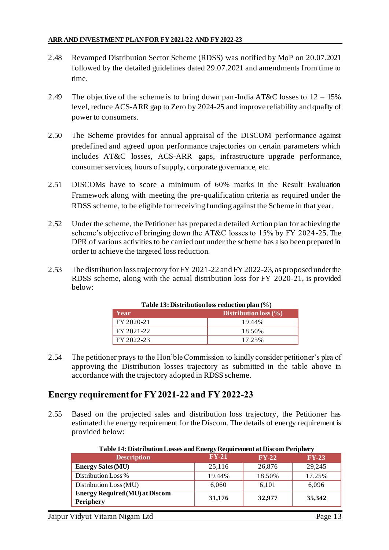- 2.48 Revamped Distribution Sector Scheme (RDSS) was notified by MoP on 20.07.2021 followed by the detailed guidelines dated 29.07.2021 and amendments from time to time.
- 2.49 The objective of the scheme is to bring down pan-India AT&C losses to  $12 15\%$ level, reduce ACS-ARR gap to Zero by 2024-25 and improve reliability and quality of power to consumers.
- 2.50 The Scheme provides for annual appraisal of the DISCOM performance against predefined and agreed upon performance trajectories on certain parameters which includes AT&C losses, ACS-ARR gaps, infrastructure upgrade performance, consumer services, hours of supply, corporate governance, etc.
- 2.51 DISCOMs have to score a minimum of 60% marks in the Result Evaluation Framework along with meeting the pre-qualification criteria as required under the RDSS scheme, to be eligible for receiving funding against the Scheme in that year.
- 2.52 Under the scheme, the Petitioner has prepared a detailed Action plan for achieving the scheme's objective of bringing down the AT&C losses to 15% by FY 2024-25.The DPR of various activities to be carried out under the scheme has also been prepared in order to achieve the targeted loss reduction.
- 2.53 The distribution loss trajectory for FY 2021-22 and FY 2022-23, as proposed under the RDSS scheme, along with the actual distribution loss for FY 2020-21, is provided below:

| $1$ able $13$ : Distribution loss reduction plan (%) |                       |  |  |  |
|------------------------------------------------------|-----------------------|--|--|--|
| Year                                                 | Distribution loss (%) |  |  |  |
| FY 2020-21                                           | 19.44%                |  |  |  |
| FY 2021-22                                           | 18.50%                |  |  |  |
| FY 2022-23                                           | 17.25%                |  |  |  |

**Table 12: Distribution loss reduction :** 

2.54 The petitioner prays to the Hon'ble Commission to kindly consider petitioner's plea of approving the Distribution losses trajectory as submitted in the table above in accordance with the trajectory adopted in RDSS scheme.

## **Energy requirementfor FY 2021-22 and FY 2022-23**

2.55 Based on the projected sales and distribution loss trajectory, the Petitioner has estimated the energy requirement for the Discom.The details of energy requirement is provided below:

| <b>Description</b>                                        | $FY-21$ | $FY-22$ | $FY-23$ |
|-----------------------------------------------------------|---------|---------|---------|
| <b>Energy Sales (MU)</b>                                  | 25,116  | 26,876  | 29,245  |
| Distribution Loss %                                       | 19.44%  | 18.50%  | 17.25%  |
| Distribution Loss (MU)                                    | 6,060   | 6,101   | 6,096   |
| <b>Energy Required (MU) at Discom</b><br><b>Periphery</b> | 31,176  | 32,977  | 35,342  |

**Table 14: Distribution Losses and Energy Requirement at Discom Periphery**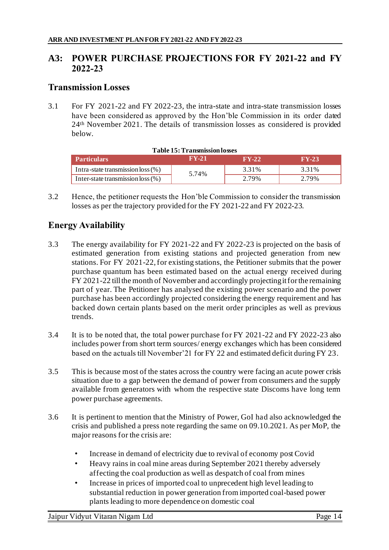# **A3: POWER PURCHASE PROJECTIONS FOR FY 2021-22 and FY 2022-23**

# **Transmission Losses**

3.1 For FY 2021-22 and FY 2022-23, the intra-state and intra-state transmission losses have been considered as approved by the Hon'ble Commission in its order dated 24th November 2021. The details of transmission losses as considered is provided below.

| <b>Table 15: Transmission losses</b>                      |       |       |       |  |  |  |  |
|-----------------------------------------------------------|-------|-------|-------|--|--|--|--|
| <b>AV-217</b><br>$FY-22$<br>$FY-23$<br><b>Particulars</b> |       |       |       |  |  |  |  |
| Intra-state transmission loss (%)                         | 5.74% | 3.31% | 3.31% |  |  |  |  |
| Inter-state transmission loss $(\%)$                      |       | 2.79% | 2.79% |  |  |  |  |

3.2 Hence, the petitioner requests the Hon'ble Commission to consider the transmission losses as per the trajectory provided for the FY 2021-22 and FY 2022-23.

# **Energy Availability**

- 3.3 The energy availability for FY 2021-22 and FY 2022-23 is projected on the basis of estimated generation from existing stations and projected generation from new stations. For FY 2021-22, for existing stations, the Petitioner submits that the power purchase quantum has been estimated based on the actual energy received during FY 2021-22 till the month of November and accordingly projecting it for the remaining part of year. The Petitioner has analysed the existing power scenario and the power purchase has been accordingly projected considering the energy requirement and has backed down certain plants based on the merit order principles as well as previous trends.
- 3.4 It is to be noted that, the total power purchase for FY 2021-22 and FY 2022-23 also includes power from short term sources/ energy exchanges which has been considered based on the actuals till November'21 for FY 22 and estimated deficit during FY 23.
- 3.5 This is because most of the states across the country were facing an acute power crisis situation due to a gap between the demand of power from consumers and the supply available from generators with whom the respective state Discoms have long term power purchase agreements.
- 3.6 It is pertinent to mention that the Ministry of Power, GoI had also acknowledged the crisis and published a press note regarding the same on 09.10.2021. As per MoP, the major reasons for the crisis are:
	- Increase in demand of electricity due to revival of economy post Covid
	- Heavy rains in coal mine areas during September 2021 thereby adversely affecting the coal production as well as despatch of coal from mines
	- Increase in prices of imported coal to unprecedent high level leading to substantial reduction in power generation from imported coal-based power plants leading to more dependence on domestic coal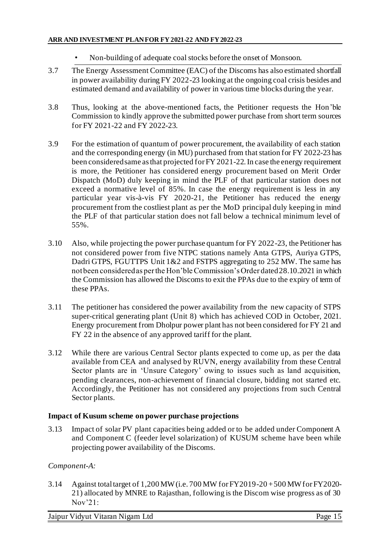- Non-building of adequate coal stocks before the onset of Monsoon.
- 3.7 The Energy Assessment Committee (EAC) of the Discoms has also estimated shortfall in power availability during FY 2022-23 looking at the ongoing coal crisis besides and estimated demand and availability of power in various time blocks during the year.
- 3.8 Thus, looking at the above-mentioned facts, the Petitioner requests the Hon'ble Commission to kindly approve the submitted power purchase from short term sources for FY 2021-22 and FY 2022-23.
- 3.9 For the estimation of quantum of power procurement, the availability of each station and the corresponding energy (in MU) purchased from that station for FY 2022-23 has been considered same as that projected for FY 2021-22. In case the energy requirement is more, the Petitioner has considered energy procurement based on Merit Order Dispatch (MoD) duly keeping in mind the PLF of that particular station does not exceed a normative level of 85%. In case the energy requirement is less in any particular year vis-à-vis FY 2020-21, the Petitioner has reduced the energy procurement from the costliest plant as per the MoD principal duly keeping in mind the PLF of that particular station does not fall below a technical minimum level of 55%.
- 3.10 Also, while projecting the power purchase quantum for FY 2022-23, the Petitioner has not considered power from five NTPC stations namely Anta GTPS, Auriya GTPS, Dadri GTPS, FGUTTPS Unit 1&2 and FSTPS aggregating to 252 MW. The same has not been considered as per the Hon'ble Commission's Order dated 28.10.2021 in which the Commission has allowed the Discoms to exit the PPAs due to the expiry of term of these PPAs.
- 3.11 The petitioner has considered the power availability from the new capacity of STPS super-critical generating plant (Unit 8) which has achieved COD in October, 2021. Energy procurement from Dholpur power plant has not been considered for FY 21 and FY 22 in the absence of any approved tariff for the plant.
- 3.12 While there are various Central Sector plants expected to come up, as per the data available from CEA and analysed by RUVN, energy availability from these Central Sector plants are in 'Unsure Category' owing to issues such as land acquisition, pending clearances, non-achievement of financial closure, bidding not started etc. Accordingly, the Petitioner has not considered any projections from such Central Sector plants.

#### **Impact of Kusum scheme on power purchase projections**

3.13 Impact of solar PV plant capacities being added or to be added under Component A and Component C (feeder level solarization) of KUSUM scheme have been while projecting power availability of the Discoms.

#### *Component-A:*

3.14 Against total target of 1,200 MW (i.e. 700 MW for FY2019-20 + 500 MW for FY2020- 21) allocated by MNRE to Rajasthan, following is the Discom wise progress as of 30 Nov'21:

Jaipur Vidyut Vitaran Nigam Ltd Page 15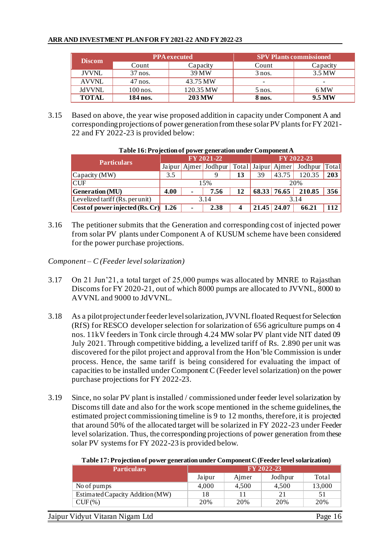| <b>Discom</b> | <b>PPA</b> executed |               |                          | <b>SPV Plants commissioned</b> |  |
|---------------|---------------------|---------------|--------------------------|--------------------------------|--|
|               | Count               | Capacity      | Count                    | Capacity                       |  |
| <b>JVVNL</b>  | 37 nos.             | 39 MW         | $3$ nos.                 | 3.5 MW                         |  |
| <b>AVVNL</b>  | $47$ nos.           | 43.75 MW      | $\overline{\phantom{0}}$ | $\overline{\phantom{0}}$       |  |
| <b>JdVVNL</b> | $100$ nos.          | 120.35 MW     | $5$ nos.                 | 6 MW                           |  |
| <b>TOTAL</b>  | 184 nos.            | <b>203 MW</b> | 8 nos.                   | 9.5 MW                         |  |

3.15 Based on above, the year wise proposed addition in capacity under Component A and corresponding projections of power generation from these solar PV plants for FY 2021- 22 and FY 2022-23 is provided below:

| <b>Particulars</b>                           | FY 2021-22 |                |                      |      | FY 2022-23    |                    |               |     |
|----------------------------------------------|------------|----------------|----------------------|------|---------------|--------------------|---------------|-----|
|                                              |            |                | Jaipur Ajmer Jodhpur |      |               | Total Jaipur Aimer | Jodhpur Total |     |
| Capacity (MW)                                | 3.5        |                |                      | 13   | 39            | 43.75              | 120.35        | 203 |
| <b>CUF</b>                                   |            | 15%            |                      |      | 20%           |                    |               |     |
| <b>Generation</b> (MU)                       | 4.00       | $\blacksquare$ | 7.56                 | 12   |               | 68.33 76.65        | 210.85        | 356 |
| Levelized tariff (Rs. per unit)              | 3.14       |                |                      | 3.14 |               |                    |               |     |
| $\vert$ Cost of power injected (Rs. Cr) 1.26 |            | $\blacksquare$ | 2.38                 |      | $21.45$ 24.07 |                    | 66.21         | 112 |

#### **Table 16: Projection of power generation under Component A**

3.16 The petitioner submits that the Generation and corresponding cost of injected power from solar PV plants under Component A of KUSUM scheme have been considered for the power purchase projections.

*Component – C (Feeder level solarization)*

- 3.17 On 21 Jun'21, a total target of 25,000 pumps was allocated by MNRE to Rajasthan Discoms for FY 2020-21, out of which 8000 pumps are allocated to JVVNL, 8000 to AVVNL and 9000 to JdVVNL.
- 3.18 As a pilot project under feeder level solarization, JVVNL floated Request for Selection (RfS) for RESCO developer selection for solarization of 656 agriculture pumps on 4 nos. 11kV feeders in Tonk circle through 4.24 MW solar PV plant vide NIT dated 09 July 2021. Through competitive bidding, a levelized tariff of Rs. 2.890 per unit was discovered for the pilot project and approval from the Hon'ble Commission is under process. Hence, the same tariff is being considered for evaluating the impact of capacities to be installed under Component C (Feeder level solarization) on the power purchase projections for FY 2022-23.
- 3.19 Since, no solar PV plant is installed / commissioned under feeder level solarization by Discoms till date and also for the work scope mentioned in the scheme guidelines, the estimated project commissioning timeline is 9 to 12 months, therefore, it is projected that around 50% of the allocated target will be solarized in FY 2022-23 under Feeder level solarization. Thus, the corresponding projections of power generation from these solar PV systems for FY 2022-23 is provided below.

| Table 17: Projection of power generation under Component C (Feeder level solarization) |  |  |
|----------------------------------------------------------------------------------------|--|--|
|                                                                                        |  |  |

| FY 2022-23<br><b>Particulars</b> |        |       |         |        |
|----------------------------------|--------|-------|---------|--------|
|                                  | Jaipur | Aimer | Jodhpur | Total  |
| No of pumps                      | 4,000  | 4,500 | 4.500   | 13,000 |
| Estimated Capacity Addition (MW) | 18     |       | 21      | 51     |
| $CUF(\%)$                        | 20%    | 20%   | 20%     | 20%    |
|                                  |        |       |         |        |

Jaipur Vidyut Vitaran Nigam Ltd Page 16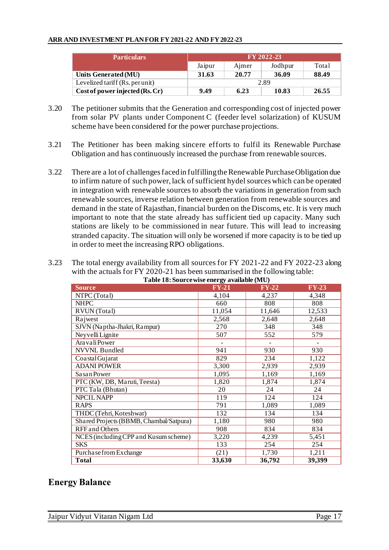| <b>Particulars</b>              | FY 2022-23 |       |         |       |  |
|---------------------------------|------------|-------|---------|-------|--|
|                                 | Jaipur     | Aimer | Jodhpur | Total |  |
| Units Generated (MU)            | 31.63      | 20.77 | 36.09   | 88.49 |  |
| Levelized tariff (Rs. per unit) | 2.89       |       |         |       |  |
| Cost of power injected (Rs. Cr) | 9.49       | 6.23  | 10.83   | 26.55 |  |

- 3.20 The petitioner submits that the Generation and corresponding cost of injected power from solar PV plants under Component C (feeder level solarization) of KUSUM scheme have been considered for the power purchase projections.
- 3.21 The Petitioner has been making sincere efforts to fulfil its Renewable Purchase Obligation and has continuously increased the purchase from renewable sources.
- 3.22 There are a lot of challenges faced in fulfilling the Renewable Purchase Obligation due to infirm nature of such power, lack of sufficient hydel sources which can be operated in integration with renewable sources to absorb the variations in generation from such renewable sources, inverse relation between generation from renewable sources and demand in the state of Rajasthan, financial burden on the Discoms, etc. It is very much important to note that the state already has sufficient tied up capacity. Many such stations are likely to be commissioned in near future. This will lead to increasing stranded capacity. The situation will only be worsened if more capacity is to be tied up in order to meet the increasing RPO obligations.
- 3.23 The total energy availability from all sources for FY 2021-22 and FY 2022-23 along with the actuals for FY 2020-21 has been summarised in the following table: **Table 18: Source with 18: Source with 18: Source with 18: Source with 18: Source with 18: Source with 18: Source with 18: Source wi**

| $FY-21$<br>$FY-23$<br>$FY-22$<br><b>Source</b><br>NTPC (Total)<br>4,104<br>4,348<br>4,237<br><b>NHPC</b><br>808<br>660<br>808<br>RVUN (Total)<br>11,054<br>12,533<br>11,646<br>Rajwest<br>2,568<br>2,648<br>2,648<br>SJVN (Naptha-Jhakri, Rampur)<br>270<br>348<br>348<br>Neyvelli Lignite<br>507<br>579<br>552<br>Aravali Power<br>$\overline{a}$<br><b>NVVNL Bundled</b><br>941<br>930<br>930<br>829<br>Coastal Gujarat<br>234<br>1,122<br><b>ADANI POWER</b><br>3,300<br>2,939<br>2,939<br>Sasan Power<br>1,095<br>1,169<br>1,169<br>PTC (KW, DB, Maruti, Teesta)<br>1,820<br>1,874<br>1,874<br>PTC Tala (Bhutan)<br>20<br>24<br>24<br>NPCIL NAPP<br>119<br>124<br>124<br><b>RAPS</b><br>791<br>1,089<br>1,089<br>THDC (Tehri, Koteshwar)<br>134<br>132<br>134<br>Shared Projects (BBMB, Chambal/Satpura)<br>980<br>980<br>1,180<br><b>RFF</b> and Others<br>908<br>834<br>834<br>NCES (including CPP and Kusum scheme)<br>4,239<br>5,451<br>3,220<br><b>SKS</b><br>133<br>254<br>254<br>Purchase from Exchange<br>1,211<br>(21)<br>1,730<br><b>Total</b><br>33,630<br>36,792<br>39,399 | Table 18: Source wise energy available (MO) |  |  |  |  |  |  |  |  |
|--------------------------------------------------------------------------------------------------------------------------------------------------------------------------------------------------------------------------------------------------------------------------------------------------------------------------------------------------------------------------------------------------------------------------------------------------------------------------------------------------------------------------------------------------------------------------------------------------------------------------------------------------------------------------------------------------------------------------------------------------------------------------------------------------------------------------------------------------------------------------------------------------------------------------------------------------------------------------------------------------------------------------------------------------------------------------------------------|---------------------------------------------|--|--|--|--|--|--|--|--|
|                                                                                                                                                                                                                                                                                                                                                                                                                                                                                                                                                                                                                                                                                                                                                                                                                                                                                                                                                                                                                                                                                            |                                             |  |  |  |  |  |  |  |  |
|                                                                                                                                                                                                                                                                                                                                                                                                                                                                                                                                                                                                                                                                                                                                                                                                                                                                                                                                                                                                                                                                                            |                                             |  |  |  |  |  |  |  |  |
|                                                                                                                                                                                                                                                                                                                                                                                                                                                                                                                                                                                                                                                                                                                                                                                                                                                                                                                                                                                                                                                                                            |                                             |  |  |  |  |  |  |  |  |
|                                                                                                                                                                                                                                                                                                                                                                                                                                                                                                                                                                                                                                                                                                                                                                                                                                                                                                                                                                                                                                                                                            |                                             |  |  |  |  |  |  |  |  |
|                                                                                                                                                                                                                                                                                                                                                                                                                                                                                                                                                                                                                                                                                                                                                                                                                                                                                                                                                                                                                                                                                            |                                             |  |  |  |  |  |  |  |  |
|                                                                                                                                                                                                                                                                                                                                                                                                                                                                                                                                                                                                                                                                                                                                                                                                                                                                                                                                                                                                                                                                                            |                                             |  |  |  |  |  |  |  |  |
|                                                                                                                                                                                                                                                                                                                                                                                                                                                                                                                                                                                                                                                                                                                                                                                                                                                                                                                                                                                                                                                                                            |                                             |  |  |  |  |  |  |  |  |
|                                                                                                                                                                                                                                                                                                                                                                                                                                                                                                                                                                                                                                                                                                                                                                                                                                                                                                                                                                                                                                                                                            |                                             |  |  |  |  |  |  |  |  |
|                                                                                                                                                                                                                                                                                                                                                                                                                                                                                                                                                                                                                                                                                                                                                                                                                                                                                                                                                                                                                                                                                            |                                             |  |  |  |  |  |  |  |  |
|                                                                                                                                                                                                                                                                                                                                                                                                                                                                                                                                                                                                                                                                                                                                                                                                                                                                                                                                                                                                                                                                                            |                                             |  |  |  |  |  |  |  |  |
|                                                                                                                                                                                                                                                                                                                                                                                                                                                                                                                                                                                                                                                                                                                                                                                                                                                                                                                                                                                                                                                                                            |                                             |  |  |  |  |  |  |  |  |
|                                                                                                                                                                                                                                                                                                                                                                                                                                                                                                                                                                                                                                                                                                                                                                                                                                                                                                                                                                                                                                                                                            |                                             |  |  |  |  |  |  |  |  |
|                                                                                                                                                                                                                                                                                                                                                                                                                                                                                                                                                                                                                                                                                                                                                                                                                                                                                                                                                                                                                                                                                            |                                             |  |  |  |  |  |  |  |  |
|                                                                                                                                                                                                                                                                                                                                                                                                                                                                                                                                                                                                                                                                                                                                                                                                                                                                                                                                                                                                                                                                                            |                                             |  |  |  |  |  |  |  |  |
|                                                                                                                                                                                                                                                                                                                                                                                                                                                                                                                                                                                                                                                                                                                                                                                                                                                                                                                                                                                                                                                                                            |                                             |  |  |  |  |  |  |  |  |
|                                                                                                                                                                                                                                                                                                                                                                                                                                                                                                                                                                                                                                                                                                                                                                                                                                                                                                                                                                                                                                                                                            |                                             |  |  |  |  |  |  |  |  |
|                                                                                                                                                                                                                                                                                                                                                                                                                                                                                                                                                                                                                                                                                                                                                                                                                                                                                                                                                                                                                                                                                            |                                             |  |  |  |  |  |  |  |  |
|                                                                                                                                                                                                                                                                                                                                                                                                                                                                                                                                                                                                                                                                                                                                                                                                                                                                                                                                                                                                                                                                                            |                                             |  |  |  |  |  |  |  |  |
|                                                                                                                                                                                                                                                                                                                                                                                                                                                                                                                                                                                                                                                                                                                                                                                                                                                                                                                                                                                                                                                                                            |                                             |  |  |  |  |  |  |  |  |
|                                                                                                                                                                                                                                                                                                                                                                                                                                                                                                                                                                                                                                                                                                                                                                                                                                                                                                                                                                                                                                                                                            |                                             |  |  |  |  |  |  |  |  |
|                                                                                                                                                                                                                                                                                                                                                                                                                                                                                                                                                                                                                                                                                                                                                                                                                                                                                                                                                                                                                                                                                            |                                             |  |  |  |  |  |  |  |  |
|                                                                                                                                                                                                                                                                                                                                                                                                                                                                                                                                                                                                                                                                                                                                                                                                                                                                                                                                                                                                                                                                                            |                                             |  |  |  |  |  |  |  |  |
|                                                                                                                                                                                                                                                                                                                                                                                                                                                                                                                                                                                                                                                                                                                                                                                                                                                                                                                                                                                                                                                                                            |                                             |  |  |  |  |  |  |  |  |

## **Energy Balance**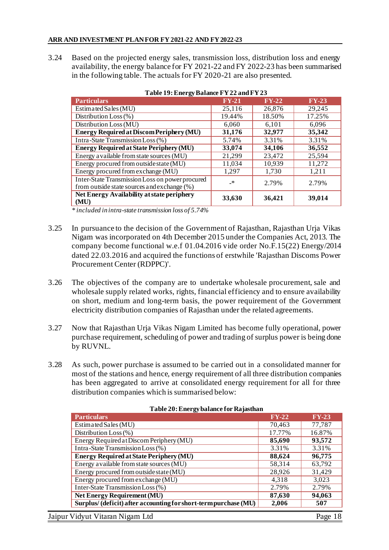3.24 Based on the projected energy sales, transmission loss, distribution loss and energy availability, the energy balance for FY 2021-22 and FY 2022-23 has been summarised in the following table. The actuals for FY 2020-21 are also presented.

| Table 19: Energy Balance FY 22 and FY 23                                                       |         |         |         |  |  |  |
|------------------------------------------------------------------------------------------------|---------|---------|---------|--|--|--|
| <b>Particulars</b>                                                                             | $FY-21$ | $FY-22$ | $FY-23$ |  |  |  |
| Estimated Sales (MU)                                                                           | 25,116  | 26,876  | 29,245  |  |  |  |
| Distribution Loss (%)                                                                          | 19.44%  | 18.50%  | 17.25%  |  |  |  |
| Distribution Loss (MU)                                                                         | 6,060   | 6,101   | 6,096   |  |  |  |
| <b>Energy Required at Discom Periphery (MU)</b>                                                | 31,176  | 32,977  | 35,342  |  |  |  |
| Intra-State Transmission Loss (%)                                                              | 5.74%   | 3.31%   | 3.31%   |  |  |  |
| <b>Energy Required at State Periphery (MU)</b>                                                 | 33,074  | 34,106  | 36,552  |  |  |  |
| Energy a vailable from state sources (MU)                                                      | 21,299  | 23,472  | 25,594  |  |  |  |
| Energy procured from outside state (MU)                                                        | 11,034  | 10,939  | 11,272  |  |  |  |
| Energy procured from exchange (MU)                                                             | 1,297   | 1,730   | 1,211   |  |  |  |
| Inter-State Transmission Loss on power procured<br>from outside state sources and exchange (%) | $\cdot$ | 2.79%   | 2.79%   |  |  |  |
| <b>Net Energy Availability at state periphery</b><br>(MU)                                      | 33,630  | 36,421  | 39,014  |  |  |  |

*\* included in intra-state transmission loss of 5.74%*

- 3.25 In pursuance to the decision of the Government of Rajasthan, Rajasthan Urja Vikas Nigam was incorporated on 4th December 2015 under the Companies Act, 2013. The company become functional w.e.f 01.04.2016 vide order No.F.15(22) Energy/2014 dated 22.03.2016 and acquired the functions of erstwhile 'Rajasthan Discoms Power Procurement Center (RDPPC)'.
- 3.26 The objectives of the company are to undertake wholesale procurement, sale and wholesale supply related works, rights, financial efficiency and to ensure availability on short, medium and long-term basis, the power requirement of the Government electricity distribution companies of Rajasthan under the related agreements.
- 3.27 Now that Rajasthan Urja Vikas Nigam Limited has become fully operational, power purchase requirement, scheduling of power and trading of surplus power is being done by RUVNL.
- 3.28 As such, power purchase is assumed to be carried out in a consolidated manner for most of the stations and hence, energy requirement of all three distribution companies has been aggregated to arrive at consolidated energy requirement for all for three distribution companies which is summarised below:

| <b>Particulars</b>                                                                                                                                   | $FY-22$ | $FY-23$         |
|------------------------------------------------------------------------------------------------------------------------------------------------------|---------|-----------------|
| Estimated Sales (MU)                                                                                                                                 | 70,463  | 77,787          |
| Distribution Loss $(\%)$                                                                                                                             | 17.77%  | 16.87%          |
| Energy Required at Discom Periphery (MU)                                                                                                             | 85,690  | 93,572          |
| Intra-State Transmission Loss (%)                                                                                                                    | 3.31%   | 3.31%           |
| <b>Energy Required at State Periphery (MU)</b>                                                                                                       | 88,624  | 96,775          |
| Energy a vailable from state sources (MU)                                                                                                            | 58,314  | 63,792          |
| Energy procured from outside state (MU)                                                                                                              | 28,926  | 31,429          |
| Energy procured from exchange (MU)                                                                                                                   | 4,318   | 3,023           |
| Inter-State Transmission Loss (%)                                                                                                                    | 2.79%   | 2.79%           |
| <b>Net Energy Requirement (MU)</b>                                                                                                                   | 87,630  | 94,063          |
| Surplus/ (deficit) after accounting for short-term purchase (MU)                                                                                     | 2,006   | 507             |
| $\mathbf{X}^{T}$ $\mathbf{1}$ $\mathbf{X}^{T}$ $\mathbf{X}^{T}$ $\mathbf{X}^{T}$ $\mathbf{X}^{T}$ $\mathbf{X}^{T}$ $\mathbf{X}^{T}$ $\mathbf{X}^{T}$ |         | $\mathbf{n}$ 10 |

#### **Table 20: Energy balance for Rajasthan**

Jaipur Vidyut Vitaran Nigam Ltd Page 18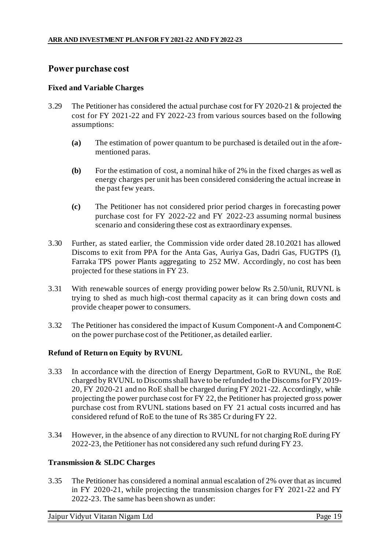# **Power purchase cost**

#### **Fixed and Variable Charges**

- 3.29 The Petitioner has considered the actual purchase cost for FY 2020-21 & projected the cost for FY 2021-22 and FY 2022-23 from various sources based on the following assumptions:
	- **(a)** The estimation of power quantum to be purchased is detailed out in the aforementioned paras.
	- **(b)** For the estimation of cost, a nominal hike of 2% in the fixed charges as well as energy charges per unit has been considered considering the actual increase in the past few years.
	- **(c)** The Petitioner has not considered prior period charges in forecasting power purchase cost for FY 2022-22 and FY 2022-23 assuming normal business scenario and considering these cost as extraordinary expenses.
- 3.30 Further, as stated earlier, the Commission vide order dated 28.10.2021 has allowed Discoms to exit from PPA for the Anta Gas, Auriya Gas, Dadri Gas, FUGTPS (I), Farraka TPS power Plants aggregating to 252 MW. Accordingly, no cost has been projected for these stations in FY 23.
- 3.31 With renewable sources of energy providing power below Rs 2.50/unit, RUVNL is trying to shed as much high-cost thermal capacity as it can bring down costs and provide cheaper power to consumers.
- 3.32 The Petitioner has considered the impact of Kusum Component-A and Component-C on the power purchase cost of the Petitioner, as detailed earlier.

#### **Refund of Return on Equity by RVUNL**

- 3.33 In accordance with the direction of Energy Department, GoR to RVUNL, the RoE charged by RVUNL to Discoms shall have to be refunded to the Discoms for FY 2019- 20, FY 2020-21 and no RoE shall be charged during FY 2021-22. Accordingly, while projecting the power purchase cost for FY 22, the Petitioner has projected gross power purchase cost from RVUNL stations based on FY 21 actual costs incurred and has considered refund of RoE to the tune of Rs 385 Cr during FY 22.
- 3.34 However, in the absence of any direction to RVUNL for not charging RoE during FY 2022-23, the Petitioner has not considered any such refund during FY 23.

#### **Transmission & SLDC Charges**

3.35 The Petitioner has considered a nominal annual escalation of 2% over that as incurred in FY 2020-21, while projecting the transmission charges for FY 2021-22 and FY 2022-23. The same has been shown as under:

Jaipur Vidyut Vitaran Nigam Ltd Page 19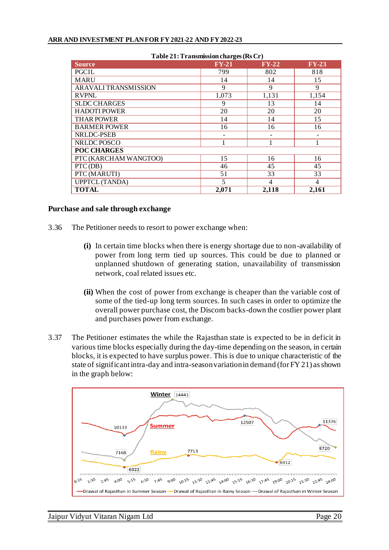| Table 21: Transmission charges (Rs Cr) |         |         |         |  |  |  |
|----------------------------------------|---------|---------|---------|--|--|--|
| <b>Source</b>                          | $FY-21$ | $FY-22$ | $FY-23$ |  |  |  |
| PGCIL                                  | 799     | 802     | 818     |  |  |  |
| <b>MARU</b>                            | 14      | 14      | 15      |  |  |  |
| ARAVALI TRANSMISSION                   | 9       | 9       | 9       |  |  |  |
| <b>RVPNL</b>                           | 1,073   | 1,131   | 1,154   |  |  |  |
| <b>SLDC CHARGES</b>                    | 9       | 13      | 14      |  |  |  |
| <b>HADOTI POWER</b>                    | 20      | 20      | 20      |  |  |  |
| <b>THAR POWER</b>                      | 14      | 14      | 15      |  |  |  |
| <b>BARMER POWER</b>                    | 16      | 16      | 16      |  |  |  |
| NRLDC-PSEB                             |         |         |         |  |  |  |
| NRLDC POSCO                            |         |         |         |  |  |  |
| <b>POC CHARGES</b>                     |         |         |         |  |  |  |
| PTC (KARCHAM WANGTOO)                  | 15      | 16      | 16      |  |  |  |
| PTC (DB)                               | 46      | 45      | 45      |  |  |  |
| PTC (MARUTI)                           | 51      | 33      | 33      |  |  |  |
| <b>UPPTCL (TANDA)</b>                  | 5       | 4       | 4       |  |  |  |
| <b>TOTAL</b>                           | 2,071   | 2,118   | 2,161   |  |  |  |

#### **Table 21: Transmission charges (Rs Cr)**

#### **Purchase and sale through exchange**

- 3.36 The Petitioner needs to resort to power exchange when:
	- **(i)** In certain time blocks when there is energy shortage due to non-availability of power from long term tied up sources. This could be due to planned or unplanned shutdown of generating station, unavailability of transmission network, coal related issues etc.
	- **(ii)** When the cost of power from exchange is cheaper than the variable cost of some of the tied-up long term sources. In such cases in order to optimize the overall power purchase cost, the Discom backs-down the costlier power plant and purchases power from exchange.
- 3.37 The Petitioner estimates the while the Rajasthan state is expected to be in deficit in various time blocks especially during the day-time depending on the season, in certain blocks, it is expected to have surplus power. This is due to unique characteristic of the state of significant intra-day and intra-season variation in demand (for FY 21) as shown in the graph below:

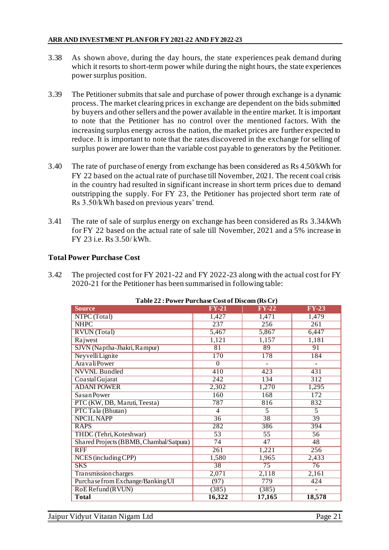- 3.38 As shown above, during the day hours, the state experiences peak demand during which it resorts to short-term power while during the night hours, the state experiences power surplus position.
- 3.39 The Petitioner submits that sale and purchase of power through exchange is a dynamic process. The market clearing prices in exchange are dependent on the bids submitted by buyers and other sellers and the power available in the entire market. It is important to note that the Petitioner has no control over the mentioned factors. With the increasing surplus energy across the nation, the market prices are further expected to reduce. It is important to note that the rates discovered in the exchange for selling of surplus power are lower than the variable cost payable to generators by the Petitioner.
- 3.40 The rate of purchase of energy from exchange has been considered as Rs 4.50/kWh for FY 22 based on the actual rate of purchase till November, 2021. The recent coal crisis in the country had resulted in significant increase in short term prices due to demand outstripping the supply. For FY 23, the Petitioner has projected short term rate of Rs 3.50/kWh based on previous years' trend.
- 3.41 The rate of sale of surplus energy on exchange has been considered as Rs 3.34/kWh for FY 22 based on the actual rate of sale till November, 2021 and a 5% increase in FY 23 i.e. Rs 3.50/ kWh.

#### **Total Power Purchase Cost**

3.42 The projected cost for FY 2021-22 and FY 2022-23 along with the actual cost for FY 2020-21 for the Petitioner has been summarised in following table:

| Table 22 : Power Purchase Cost of Discom (Rs Cr) |                            |                |                 |  |  |  |  |  |
|--------------------------------------------------|----------------------------|----------------|-----------------|--|--|--|--|--|
| <b>Source</b>                                    | $\overline{\text{FY}}$ -21 | $FY-22$        | $FY-23$         |  |  |  |  |  |
| $\overline{\text{NTPC (Total)}}$                 | 1,427                      | 1,471          | 1,479           |  |  |  |  |  |
| <b>NHPC</b>                                      | 237                        | 256            | 261             |  |  |  |  |  |
| <b>RVUN</b> (Total)                              | 5,467                      | 5,867          | 6,447           |  |  |  |  |  |
| Rajwest                                          | 1,121                      | 1,157          | 1,181           |  |  |  |  |  |
| SJVN (Naptha-Jhakri, Rampur)                     | 81                         | 89             | 91              |  |  |  |  |  |
| Neyvelli Lignite                                 | 170                        | 178            | 184             |  |  |  |  |  |
| Aravali Power                                    | $\Omega$                   | $\overline{a}$ | $\overline{a}$  |  |  |  |  |  |
| <b>NVVNL Bundled</b>                             | 410                        | 423            | 431             |  |  |  |  |  |
| Coastal Gujarat                                  | 242                        | 134            | 312             |  |  |  |  |  |
| <b>ADANI POWER</b>                               | 2,302                      | 1,270          | 1,295           |  |  |  |  |  |
| Sasan Power                                      | 160                        | 168            | 172             |  |  |  |  |  |
| PTC (KW, DB, Maruti, Teesta)                     | 787                        | 816            | 832             |  |  |  |  |  |
| PTC Tala (Bhutan)                                | 4                          | $\overline{5}$ | $\overline{5}$  |  |  |  |  |  |
| <b>NPCIL NAPP</b>                                | $\overline{36}$            | 38             | $\overline{39}$ |  |  |  |  |  |
| <b>RAPS</b>                                      | 282                        | 386            | 394             |  |  |  |  |  |
| THDC (Tehri, Koteshwar)                          | $\overline{53}$            | 55             | 56              |  |  |  |  |  |
| Shared Projects (BBMB, Chambal/Satpura)          | $\overline{74}$            | 47             | 48              |  |  |  |  |  |
| <b>RFF</b>                                       | 261                        | 1,221          | 256             |  |  |  |  |  |
| NCES (including CPP)                             | 1,580                      | 1,965          | 2,433           |  |  |  |  |  |
| <b>SKS</b>                                       | 38                         | 75             | 76              |  |  |  |  |  |
| Transmission charges                             | 2,071                      | 2,118          | 2,161           |  |  |  |  |  |
| Purchase from Exchange/Banking/UI                | (97)                       | 779            | 424             |  |  |  |  |  |
| RoE Refund (RVUN)                                | (385)                      | (385)          |                 |  |  |  |  |  |
| <b>Total</b>                                     | 16,322                     | 17,165         | 18,578          |  |  |  |  |  |

**Table 22 : Power Purchase Cost of Discom (Rs Cr)**

Jaipur Vidyut Vitaran Nigam Ltd Page 21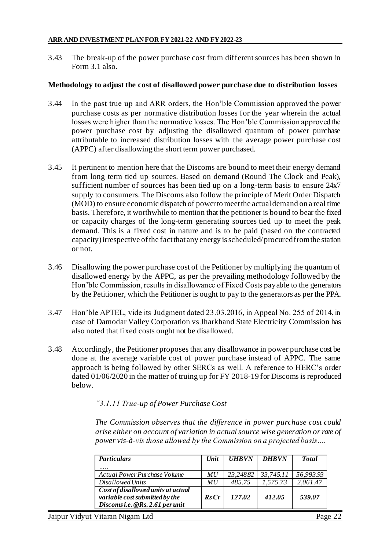3.43 The break-up of the power purchase cost from different sources has been shown in Form 3.1 also.

#### **Methodology to adjust the cost of disallowed power purchase due to distribution losses**

- 3.44 In the past true up and ARR orders, the Hon'ble Commission approved the power purchase costs as per normative distribution losses for the year wherein the actual losses were higher than the normative losses. The Hon'ble Commission approved the power purchase cost by adjusting the disallowed quantum of power purchase attributable to increased distribution losses with the average power purchase cost (APPC) after disallowing the short term power purchased.
- 3.45 It pertinent to mention here that the Discoms are bound to meet their energy demand from long term tied up sources. Based on demand (Round The Clock and Peak), sufficient number of sources has been tied up on a long-term basis to ensure 24x7 supply to consumers. The Discoms also follow the principle of Merit Order Dispatch (MOD) to ensure economic dispatch of power to meet the actual demand on a real time basis. Therefore, it worthwhile to mention that the petitioner is bound to bear the fixed or capacity charges of the long-term generating sources tied up to meet the peak demand. This is a fixed cost in nature and is to be paid (based on the contracted capacity) irrespective of the fact that any energy is scheduled/ procured from the station or not.
- 3.46 Disallowing the power purchase cost of the Petitioner by multiplying the quantum of disallowed energy by the APPC, as per the prevailing methodology followed by the Hon'ble Commission, results in disallowance of Fixed Costs payable to the generators by the Petitioner, which the Petitioner is ought to pay to the generators as per the PPA.
- 3.47 Hon'ble APTEL, vide its Judgment dated 23.03.2016, in Appeal No. 255 of 2014, in case of Damodar Valley Corporation vs Jharkhand State Electricity Commission has also noted that fixed costs ought not be disallowed.
- 3.48 Accordingly, the Petitioner proposes that any disallowance in power purchase cost be done at the average variable cost of power purchase instead of APPC. The same approach is being followed by other SERCs as well. A reference to HERC's order dated 01/06/2020 in the matter of truing up for FY 2018-19 for Discoms is reproduced below.

#### *"3.1.11 True-up of Power Purchase Cost*

*The Commission observes that the difference in power purchase cost could arise either on account of variation in actual source wise generation or rate of power vis-à-vis those allowed by the Commission on a projected basis….*

| <b>Particulars</b>                                                                                      | Unit             | <b>UHBVN</b> | <b>DHBVN</b> | <b>Total</b> |
|---------------------------------------------------------------------------------------------------------|------------------|--------------|--------------|--------------|
|                                                                                                         |                  |              |              |              |
| Actual Power Purchase Volume                                                                            | MU               | 23,248.82    | 33,745.11    | 56,993.93    |
| Disallowed Units                                                                                        | MU               | 485.75       | 1,575.73     | 2,061.47     |
| Cost of disallowed units at actual<br>variable cost submitted by the<br>Discoms i.e. @Rs. 2.61 per unit | $\mathbf{Rs}$ Cr | 127.02       | 412.05       | 539.07       |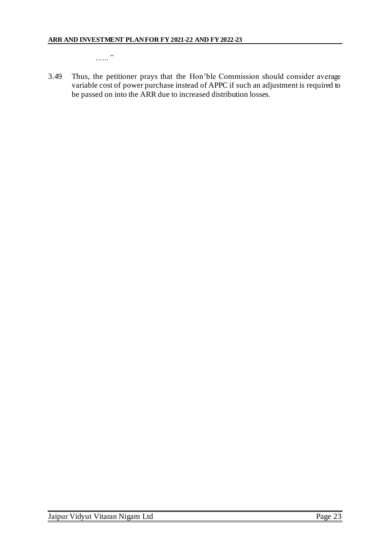*……"*

3.49 Thus, the petitioner prays that the Hon'ble Commission should consider average variable cost of power purchase instead of APPC if such an adjustment is required to be passed on into the ARR due to increased distribution losses.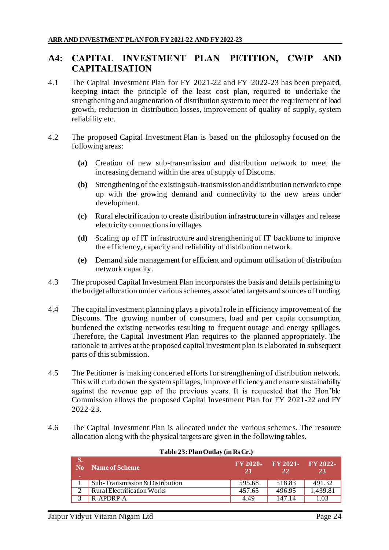# **A4: CAPITAL INVESTMENT PLAN PETITION, CWIP AND CAPITALISATION**

- 4.1 The Capital Investment Plan for FY 2021-22 and FY 2022-23 has been prepared, keeping intact the principle of the least cost plan, required to undertake the strengthening and augmentation of distribution system to meet the requirement of load growth, reduction in distribution losses, improvement of quality of supply, system reliability etc.
- 4.2 The proposed Capital Investment Plan is based on the philosophy focused on the following areas:
	- **(a)** Creation of new sub-transmission and distribution network to meet the increasing demand within the area of supply of Discoms.
	- **(b)** Strengthening of the existing sub-transmission and distribution network to cope up with the growing demand and connectivity to the new areas under development.
	- **(c)** Rural electrification to create distribution infrastructure in villages and release electricity connections in villages
	- **(d)** Scaling up of IT infrastructure and strengthening of IT backbone to improve the efficiency, capacity and reliability of distribution network.
	- **(e)** Demand side management for efficient and optimum utilisation of distribution network capacity.
- 4.3 The proposed Capital Investment Plan incorporates the basis and details pertaining to the budget allocation under various schemes, associated targets and sources of funding.
- 4.4 The capital investment planning plays a pivotal role in efficiency improvement of the Discoms. The growing number of consumers, load and per capita consumption, burdened the existing networks resulting to frequent outage and energy spillages. Therefore, the Capital Investment Plan requires to the planned appropriately. The rationale to arrives at the proposed capital investment plan is elaborated in subsequent parts of this submission.
- 4.5 The Petitioner is making concerted efforts for strengthening of distribution network. This will curb down the system spillages, improve efficiency and ensure sustainability against the revenue gap of the previous years. It is requested that the Hon'ble Commission allows the proposed Capital Investment Plan for FY 2021-22 and FY 2022-23.
- 4.6 The Capital Investment Plan is allocated under the various schemes. The resource allocation along with the physical targets are given in the following tables.

| rapic sorran outlay (may 01)       |                |                                           |          |
|------------------------------------|----------------|-------------------------------------------|----------|
| No Name of Scheme                  | FY 2020-<br>21 | $\text{FY } 2021 - \text{FY } 2022$<br>22 | 23       |
| Sub-Transmission & Distribution    | 595.68         | 518.83                                    | 491.32   |
| <b>Rural Electrification Works</b> | 457.65         | 496.95                                    | 1.439.81 |
| R-APDRP-A                          | 4.49           | 147.14                                    | 1.03     |

#### **Table 23: Plan Outlay (in Rs Cr.)**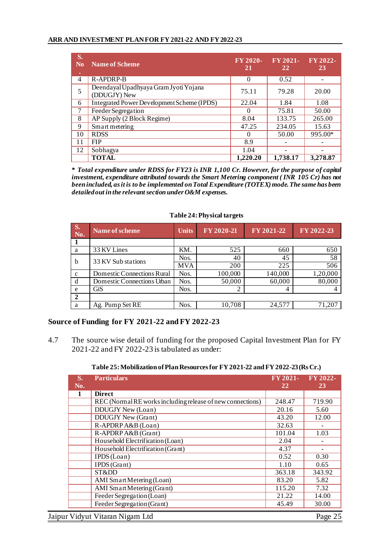| S.<br>N <sub>0</sub><br>۰ | <b>Name of Scheme</b>                                 | $FY$ 2020-<br>21 | FY 2021-<br>22 | $FY 2022-$<br>23 |
|---------------------------|-------------------------------------------------------|------------------|----------------|------------------|
| 4                         | R-APDRP-B                                             | 0                | 0.52           |                  |
| 5                         | Deendayal Upadhyaya Gram Jyoti Yojana<br>(DDUGJY) New | 75.11            | 79.28          | 20.00            |
| 6                         | Integrated Power Development Scheme (IPDS)            | 22.04            | 1.84           | 1.08             |
| 7                         | Feeder Segregation                                    |                  | 75.81          | 50.00            |
| 8                         | AP Supply (2 Block Regime)                            | 8.04             | 133.75         | 265.00           |
| 9                         | Smart metering                                        | 47.25            | 234.05         | 15.63            |
| 10                        | <b>RDSS</b>                                           |                  | 50.00          | 995.00*          |
| 11                        | <b>FIP</b>                                            | 8.9              |                |                  |
| 12                        | Sobhagya                                              | 1.04             |                |                  |
|                           | <b>TOTAL</b>                                          | 1,220.20         | 1,738.17       | 3,278.87         |

**\*** *Total expenditure under RDSS for FY23 is INR 1,100 Cr. However, for the purpose of capital investment, expenditure attributed towards the Smart Metering component ( INR 105 Cr) has not been included, asit is to be implemented on Total Expenditure (TOTEX) mode. The same has been detailed out in the relevant section under O&M expenses.* 

| <b>S.</b><br>No. | Name of scheme             | <b>Units</b> | FY 2020-21               | FY 2021-22 | FY 2022-23 |
|------------------|----------------------------|--------------|--------------------------|------------|------------|
|                  |                            |              |                          |            |            |
| a                | 33 KV Lines                | KM.          | 525                      | 660        | 650        |
| b                | 33 KV Sub stations         | Nos.         | 40                       | 45         | 58         |
|                  |                            | <b>MVA</b>   | 200                      | 225        | 506        |
| $\mathbf{c}$     | Domestic Connections Rural | Nos.         | 100,000                  | 140,000    | 1,20,000   |
| d                | Domestic Connections Urban | Nos.         | 50,000                   | 60,000     | 80,000     |
| e                | GiS                        | Nos.         | $\overline{\mathcal{L}}$ | 4          |            |
| $\overline{2}$   |                            |              |                          |            |            |
| a                | Ag. Pump Set RE            | Nos.         | 10,708                   | 24,577     | 71,207     |

#### **Table 24: Physical targets**

#### **Source of Funding for FY 2021-22 and FY 2022-23**

4.7 The source wise detail of funding for the proposed Capital Investment Plan for FY 2021-22 and FY 2022-23 is tabulated as under:

#### **Table 25: Mobilization of Plan Resources for FY 2021-22 and FY 2022-23 (Rs Cr.)**

| S.<br>No. | <b>Particulars</b>                                         | FY 2021-<br>22 | FY 2022-<br>23 |
|-----------|------------------------------------------------------------|----------------|----------------|
|           | <b>Direct</b>                                              |                |                |
|           | REC (Normal RE works including release of new connections) | 248.47         | 719.90         |
|           | DDUGJY New (Loan)                                          | 20.16          | 5.60           |
|           | <b>DDUGJY New (Grant)</b>                                  | 43.20          | 12.00          |
|           | R-APDRP A&B (Loan)                                         | 32.63          |                |
|           | R-APDRP A&B (Grant)                                        | 101.04         | 1.03           |
|           | Household Electrification (Loan)                           | 2.04           |                |
|           | Household Electrification (Grant)                          | 4.37           |                |
|           | IPDS (Loan)                                                | 0.52           | 0.30           |
|           | <b>IPDS</b> (Grant)                                        | 1.10           | 0.65           |
|           | STⅅ                                                        | 363.18         | 343.92         |
|           | AMI Smart Metering (Loan)                                  | 83.20          | 5.82           |
|           | <b>AMI</b> Smart Metering (Grant)                          | 115.20         | 7.32           |
|           | Feeder Segregation (Loan)                                  | 21.22          | 14.00          |
|           | Feeder Segregation (Grant)                                 | 45.49          | 30.00          |
|           | Jaipur Vidyut Vitaran Nigam Ltd                            |                | Page 25        |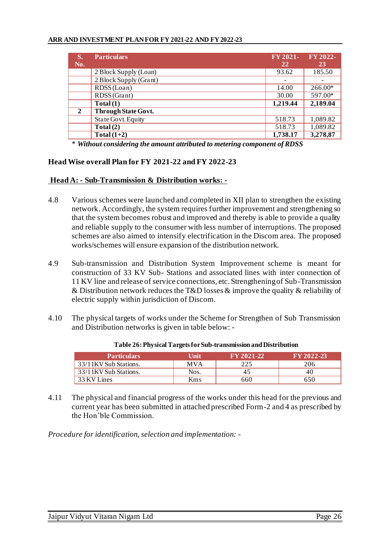| S.<br>No.    | <b>Particulars</b>        | FY 2021-<br>22 | FY 2022-<br>23 |
|--------------|---------------------------|----------------|----------------|
|              | 2 Block Supply (Loan)     | 93.62          | 185.50         |
|              | 2 Block Supply (Grant)    |                |                |
|              | RDSS (Loan)               | 14.00          | 266.00*        |
|              | RDSS (Grant)              | 30.00          | 597.00*        |
|              | Total(1)                  | 1,219.44       | 2,189.04       |
| $\mathbf{2}$ | Through State Govt.       |                |                |
|              | <b>State Govt. Equity</b> | 518.73         | 1,089.82       |
|              | Total(2)                  | 518.73         | 1,089.82       |
|              | Total $(1+2)$             | 1,738.17       | 3,278,87       |

\* *Without considering the amount attributed to metering component of RDSS*

#### **Head Wise overall Plan for FY 2021-22 and FY 2022-23**

#### **Head A: - Sub-Transmission & Distribution works: -**

- 4.8 Various schemes were launched and completed in XII plan to strengthen the existing network. Accordingly, the system requires further improvement and strengthening so that the system becomes robust and improved and thereby is able to provide a quality and reliable supply to the consumer with less number of interruptions. The proposed schemes are also aimed to intensify electrification in the Discom area. The proposed works/schemes will ensure expansion of the distribution network.
- 4.9 Sub-transmission and Distribution System Improvement scheme is meant for construction of 33 KV Sub- Stations and associated lines with inter connection of 11 KV line and release of service connections, etc. Strengthening of Sub-Transmission & Distribution network reduces the T&D losses & improve the quality & reliability of electric supply within jurisdiction of Discom.
- 4.10 The physical targets of works under the Scheme for Strengthen of Sub Transmission and Distribution networks is given in table below: -

| <b>Particulars</b>    | Unit       | <b>EY 2021-227</b> | <b>FY 2022-23</b> |
|-----------------------|------------|--------------------|-------------------|
| 33/11KV Sub Stations. | <b>MVA</b> |                    | 206               |
| 33/11KV Sub Stations. | Nos.       | 40                 | 40                |
| 33 KV Lines           | <b>Kms</b> | 660                | 550               |

| Table 26: Physical Targets for Sub-transmission and Distribution |  |
|------------------------------------------------------------------|--|
|------------------------------------------------------------------|--|

4.11 The physical and financial progress of the works under this head for the previous and current year has been submitted in attached prescribed Form-2 and 4 as prescribed by the Hon'ble Commission.

*Procedure for identification, selection and implementation: -*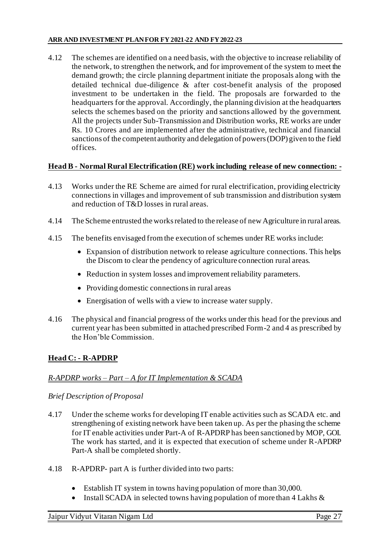4.12 The schemes are identified on a need basis, with the objective to increase reliability of the network, to strengthen the network, and for improvement of the system to meet the demand growth; the circle planning department initiate the proposals along with the detailed technical due-diligence & after cost-benefit analysis of the proposed investment to be undertaken in the field. The proposals are forwarded to the headquarters for the approval. Accordingly, the planning division at the headquarters selects the schemes based on the priority and sanctions allowed by the government. All the projects under Sub-Transmission and Distribution works, RE works are under Rs. 10 Crores and are implemented after the administrative, technical and financial sanctions of the competent authority and delegation of powers (DOP) given to the field offices.

#### **Head B - Normal Rural Electrification (RE) work including release of new connection: -**

- 4.13 Works under the RE Scheme are aimed for rural electrification, providing electricity connections in villages and improvement of sub transmission and distribution system and reduction of T&D losses in rural areas.
- 4.14 The Scheme entrusted the works related to the release of new Agriculture in rural areas.
- 4.15 The benefits envisaged from the execution of schemes under RE works include:
	- Expansion of distribution network to release agriculture connections. This helps the Discom to clear the pendency of agriculture connection rural areas.
	- Reduction in system losses and improvement reliability parameters.
	- Providing domestic connections in rural areas
	- Energisation of wells with a view to increase water supply.
- 4.16 The physical and financial progress of the works under this head for the previous and current year has been submitted in attached prescribed Form-2 and 4 as prescribed by the Hon'ble Commission.

### **Head C: - R-APDRP**

### *R-APDRP works – Part – A for IT Implementation & SCADA*

#### *Brief Description of Proposal*

- 4.17 Under the scheme works for developing IT enable activities such as SCADA etc. and strengthening of existing network have been taken up. As per the phasing the scheme for IT enable activities under Part-A of R-APDRP has been sanctioned by MOP, GOI. The work has started, and it is expected that execution of scheme under R-APDRP Part-A shall be completed shortly.
- 4.18 R-APDRP- part A is further divided into two parts:
	- Establish IT system in towns having population of more than 30,000.
	- Install SCADA in selected towns having population of more than  $4$  Lakhs  $\&$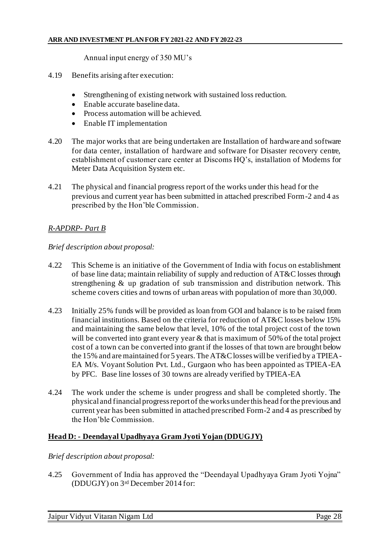Annual input energy of 350 MU's

- 4.19 Benefits arising after execution:
	- Strengthening of existing network with sustained loss reduction.
	- Enable accurate baseline data.
	- Process automation will be achieved.
	- Enable IT implementation
- 4.20 The major works that are being undertaken are Installation of hardware and software for data center, installation of hardware and software for Disaster recovery centre, establishment of customer care center at Discoms HQ's, installation of Modems for Meter Data Acquisition System etc.
- 4.21 The physical and financial progress report of the works under this head for the previous and current year has been submitted in attached prescribed Form-2 and 4 as prescribed by the Hon'ble Commission.

#### *R-APDRP- Part B*

*Brief description about proposal:* 

- 4.22 This Scheme is an initiative of the Government of India with focus on establishment of base line data; maintain reliability of supply and reduction of AT&C losses through strengthening & up gradation of sub transmission and distribution network. This scheme covers cities and towns of urban areas with population of more than 30,000.
- 4.23 Initially 25% funds will be provided as loan from GOI and balance is to be raised from financial institutions. Based on the criteria for reduction of AT&C losses below 15% and maintaining the same below that level, 10% of the total project cost of the town will be converted into grant every year & that is maximum of 50% of the total project cost of a town can be converted into grant if the losses of that town are brought below the 15% and are maintained for 5 years. The AT&C losses will be verified by a TPIEA-EA M/s. Voyant Solution Pvt. Ltd., Gurgaon who has been appointed as TPIEA-EA by PFC. Base line losses of 30 towns are already verified by TPIEA-EA
- 4.24 The work under the scheme is under progress and shall be completed shortly. The physical and financial progress report of the works under this head for the previous and current year has been submitted in attached prescribed Form-2 and 4 as prescribed by the Hon'ble Commission.

#### **Head D: - Deendayal Upadhyaya Gram Jyoti Yojan (DDUGJY)**

#### *Brief description about proposal:*

4.25 Government of India has approved the "Deendayal Upadhyaya Gram Jyoti Yojna" (DDUGJY) on 3rd December 2014 for: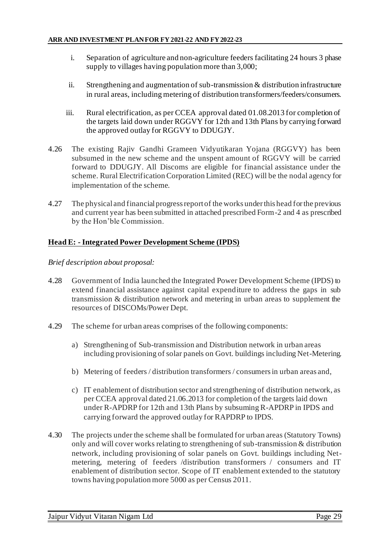- i. Separation of agriculture and non-agriculture feeders facilitating 24 hours 3 phase supply to villages having population more than 3,000;
- ii. Strengthening and augmentation of sub-transmission & distribution infrastructure in rural areas, including metering of distribution transformers/feeders/consumers.
- iii. Rural electrification, as per CCEA approval dated 01.08.2013 for completion of the targets laid down under RGGVY for 12th and 13th Plans by carrying forward the approved outlay for RGGVY to DDUGJY.
- 4.26 The existing Rajiv Gandhi Grameen Vidyutikaran Yojana (RGGVY) has been subsumed in the new scheme and the unspent amount of RGGVY will be carried forward to DDUGJY. All Discoms are eligible for financial assistance under the scheme. Rural Electrification Corporation Limited (REC) will be the nodal agency for implementation of the scheme.
- 4.27 The physical and financial progress report of the works under this head for the previous and current year has been submitted in attached prescribed Form-2 and 4 as prescribed by the Hon'ble Commission.

#### **Head E: - Integrated Power Development Scheme (IPDS)**

#### *Brief description about proposal:*

- 4.28 Government of India launched the Integrated Power Development Scheme (IPDS) to extend financial assistance against capital expenditure to address the gaps in sub transmission & distribution network and metering in urban areas to supplement the resources of DISCOMs/Power Dept.
- 4.29 The scheme for urban areas comprises of the following components:
	- a) Strengthening of Sub-transmission and Distribution network in urban areas including provisioning of solar panels on Govt. buildings including Net-Metering.
	- b) Metering of feeders / distribution transformers / consumers in urban areas and,
	- c) IT enablement of distribution sector and strengthening of distribution network, as per CCEA approval dated 21.06.2013 for completion of the targets laid down under R-APDRP for 12th and 13th Plans by subsuming R-APDRP in IPDS and carrying forward the approved outlay for RAPDRP to IPDS.
- 4.30 The projects under the scheme shall be formulated for urban areas (Statutory Towns) only and will cover works relating to strengthening of sub-transmission & distribution network, including provisioning of solar panels on Govt. buildings including Netmetering, metering of feeders /distribution transformers / consumers and IT enablement of distribution sector. Scope of IT enablement extended to the statutory towns having population more 5000 as per Census 2011.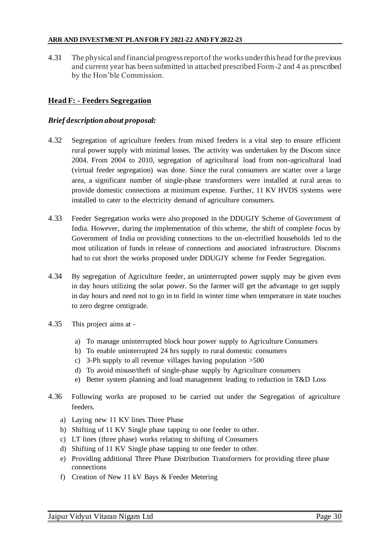4.31 The physical and financial progress report of the works under this head for the previous and current year has been submitted in attached prescribed Form-2 and 4 as prescribed by the Hon'ble Commission.

## **Head F: - Feeders Segregation**

### *Brief description about proposal:*

- 4.32 Segregation of agriculture feeders from mixed feeders is a vital step to ensure efficient rural power supply with minimal losses. The activity was undertaken by the Discom since 2004. From 2004 to 2010, segregation of agricultural load from non-agricultural load (virtual feeder segregation) was done. Since the rural consumers are scatter over a large area, a significant number of single-phase transformers were installed at rural areas to provide domestic connections at minimum expense. Further, 11 KV HVDS systems were installed to cater to the electricity demand of agriculture consumers.
- 4.33 Feeder Segregation works were also proposed in the DDUGJY Scheme of Government of India. However, during the implementation of this scheme, the shift of complete focus by Government of India on providing connections to the un-electrified households led to the most utilization of funds in release of connections and associated infrastructure. Discoms had to cut short the works proposed under DDUGJY scheme for Feeder Segregation.
- 4.34 By segregation of Agriculture feeder, an uninterrupted power supply may be given even in day hours utilizing the solar power. So the farmer will get the advantage to get supply in day hours and need not to go in to field in winter time when temperature in state touches to zero degree centigrade.
- 4.35 This project aims at
	- a) To manage uninterrupted block hour power supply to Agriculture Consumers
	- b) To enable uninterrupted 24 hrs supply to rural domestic consumers
	- c) 3-Ph supply to all revenue villages having population >500
	- d) To avoid misuse/theft of single-phase supply by Agriculture consumers
	- e) Better system planning and load management leading to reduction in T&D Loss
- 4.36 Following works are proposed to be carried out under the Segregation of agriculture feeders.
	- a) Laying new 11 KV lines Three Phase
	- b) Shifting of 11 KV Single phase tapping to one feeder to other.
	- c) LT lines (three phase) works relating to shifting of Consumers
	- d) Shifting of 11 KV Single phase tapping to one feeder to other.
	- e) Providing additional Three Phase Distribution Transformers for providing three phase connections
	- f) Creation of New 11 kV Bays & Feeder Metering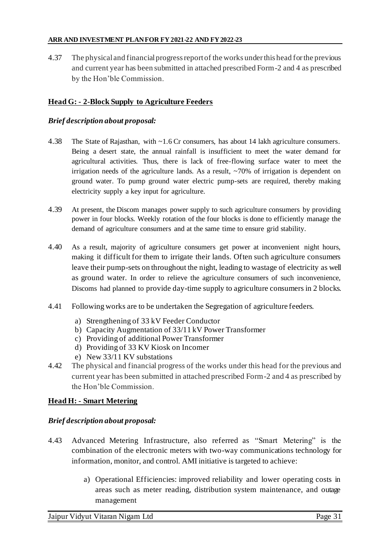4.37 The physical and financial progress report of the works under this head for the previous and current year has been submitted in attached prescribed Form-2 and 4 as prescribed by the Hon'ble Commission.

## **Head G: - 2-Block Supply to Agriculture Feeders**

### *Brief description about proposal:*

- 4.38 The State of Rajasthan, with ~1.6 Cr consumers, has about 14 lakh agriculture consumers. Being a desert state, the annual rainfall is insufficient to meet the water demand for agricultural activities. Thus, there is lack of free-flowing surface water to meet the irrigation needs of the agriculture lands. As a result,  $\sim$ 70% of irrigation is dependent on ground water. To pump ground water electric pump-sets are required, thereby making electricity supply a key input for agriculture.
- 4.39 At present, the Discom manages power supply to such agriculture consumers by providing power in four blocks. Weekly rotation of the four blocks is done to efficiently manage the demand of agriculture consumers and at the same time to ensure grid stability.
- 4.40 As a result, majority of agriculture consumers get power at inconvenient night hours, making it difficult for them to irrigate their lands. Often such agriculture consumers leave their pump-sets on throughout the night, leading to wastage of electricity as well as ground water. In order to relieve the agriculture consumers of such inconvenience, Discoms had planned to provide day-time supply to agriculture consumers in 2 blocks.
- 4.41 Following works are to be undertaken the Segregation of agriculture feeders.
	- a) Strengthening of 33 kV Feeder Conductor
	- b) Capacity Augmentation of 33/11 kV Power Transformer
	- c) Providing of additional Power Transformer
	- d) Providing of 33 KV Kiosk on Incomer
	- e) New 33/11 KV substations
- 4.42 The physical and financial progress of the works under this head for the previous and current year has been submitted in attached prescribed Form-2 and 4 as prescribed by the Hon'ble Commission.

## **Head H: - Smart Metering**

## *Brief description about proposal:*

- 4.43 Advanced Metering Infrastructure, also referred as "Smart Metering" is the combination of the electronic meters with two-way communications technology for information, monitor, and control. AMI initiative is targeted to achieve:
	- a) Operational Efficiencies: improved reliability and lower operating costs in areas such as meter reading, distribution system maintenance, and outage management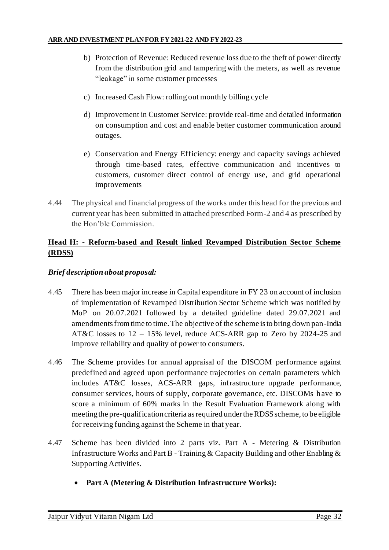- b) Protection of Revenue: Reduced revenue loss due to the theft of power directly from the distribution grid and tampering with the meters, as well as revenue "leakage" in some customer processes
- c) Increased Cash Flow: rolling out monthly billing cycle
- d) Improvement in Customer Service: provide real-time and detailed information on consumption and cost and enable better customer communication around outages.
- e) Conservation and Energy Efficiency: energy and capacity savings achieved through time-based rates, effective communication and incentives to customers, customer direct control of energy use, and grid operational improvements
- 4.44 The physical and financial progress of the works under this head for the previous and current year has been submitted in attached prescribed Form-2 and 4 as prescribed by the Hon'ble Commission.

## **Head H: - Reform-based and Result linked Revamped Distribution Sector Scheme (RDSS)**

## *Brief description about proposal:*

- 4.45 There has been major increase in Capital expenditure in FY 23 on account of inclusion of implementation of Revamped Distribution Sector Scheme which was notified by MoP on 20.07.2021 followed by a detailed guideline dated 29.07.2021 and amendments from time to time. The objective of the scheme is to bring down pan-India AT&C losses to 12 – 15% level, reduce ACS-ARR gap to Zero by 2024-25 and improve reliability and quality of power to consumers.
- 4.46 The Scheme provides for annual appraisal of the DISCOM performance against predefined and agreed upon performance trajectories on certain parameters which includes AT&C losses, ACS-ARR gaps, infrastructure upgrade performance, consumer services, hours of supply, corporate governance, etc. DISCOMs have to score a minimum of 60% marks in the Result Evaluation Framework along with meeting the pre-qualification criteria as required under the RDSS scheme, to be eligible for receiving funding against the Scheme in that year.
- 4.47 Scheme has been divided into 2 parts viz. Part A Metering & Distribution Infrastructure Works and Part B - Training & Capacity Building and other Enabling & Supporting Activities.
	- **Part A (Metering & Distribution Infrastructure Works):**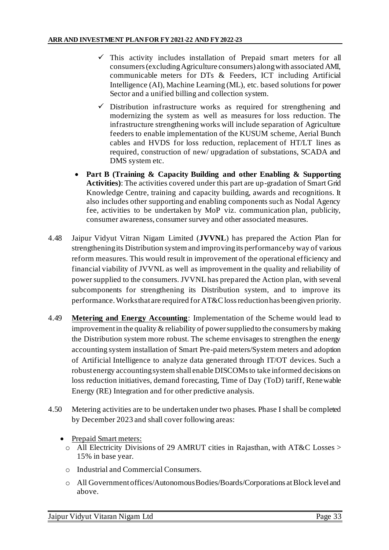- $\checkmark$  This activity includes installation of Prepaid smart meters for all consumers (excluding Agriculture consumers) along with associated AMI, communicable meters for DTs & Feeders, ICT including Artificial Intelligence (AI), Machine Learning (ML), etc. based solutions for power Sector and a unified billing and collection system.
- $\checkmark$  Distribution infrastructure works as required for strengthening and modernizing the system as well as measures for loss reduction. The infrastructure strengthening works will include separation of Agriculture feeders to enable implementation of the KUSUM scheme, Aerial Bunch cables and HVDS for loss reduction, replacement of HT/LT lines as required, construction of new/ upgradation of substations, SCADA and DMS system etc.
- **Part B (Training & Capacity Building and other Enabling & Supporting Activities)**: The activities covered under this part are up-gradation of Smart Grid Knowledge Centre, training and capacity building, awards and recognitions. It also includes other supporting and enabling components such as Nodal Agency fee, activities to be undertaken by MoP viz. communication plan, publicity, consumer awareness, consumer survey and other associated measures.
- 4.48 Jaipur Vidyut Vitran Nigam Limited (**JVVNL**) has prepared the Action Plan for strengthening its Distribution system and improving its performance by way of various reform measures. This would result in improvement of the operational efficiency and financial viability of JVVNL as well as improvement in the quality and reliability of power supplied to the consumers. JVVNL has prepared the Action plan, with several subcomponents for strengthening its Distribution system, and to improve its performance. Works that are required for AT&C loss reduction has been given priority.
- 4.49 **Metering and Energy Accounting**: Implementation of the Scheme would lead to improvement in the quality & reliability of power supplied to the consumers by making the Distribution system more robust. The scheme envisages to strengthen the energy accounting system installation of Smart Pre-paid meters/System meters and adoption of Artificial Intelligence to analyze data generated through IT/OT devices. Such a robust energy accounting system shall enable DISCOMs to take informed decisions on loss reduction initiatives, demand forecasting, Time of Day (ToD) tariff, Renewable Energy (RE) Integration and for other predictive analysis.
- 4.50 Metering activities are to be undertaken under two phases. Phase I shall be completed by December 2023 and shall cover following areas:
	- Prepaid Smart meters:
		- o All Electricity Divisions of 29 AMRUT cities in Rajasthan, with AT&C Losses > 15% in base year.
		- o Industrial and Commercial Consumers.
		- o All Government offices/Autonomous Bodies/Boards/Corporations at Block level and above.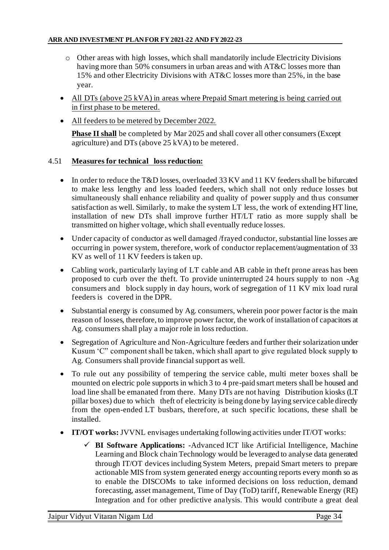- $\circ$  Other areas with high losses, which shall mandatorily include Electricity Divisions having more than 50% consumers in urban areas and with AT&C losses more than 15% and other Electricity Divisions with AT&C losses more than 25%, in the base year.
- All DTs (above 25 kVA) in areas where Prepaid Smart metering is being carried out in first phase to be metered.
- All feeders to be metered by December 2022.

**Phase II shall** be completed by Mar 2025 and shall cover all other consumers (Except agriculture) and DTs (above 25 kVA) to be metered.

### 4.51 **Measures for technical loss reduction:**

- In order to reduce the T&D losses, overloaded 33 KV and 11 KV feeders shall be bifurcated to make less lengthy and less loaded feeders, which shall not only reduce losses but simultaneously shall enhance reliability and quality of power supply and thus consumer satisfaction as well. Similarly, to make the system LT less, the work of extending HT line, installation of new DTs shall improve further HT/LT ratio as more supply shall be transmitted on higher voltage, which shall eventually reduce losses.
- Under capacity of conductor as well damaged /frayed conductor, substantial line losses are occurring in power system, therefore, work of conductor replacement/augmentation of 33 KV as well of 11 KV feeders is taken up.
- Cabling work, particularly laying of LT cable and AB cable in theft prone areas has been proposed to curb over the theft. To provide uninterrupted 24 hours supply to non -Ag consumers and block supply in day hours, work of segregation of 11 KV mix load rural feeders is covered in the DPR.
- Substantial energy is consumed by Ag. consumers, wherein poor power factor is the main reason of losses, therefore, to improve power factor, the work of installation of capacitors at Ag. consumers shall play a major role in loss reduction.
- Segregation of Agriculture and Non-Agriculture feeders and further their solarization under Kusum 'C" component shall be taken, which shall apart to give regulated block supply to Ag. Consumers shall provide financial support as well.
- To rule out any possibility of tempering the service cable, multi meter boxes shall be mounted on electric pole supports in which 3 to 4 pre-paid smart meters shall be housed and load line shall be emanated from there. Many DTs are not having Distribution kiosks (LT pillar boxes) due to which theft of electricity is being done by laying service cable directly from the open-ended LT busbars, therefore, at such specific locations, these shall be installed.
- **IT/OT works:** JVVNL envisages undertaking following activities under IT/OT works:
	- ✓ **BI Software Applications:** -Advanced ICT like Artificial Intelligence, Machine Learning and Block chain Technology would be leveraged to analyse data generated through IT/OT devices including System Meters, prepaid Smart meters to prepare actionable MIS from system generated energy accounting reports every month so as to enable the DISCOMs to take informed decisions on loss reduction, demand forecasting, asset management, Time of Day (ToD) tariff, Renewable Energy (RE) Integration and for other predictive analysis. This would contribute a great deal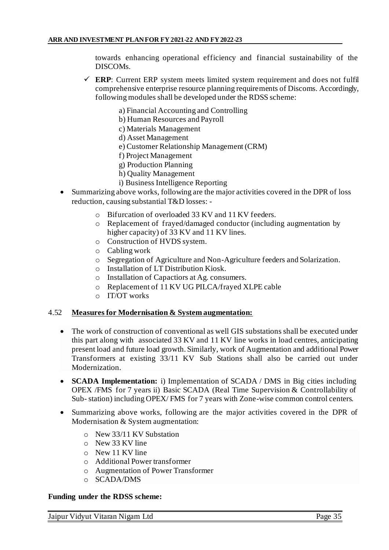towards enhancing operational efficiency and financial sustainability of the DISCOMs.

- $\checkmark$  **ERP**: Current ERP system meets limited system requirement and does not fulfil comprehensive enterprise resource planning requirements of Discoms. Accordingly, following modules shall be developed under the RDSS scheme:
	- a) Financial Accounting and Controlling
	- b) Human Resources and Payroll
	- c) Materials Management
	- d) Asset Management
	- e) Customer Relationship Management (CRM)
	- f) Project Management
	- g) Production Planning
	- h) Quality Management
	- i) Business Intelligence Reporting
- Summarizing above works, following are the major activities covered in the DPR of loss reduction, causing substantial T&D losses:
	- o Bifurcation of overloaded 33 KV and 11 KV feeders.
	- o Replacement of frayed/damaged conductor (including augmentation by higher capacity) of 33 KV and 11 KV lines.
	- o Construction of HVDS system.
	- o Cabling work
	- o Segregation of Agriculture and Non-Agriculture feeders and Solarization.
	- o Installation of LT Distribution Kiosk.
	- o Installation of Capactiors at Ag. consumers.
	- o Replacement of 11 KV UG PILCA/frayed XLPE cable
	- o IT/OT works

#### 4.52 **Measures for Modernisation & System augmentation:**

- The work of construction of conventional as well GIS substations shall be executed under this part along with associated 33 KV and 11 KV line works in load centres, anticipating present load and future load growth. Similarly, work of Augmentation and additional Power Transformers at existing 33/11 KV Sub Stations shall also be carried out under Modernization.
- **SCADA Implementation:** i) Implementation of SCADA / DMS in Big cities including OPEX /FMS for 7 years ii) Basic SCADA (Real Time Supervision & Controllability of Sub- station) including OPEX/ FMS for 7 years with Zone-wise common control centers.
- Summarizing above works, following are the major activities covered in the DPR of Modernisation & System augmentation:
	- o New 33/11 KV Substation
	- o New 33 KV line
	- o New 11 KV line
	- o Additional Power transformer
	- o Augmentation of Power Transformer
	- o SCADA/DMS

#### **Funding under the RDSS scheme:**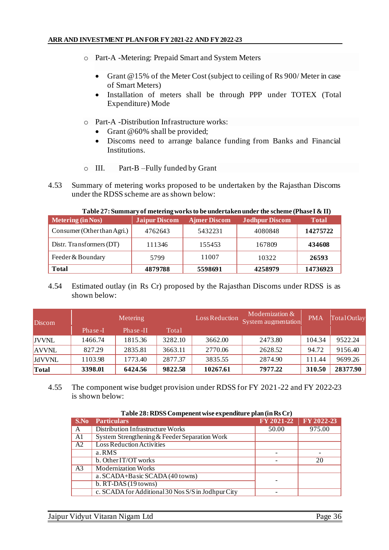- o Part-A -Metering: Prepaid Smart and System Meters
	- Grant @15% of the Meter Cost (subject to ceiling of Rs 900/ Meter in case of Smart Meters)
	- Installation of meters shall be through PPP under TOTEX (Total Expenditure) Mode
- o Part-A -Distribution Infrastructure works:
	- Grant @60% shall be provided;
	- Discoms need to arrange balance funding from Banks and Financial Institutions.
- o III. Part-B –Fully funded by Grant
- 4.53 Summary of metering works proposed to be undertaken by the Rajasthan Discoms under the RDSS scheme are as shown below:

| $\sim$ which is a construction of the construction of $\sim$ $\sim$ $\sim$ which is a constructed for the construction of $\sim$ $\sim$ |                      |                     |                       |              |  |
|-----------------------------------------------------------------------------------------------------------------------------------------|----------------------|---------------------|-----------------------|--------------|--|
| <b>Metering (in Nos)</b>                                                                                                                | <b>Jaipur Discom</b> | <b>Ajmer Discom</b> | <b>Jodhpur Discom</b> | <b>Total</b> |  |
| Consumer (Other than Agri.)                                                                                                             | 4762643              | 5432231             | 4080848               | 14275722     |  |
| Distr. Transformers (DT)                                                                                                                | 111346               | 155453              | 167809                | 434608       |  |
| Feeder & Boundary                                                                                                                       | 5799                 | 11007               | 10322                 | 26593        |  |
| <b>Total</b>                                                                                                                            | 4879788              | 5598691             | 4258979               | 14736923     |  |

**Table 27: Summary of metering works to be undertaken under the scheme (Phase I & II)**

## 4.54 Estimated outlay (in Rs Cr) proposed by the Rajasthan Discoms under RDSS is as shown below:

| Discom        | <b>Metering</b> |          | Loss Reduction | Modernization $&$<br>System augmentation | <b>PMA</b> | TotalOutlay |          |
|---------------|-----------------|----------|----------------|------------------------------------------|------------|-------------|----------|
|               | Phase-I         | Phase-II | Total          |                                          |            |             |          |
| <b>JVVNL</b>  | 1466.74         | 1815.36  | 3282.10        | 3662.00                                  | 2473.80    | 104.34      | 9522.24  |
| <b>AVVNL</b>  | 827.29          | 2835.81  | 3663.11        | 2770.06                                  | 2628.52    | 94.72       | 9156.40  |
| <b>JdVVNL</b> | 1103.98         | 1773.40  | 2877.37        | 3835.55                                  | 2874.90    | 111.44      | 9699.26  |
| Total         | 3398.01         | 6424.56  | 9822.58        | 10267.61                                 | 7977.22    | 310.50      | 28377.90 |

4.55 The component wise budget provision under RDSS for FY 2021-22 and FY 2022-23 is shown below:

| Table 28: RDSS Compenent wise expenditure plan (in Rs Cr) |  |  |
|-----------------------------------------------------------|--|--|
|                                                           |  |  |

| S.No           | <b>Particulars</b>                                 | FY 2021-22 | FY 2022-23 |  |  |
|----------------|----------------------------------------------------|------------|------------|--|--|
| A              | Distribution Infrastructure Works                  | 50.00      | 975.00     |  |  |
| A <sub>1</sub> | System Strengthening & Feeder Separation Work      |            |            |  |  |
| A2             | <b>Loss Reduction Activities</b>                   |            |            |  |  |
|                | a.RMS                                              |            |            |  |  |
|                | b. Other IT/OT works                               |            | 20         |  |  |
| A <sub>3</sub> | <b>Modernization Works</b>                         |            |            |  |  |
|                | a. SCADA+Basic SCADA (40 towns)                    |            |            |  |  |
|                | $b. RT-DAS(19 towns)$                              |            |            |  |  |
|                | c. SCADA for Additional 30 Nos S/S in Jodhpur City |            |            |  |  |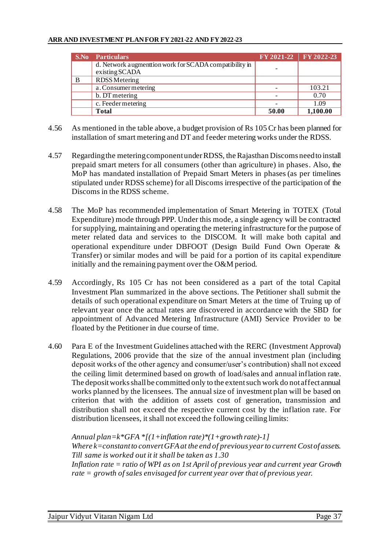#### **ARR AND INVESTMENT PLAN FOR FY 2021-22 AND FY 2022-23**

|   | <b>S.No</b> Particulars                                 |       | FY 2021-22 FY 2022-23 |
|---|---------------------------------------------------------|-------|-----------------------|
|   | d. Network augment tion work for SCADA compatibility in |       |                       |
|   | existing SCADA                                          |       |                       |
| B | RDSS Metering                                           |       |                       |
|   | a. Consumer metering                                    |       | 103.21                |
|   | b. DT metering                                          |       | 0.70                  |
|   | c. Feeder metering                                      |       | 1.09                  |
|   | <b>Total</b>                                            | 50.00 | 1,100.00              |

- 4.56 As mentioned in the table above, a budget provision of Rs 105 Cr has been planned for installation of smart metering and DT and feeder metering works under the RDSS.
- 4.57 Regarding the metering component under RDSS, the Rajasthan Discoms need to install prepaid smart meters for all consumers (other than agriculture) in phases. Also, the MoP has mandated installation of Prepaid Smart Meters in phases (as per timelines stipulated under RDSS scheme) for all Discoms irrespective of the participation of the Discoms in the RDSS scheme.
- 4.58 The MoP has recommended implementation of Smart Metering in TOTEX (Total Expenditure) mode through PPP. Under this mode, a single agency will be contracted for supplying, maintaining and operating the metering infrastructure for the purpose of meter related data and services to the DISCOM. It will make both capital and operational expenditure under DBFOOT (Design Build Fund Own Operate & Transfer) or similar modes and will be paid for a portion of its capital expenditure initially and the remaining payment over the O&M period.
- 4.59 Accordingly, Rs 105 Cr has not been considered as a part of the total Capital Investment Plan summarized in the above sections. The Petitioner shall submit the details of such operational expenditure on Smart Meters at the time of Truing up of relevant year once the actual rates are discovered in accordance with the SBD for appointment of Advanced Metering Infrastructure (AMI) Service Provider to be floated by the Petitioner in due course of time.
- 4.60 Para E of the Investment Guidelines attached with the RERC (Investment Approval) Regulations, 2006 provide that the size of the annual investment plan (including deposit works of the other agency and consumer/user's contribution) shall not exceed the ceiling limit determined based on growth of load/sales and annual inflation rate. The deposit works shall be committed only to the extent such work do not affect annual works planned by the licensees. The annual size of investment plan will be based on criterion that with the addition of assets cost of generation, transmission and distribution shall not exceed the respective current cost by the inflation rate. For distribution licensees, it shall not exceed the following ceiling limits:

*Annual plan=k\*GFA \*[(1+inflation rate)\*(1+growth rate)-1] Where k=constant to convert GFA at the end of previous year to current Cost of assets. Till same is worked out it it shall be taken as 1.30 Inflation rate = ratio of WPI as on 1st April of previous year and current year Growth rate = growth of sales envisaged for current year over that of previous year.*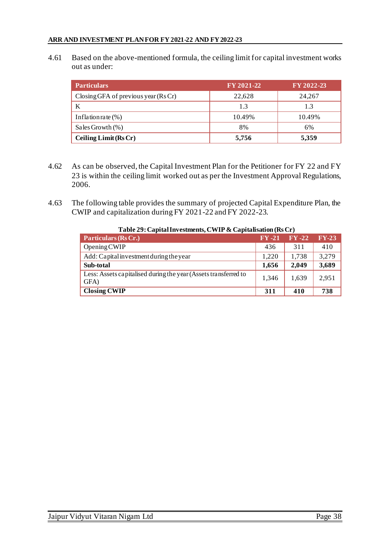4.61 Based on the above-mentioned formula, the ceiling limit for capital investment works out as under:

| <b>Particulars</b>                    | FY 2021-22 | FY 2022-23 |
|---------------------------------------|------------|------------|
| Closing GFA of previous year $(RsCr)$ | 22,628     | 24,267     |
|                                       | 1.3        | 1.3        |
| Inflation rate $(\%)$                 | 10.49%     | 10.49%     |
| Sales Growth $(\%)$                   | 8%         | 6%         |
| Ceiling Limit (Rs Cr)                 | 5,756      | 5,359      |

- 4.62 As can be observed, the Capital Investment Plan for the Petitioner for FY 22 and FY 23 is within the ceiling limit worked out as per the Investment Approval Regulations, 2006.
- 4.63 The following table provides the summary of projected Capital Expenditure Plan, the CWIP and capitalization during FY 2021-22 and FY 2022-23.

| Particulars (Rs Cr.)                                                    | $\bf{FV}$ -21 | $\bf{FV-22}$ | $FY-23$ |
|-------------------------------------------------------------------------|---------------|--------------|---------|
| Opening CWIP                                                            | 436           | 311          | 410     |
| Add: Capital investment during the year                                 | 1.220         | 1.738        | 3,279   |
| Sub-total                                                               | 1,656         | 2,049        | 3,689   |
| Less: Assets capitalised during the year (Assets transferred to<br>GFA) | 1,346         | 1,639        | 2,951   |
| <b>Closing CWIP</b>                                                     | 311           | 410          | 738     |

### **Table 29: Capital Investments, CWIP & Capitalisation (Rs Cr)**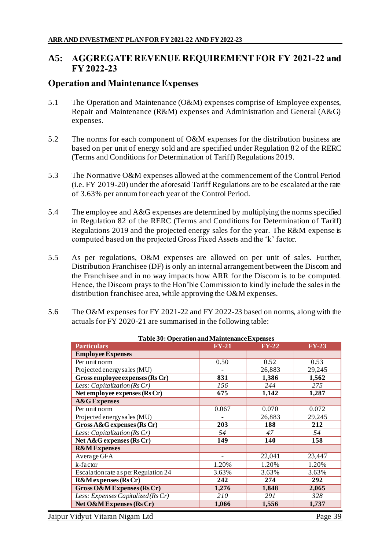# **A5: AGGREGATE REVENUE REQUIREMENT FOR FY 2021-22 and FY 2022-23**

# **Operation and Maintenance Expenses**

- 5.1 The Operation and Maintenance (O&M) expenses comprise of Employee expenses, Repair and Maintenance (R&M) expenses and Administration and General (A&G) expenses.
- 5.2 The norms for each component of O&M expenses for the distribution business are based on per unit of energy sold and are specified under Regulation 82 of the RERC (Terms and Conditions for Determination of Tariff) Regulations 2019.
- 5.3 The Normative O&M expenses allowed at the commencement of the Control Period (i.e. FY 2019-20) under the aforesaid Tariff Regulations are to be escalated at the rate of 3.63% per annum for each year of the Control Period.
- 5.4 The employee and A&G expenses are determined by multiplying the norms specified in Regulation 82 of the RERC (Terms and Conditions for Determination of Tariff) Regulations 2019 and the projected energy sales for the year. The R&M expense is computed based on the projected Gross Fixed Assets and the 'k' factor.
- 5.5 As per regulations, O&M expenses are allowed on per unit of sales. Further, Distribution Franchisee (DF) is only an internal arrangement between the Discom and the Franchisee and in no way impacts how ARR for the Discom is to be computed. Hence, the Discom prays to the Hon'ble Commission to kindly include the sales in the distribution franchisee area, while approving the O&M expenses.
- 5.6 The O&M expenses for FY 2021-22 and FY 2022-23 based on norms, along with the actuals for FY 2020-21 are summarised in the following table:

| <b>Particulars</b>                   | <b>FY-21</b>             | $FY-22$ | <b>FY-23</b> |
|--------------------------------------|--------------------------|---------|--------------|
| <b>Employee Expenses</b>             |                          |         |              |
| Per unit norm                        | 0.50                     | 0.52    | 0.53         |
| Projected energy sales (MU)          |                          | 26,883  | 29,245       |
| Gross employee expenses (Rs Cr)      | 831                      | 1,386   | 1,562        |
| Less: Capitalization (Rs Cr)         | 156                      | 244     | 275          |
| Net employee expenses (Rs Cr)        | 675                      | 1,142   | 1,287        |
| <b>A&amp;G</b> Expenses              |                          |         |              |
| Per unit norm                        | 0.067                    | 0.070   | 0.072        |
| Projected energy sales (MU)          |                          | 26,883  | 29,245       |
| Gross $A\&G$ expenses (Rs Cr)        | 203                      | 188     | 212          |
| Less: Capitalization ( $Rs Cr$ )     | 54                       | 47      | 54           |
| Net A&G expenses (Rs Cr)             | 149                      | 140     | 158          |
| <b>R&amp;MExpenses</b>               |                          |         |              |
| Average GFA                          | $\overline{\phantom{a}}$ | 22,041  | 23,447       |
| k-factor                             | 1.20%                    | 1.20%   | 1.20%        |
| Escalation rate as per Regulation 24 | 3.63%                    | 3.63%   | 3.63%        |
| <b>R&amp;M</b> expenses (Rs Cr)      | 242                      | 274     | 292          |
| Gross O&M Expenses (Rs Cr)           | 1,276                    | 1,848   | 2,065        |
| Less: Expenses Capitalized (Rs Cr)   | 210                      | 291     | 328          |
| Net O&M Expenses (Rs Cr)             | 1,066                    | 1,556   | 1,737        |

**Table 30: Operation and Maintenance Expenses**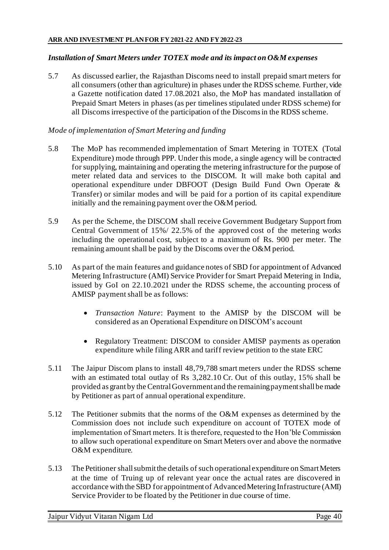### *Installation of Smart Meters under TOTEX mode and its impact on O&M expenses*

5.7 As discussed earlier, the Rajasthan Discoms need to install prepaid smart meters for all consumers (other than agriculture) in phases under the RDSS scheme. Further, vide a Gazette notification dated 17.08.2021 also, the MoP has mandated installation of Prepaid Smart Meters in phases (as per timelines stipulated under RDSS scheme) for all Discoms irrespective of the participation of the Discoms in the RDSS scheme.

### *Mode of implementation of Smart Metering and funding*

- 5.8 The MoP has recommended implementation of Smart Metering in TOTEX (Total Expenditure) mode through PPP. Under this mode, a single agency will be contracted for supplying, maintaining and operating the metering infrastructure for the purpose of meter related data and services to the DISCOM. It will make both capital and operational expenditure under DBFOOT (Design Build Fund Own Operate & Transfer) or similar modes and will be paid for a portion of its capital expenditure initially and the remaining payment over the O&M period.
- 5.9 As per the Scheme, the DISCOM shall receive Government Budgetary Support from Central Government of 15%/ 22.5% of the approved cost of the metering works including the operational cost, subject to a maximum of Rs. 900 per meter. The remaining amount shall be paid by the Discoms over the O&M period.
- 5.10 As part of the main features and guidance notes of SBD for appointment of Advanced Metering Infrastructure (AMI) Service Provider for Smart Prepaid Metering in India, issued by GoI on 22.10.2021 under the RDSS scheme, the accounting process of AMISP payment shall be as follows:
	- *Transaction Nature*: Payment to the AMISP by the DISCOM will be considered as an Operational Expenditure on DISCOM's account
	- Regulatory Treatment: DISCOM to consider AMISP payments as operation expenditure while filing ARR and tariff review petition to the state ERC
- 5.11 The Jaipur Discom plans to install 48,79,788 smart meters under the RDSS scheme with an estimated total outlay of Rs 3,282.10 Cr. Out of this outlay, 15% shall be provided as grant by the Central Government and the remaining payment shall be made by Petitioner as part of annual operational expenditure.
- 5.12 The Petitioner submits that the norms of the O&M expenses as determined by the Commission does not include such expenditure on account of TOTEX mode of implementation of Smart meters. It is therefore, requested to the Hon'ble Commission to allow such operational expenditure on Smart Meters over and above the normative O&M expenditure.
- 5.13 The Petitioner shall submit the details of such operational expenditure on Smart Meters at the time of Truing up of relevant year once the actual rates are discovered in accordance with the SBD for appointment of Advanced Metering Infrastructure (AMI) Service Provider to be floated by the Petitioner in due course of time.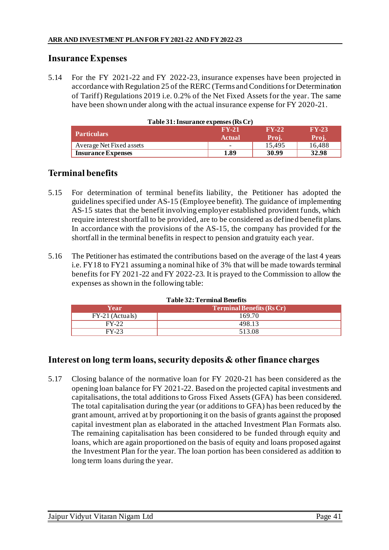# **Insurance Expenses**

5.14 For the FY 2021-22 and FY 2022-23, insurance expenses have been projected in accordance with Regulation 25 of the RERC (Terms and Conditions for Determination of Tariff) Regulations 2019 i.e. 0.2% of the Net Fixed Assets for the year. The same have been shown under along with the actual insurance expense for FY 2020-21.

| Table 31: Insurance expenses $(RsCr)$ |                          |         |         |  |
|---------------------------------------|--------------------------|---------|---------|--|
|                                       | $FY-21$                  | $FY-22$ | $FY-23$ |  |
| <b>Particulars</b>                    | <b>Actual</b>            | Proj.   | Proj.   |  |
| Average Net Fixed assets              | $\overline{\phantom{a}}$ | 15.495  | 16,488  |  |
| <b>Insurance Expenses</b>             | 1.89                     | 30.99   | 32.98   |  |

# **Terminal benefits**

- 5.15 For determination of terminal benefits liability, the Petitioner has adopted the guidelines specified under AS-15 (Employee benefit). The guidance of implementing AS-15 states that the benefit involving employer established provident funds, which require interest shortfall to be provided, are to be considered as defined benefit plans. In accordance with the provisions of the AS-15, the company has provided for the shortfall in the terminal benefits in respect to pension and gratuity each year.
- 5.16 The Petitioner has estimated the contributions based on the average of the last 4 years i.e. FY18 to FY21 assuming a nominal hike of 3% that will be made towards terminal benefits for FY 2021-22 and FY 2022-23. It is prayed to the Commission to allow the expenses as shown in the following table:

| <b>Table 32: Terminal Benefits</b> |                           |  |  |
|------------------------------------|---------------------------|--|--|
| Year                               | Terminal Benefits (Rs Cr) |  |  |
| FY-21 (Actuals)                    | 169.70                    |  |  |
| $FY-22$                            | 498.13                    |  |  |
| FY-23                              | 513.08                    |  |  |

# **Interest on long term loans, security deposits & other finance charges**

5.17 Closing balance of the normative loan for FY 2020-21 has been considered as the opening loan balance for FY 2021-22. Based on the projected capital investments and capitalisations, the total additions to Gross Fixed Assets (GFA) has been considered. The total capitalisation during the year (or additions to GFA) has been reduced by the grant amount, arrived at by proportioning it on the basis of grants against the proposed capital investment plan as elaborated in the attached Investment Plan Formats also. The remaining capitalisation has been considered to be funded through equity and loans, which are again proportioned on the basis of equity and loans proposed against the Investment Plan for the year. The loan portion has been considered as addition to long term loans during the year.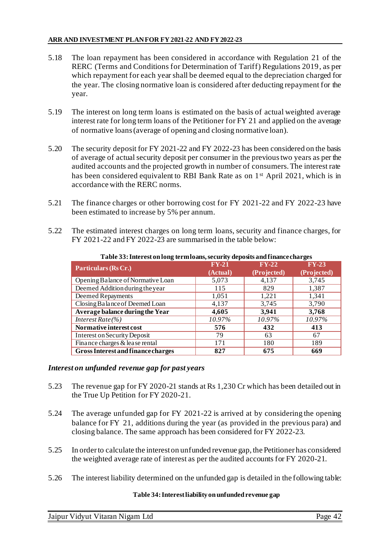- 5.18 The loan repayment has been considered in accordance with Regulation 21 of the RERC (Terms and Conditions for Determination of Tariff) Regulations 2019, as per which repayment for each year shall be deemed equal to the depreciation charged for the year. The closing normative loan is considered after deducting repayment for the year.
- 5.19 The interest on long term loans is estimated on the basis of actual weighted average interest rate for long term loans of the Petitioner for FY 21 and applied on the average of normative loans (average of opening and closing normative loan).
- 5.20 The security deposit for FY 2021-22 and FY 2022-23 has been considered on the basis of average of actual security deposit per consumer in the previous two years as per the audited accounts and the projected growth in number of consumers. The interest rate has been considered equivalent to RBI Bank Rate as on 1<sup>st</sup> April 2021, which is in accordance with the RERC norms.
- 5.21 The finance charges or other borrowing cost for FY 2021-22 and FY 2022-23 have been estimated to increase by 5% per annum.
- 5.22 The estimated interest charges on long term loans, security and finance charges, for FY 2021-22 and FY 2022-23 are summarised in the table below:

| ັ<br>Particulars (Rs Cr.)                 | $FY-21$  | $FY-22$              | $FY-23$     |
|-------------------------------------------|----------|----------------------|-------------|
|                                           | (Actual) | (Projected)          | (Projected) |
| Opening Balance of Normative Loan         | 5,073    | 4,137                | 3,745       |
| Deemed Addition during the year           | 115      | 829                  | 1,387       |
| Deemed Repayments                         | 1,051    | 1,221                | 1,341       |
| Closing Balance of Deemed Loan            | 4,137    | 3,745                | 3,790       |
| Average balance during the Year           | 4,605    | 3,941                | 3,768       |
| Interest Rate(%)                          | 10.97%   | $\overline{10.97\%}$ | 10.97%      |
| Normative interest cost                   | 576      | 432                  | 413         |
| Interest on Security Deposit              | 79       | 63                   | 67          |
| Finance charges & lease rental            | 171      | 180                  | 189         |
| <b>Gross Interest and finance charges</b> | 827      | 675                  | 669         |

#### **Table 33: Interest on long term loans, security deposits and finance charges**

### *Interest on unfunded revenue gap for past years*

- 5.23 The revenue gap for FY 2020-21 stands at Rs 1,230 Cr which has been detailed out in the True Up Petition for FY 2020-21.
- 5.24 The average unfunded gap for FY 2021-22 is arrived at by considering the opening balance for FY 21, additions during the year (as provided in the previous para) and closing balance. The same approach has been considered for FY 2022-23.
- 5.25 In order to calculate the interest on unfunded revenue gap, the Petitioner has considered the weighted average rate of interest as per the audited accounts for FY 2020-21.
- 5.26 The interest liability determined on the unfunded gap is detailed in the following table:

#### **Table 34: Interest liability on unfunded revenue gap**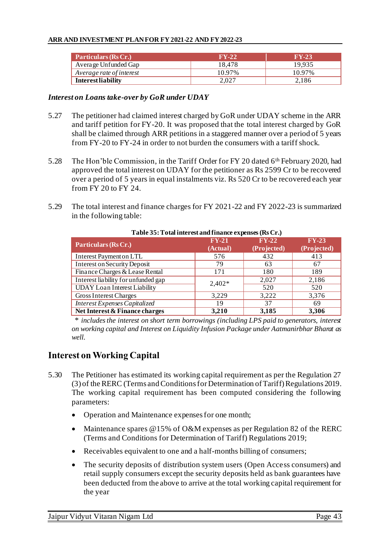### **ARR AND INVESTMENT PLAN FOR FY 2021-22 AND FY 2022-23**

| <b>Particulars (Rs Cr.)</b> | $FY-22$ | $FY-23$ |
|-----------------------------|---------|---------|
| Average Unfunded Gap        | 18.478  | 19.935  |
| Average rate of interest    | 10.97%  | 10.97%  |
| Interest liability          | 2.027   | 2.186   |

### *Interest on Loans take-over by GoR under UDAY*

- 5.27 The petitioner had claimed interest charged by GoR under UDAY scheme in the ARR and tariff petition for FY-20. It was proposed that the total interest charged by GoR shall be claimed through ARR petitions in a staggered manner over a period of 5 years from FY-20 to FY-24 in order to not burden the consumers with a tariff shock.
- 5.28 The Hon'ble Commission, in the Tariff Order for FY 20 dated 6th February 2020, had approved the total interest on UDAY for the petitioner as Rs 2599 Cr to be recovered over a period of 5 years in equal instalments viz. Rs 520 Cr to be recovered each year from FY 20 to FY 24.
- 5.29 The total interest and finance charges for FY 2021-22 and FY 2022-23 is summarized in the following table:

| Table 35: Total interest and finance expenses (Rs Cr.) |          |             |             |  |  |  |
|--------------------------------------------------------|----------|-------------|-------------|--|--|--|
| Particulars (Rs Cr.)                                   | $FY-21$  | $FY-22$     | $FY-23$     |  |  |  |
|                                                        | (Actual) | (Projected) | (Projected) |  |  |  |
| <b>Interest Payment on LTL</b>                         | 576      | 432         | 413         |  |  |  |
| Interest on Security Deposit                           | 79       | 63          | 67          |  |  |  |
| Finance Charges & Lease Rental                         | 171      | 180         | 189         |  |  |  |
| Interest liability for unfunded gap                    | $2,402*$ | 2,027       | 2,186       |  |  |  |
| <b>UDAY</b> Loan Interest Liability                    |          | 520         | 520         |  |  |  |
| <b>Gross Interest Charges</b>                          | 3,229    | 3,222       | 3,376       |  |  |  |
| Interest Expenses Capitalized                          | 19       | 37          | 69          |  |  |  |
| Net Interest & Finance charges                         | 3,210    | 3,185       | 3,306       |  |  |  |

# **Table 35: Total interest and finance expenses (Rs Cr.)**

\* *includes the interest on short term borrowings (including LPS paid to generators, interest on working capital and Interest on Liquidity Infusion Package under Aatmanirbhar Bharat as well.*

# **Interest on Working Capital**

- 5.30 The Petitioner has estimated its working capital requirement as per the Regulation 27 (3) of the RERC (Terms and Conditions for Determination of Tariff) Regulations 2019. The working capital requirement has been computed considering the following parameters:
	- Operation and Maintenance expenses for one month;
	- Maintenance spares @15% of O&M expenses as per Regulation 82 of the RERC (Terms and Conditions for Determination of Tariff) Regulations 2019;
	- Receivables equivalent to one and a half-months billing of consumers;
	- The security deposits of distribution system users (Open Access consumers) and retail supply consumers except the security deposits held as bank guarantees have been deducted from the above to arrive at the total working capital requirement for the year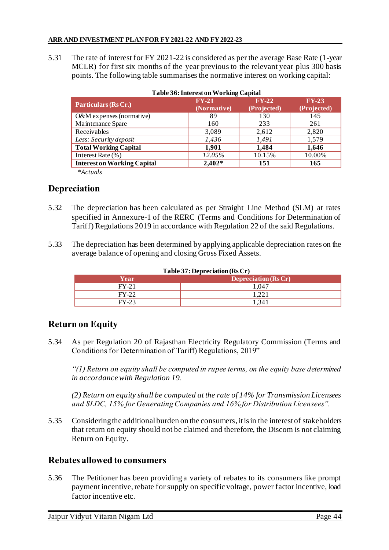5.31 The rate of interest for FY 2021-22 is considered as per the average Base Rate (1-year MCLR) for first six months of the year previous to the relevant year plus 300 basis points. The following table summarises the normative interest on working capital:

| <b>Table 36: Interest on Working Capital</b> |                        |                        |                        |  |  |
|----------------------------------------------|------------------------|------------------------|------------------------|--|--|
| Particulars (Rs Cr.)                         | $FY-21$<br>(Normative) | $FY-22$<br>(Projected) | $FY-23$<br>(Projected) |  |  |
| O&M expenses (normative)                     | 89                     | 130                    | 145                    |  |  |
| Maintenance Spare                            | 160                    | 233                    | 261                    |  |  |
| Receivables                                  | 3,089                  | 2,612                  | 2,820                  |  |  |
| Less: Security deposit                       | 1,436                  | 1,491                  | 1,579                  |  |  |
| <b>Total Working Capital</b>                 | 1,901                  | 1,484                  | 1,646                  |  |  |
| Interest Rate (%)                            | 12.05%                 | 10.15%                 | 10.00%                 |  |  |
| <b>Interest on Working Capital</b>           | $2,402*$               | 151                    | 165                    |  |  |

*\*Actuals*

# **Depreciation**

- 5.32 The depreciation has been calculated as per Straight Line Method (SLM) at rates specified in Annexure-1 of the RERC (Terms and Conditions for Determination of Tariff) Regulations 2019 in accordance with Regulation 22 of the said Regulations.
- 5.33 The depreciation has been determined by applying applicable depreciation rates on the average balance of opening and closing Gross Fixed Assets.

| Year    | Depreciation (Rs Cr) |  |  |  |
|---------|----------------------|--|--|--|
| $FY-21$ | 1.047                |  |  |  |
| $FY-22$ | 1.221                |  |  |  |
| $FY-23$ | 1.341                |  |  |  |

#### **Table 37: Depreciation (Rs Cr)**

# **Return on Equity**

5.34 As per Regulation 20 of Rajasthan Electricity Regulatory Commission (Terms and Conditions for Determination of Tariff) Regulations, 2019"

*"(1) Return on equity shall be computed in rupee terms, on the equity base determined in accordance with Regulation 19.*

*(2) Return on equity shall be computed at the rate of 14% for Transmission Licensees and SLDC, 15% for Generating Companies and 16% for Distribution Licensees".*

5.35 Considering the additional burden on the consumers, it is in the interest of stakeholders that return on equity should not be claimed and therefore, the Discom is not claiming Return on Equity.

## **Rebates allowed to consumers**

5.36 The Petitioner has been providing a variety of rebates to its consumers like prompt payment incentive, rebate for supply on specific voltage, power factor incentive, load factor incentive etc.

Jaipur Vidyut Vitaran Nigam Ltd Page 44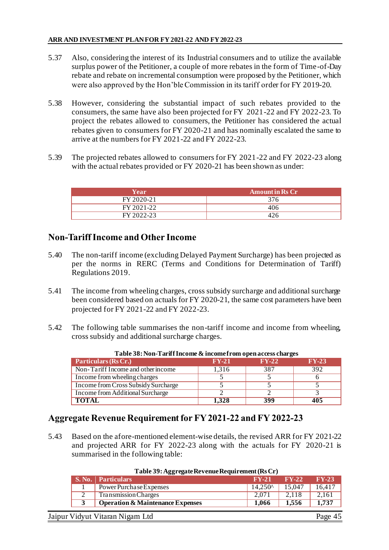- 5.37 Also, considering the interest of its Industrial consumers and to utilize the available surplus power of the Petitioner, a couple of more rebates in the form of Time-of-Day rebate and rebate on incremental consumption were proposed by the Petitioner, which were also approved by the Hon'ble Commission in its tariff order for FY 2019-20.
- 5.38 However, considering the substantial impact of such rebates provided to the consumers, the same have also been projected for FY 2021-22 and FY 2022-23. To project the rebates allowed to consumers, the Petitioner has considered the actual rebates given to consumers for FY 2020-21 and has nominally escalated the same to arrive at the numbers for FY 2021-22 and FY 2022-23.
- 5.39 The projected rebates allowed to consumers for FY 2021-22 and FY 2022-23 along with the actual rebates provided or FY 2020-21 has been shown as under:

| Year       | <b>Amount in Rs Cr</b> |
|------------|------------------------|
| FY 2020-21 |                        |
| FY 2021-22 | 40 P                   |
| FY 2022-23 |                        |

# **Non-Tariff Income and Other Income**

- 5.40 The non-tariff income (excluding Delayed Payment Surcharge) has been projected as per the norms in RERC (Terms and Conditions for Determination of Tariff) Regulations 2019.
- 5.41 The income from wheeling charges, cross subsidy surcharge and additional surcharge been considered based on actuals for FY 2020-21, the same cost parameters have been projected for FY 2021-22 and FY 2022-23.
- 5.42 The following table summarises the non-tariff income and income from wheeling, cross subsidy and additional surcharge charges.

|                                     | Table 50. Political di Income et income il un open access chai ges |         |         |  |  |  |  |
|-------------------------------------|--------------------------------------------------------------------|---------|---------|--|--|--|--|
| Particulars (Rs Cr.)                | $FY-21$                                                            | $FY-22$ | $FY-23$ |  |  |  |  |
| Non-Tariff Income and other income  | 1.316                                                              | 387     | 392     |  |  |  |  |
| Income from wheeling charges        |                                                                    |         |         |  |  |  |  |
| Income from Cross Subsidy Surcharge |                                                                    |         |         |  |  |  |  |
| Income from Additional Surcharge    |                                                                    |         |         |  |  |  |  |
| <b>TOTAL</b>                        | 1,328                                                              | 399     | 405     |  |  |  |  |

### **Table 38: Non-Tariff Income & income from open access charges**

## **Aggregate Revenue Requirement for FY 2021-22 and FY 2022-23**

5.43 Based on the afore-mentioned element-wise details, the revised ARR for FY 2021-22 and projected ARR for FY 2022-23 along with the actuals for FY 2020-21 is summarised in the following table:

| 88 8                                        |                  |              |         |
|---------------------------------------------|------------------|--------------|---------|
| S. No.   Particulars                        | $FY-21$          | $\bf{F}V-22$ | $FY-23$ |
| Power Purchase Expenses                     | $14.250^{\circ}$ | 15,047       | 16,417  |
| <b>Transmission Charges</b>                 | 2.071            | 2.118        | 2.161   |
| <b>Operation &amp; Maintenance Expenses</b> | 1.066            | 1.556        | 1,737   |
|                                             |                  |              |         |
| Jaipur Vidyut Vitaran Nigam Ltd             |                  |              | Page 45 |

#### **Table 39: Aggregate Revenue Requirement (Rs Cr)**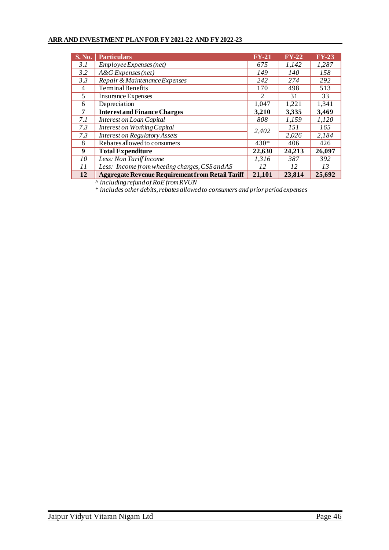### **ARR AND INVESTMENT PLAN FOR FY 2021-22 AND FY 2022-23**

| <b>S. No.</b> | <b>Particulars</b>                                      | $FY-21$ | $FY-22$ | $FY-23$ |
|---------------|---------------------------------------------------------|---------|---------|---------|
| 3.1           | Employee Expenses (net)                                 | 675     | 1,142   | 1,287   |
| 3.2           | $A\&G$ Expenses (net)                                   | 149     | 140     | 158     |
| 3.3           | Repair & Maintenance Expenses                           | 242     | 274     | 292     |
| 4             | <b>Terminal Benefits</b>                                | 170     | 498     | 513     |
| 5             | <b>Insurance Expenses</b>                               | 2       | 31      | 33      |
| 6             | Depreciation                                            | 1,047   | 1,221   | 1,341   |
| 7             | <b>Interest and Finance Charges</b>                     | 3,210   | 3,335   | 3,469   |
| 7.1           | Interest on Loan Capital                                | 808     | 1,159   | 1,120   |
| 7.3           | <b>Interest on Working Capital</b>                      | 2,402   | 151     | 165     |
| 7.3           | <b>Interest on Regulatory Assets</b>                    |         | 2,026   | 2,184   |
| 8             | Rebates allowed to consumers                            | 430*    | 406     | 426     |
| 9             | <b>Total Expenditure</b>                                | 22,630  | 24,213  | 26,097  |
| 10            | Less: Non Tariff Income                                 | 1,316   | 387     | 392     |
| 11            | Less: Income from wheeling charges, CSS and AS          | 12      | 12      | 13      |
| 12            | <b>Aggregate Revenue Requirement from Retail Tariff</b> | 21,101  | 23,814  | 25,692  |

^ *including refund of RoE from RVUN*

\* *includes other debits, rebates allowed to consumers and prior period expenses*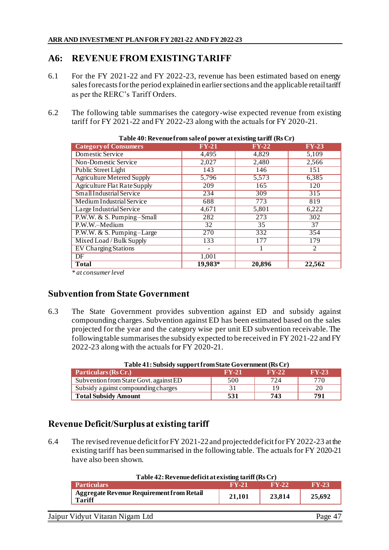# **A6: REVENUE FROM EXISTING TARIFF**

- 6.1 For the FY 2021-22 and FY 2022-23, revenue has been estimated based on energy sales forecasts for the period explained in earlier sections and the applicable retail tariff as per the RERC's Tariff Orders.
- 6.2 The following table summarises the category-wise expected revenue from existing tariff for FY 2021-22 and FY 2022-23 along with the actuals for FY 2020-21.

| $\frac{1}{2}$ and $\frac{1}{2}$ and $\frac{1}{2}$ and $\frac{1}{2}$ and $\frac{1}{2}$ are $\frac{1}{2}$ and $\frac{1}{2}$ and $\frac{1}{2}$ and $\frac{1}{2}$ and $\frac{1}{2}$ |         |                 |                  |  |  |  |
|---------------------------------------------------------------------------------------------------------------------------------------------------------------------------------|---------|-----------------|------------------|--|--|--|
| <b>Category of Consumers</b>                                                                                                                                                    | $FY-21$ | $FY-22$         | $FY-23$          |  |  |  |
| <b>Domestic Service</b>                                                                                                                                                         | 4,495   | 4,829           | 5,109            |  |  |  |
| <b>Non-Domestic Service</b>                                                                                                                                                     | 2,027   | 2,480           | 2,566            |  |  |  |
| <b>Public Street Light</b>                                                                                                                                                      | 143     | 146             | 151              |  |  |  |
| <b>Agriculture Metered Supply</b>                                                                                                                                               | 5,796   | 5,573           | 6,385            |  |  |  |
| <b>Agriculture Flat Rate Supply</b>                                                                                                                                             | 209     | 165             | 120              |  |  |  |
| Small Industrial Service                                                                                                                                                        | 234     | 309             | $\overline{315}$ |  |  |  |
| <b>Medium Industrial Service</b>                                                                                                                                                | 688     | 773             | 819              |  |  |  |
| Large Industrial Service                                                                                                                                                        | 4,671   | 5,801           | 6,222            |  |  |  |
| P.W.W. & S. Pumping-Small                                                                                                                                                       | 282     | 273             | 302              |  |  |  |
| P.W.W.-Medium                                                                                                                                                                   | 32      | $\overline{35}$ | $\overline{37}$  |  |  |  |
| P.W.W. & S. Pumping-Large                                                                                                                                                       | 270     | 332             | 354              |  |  |  |
| Mixed Load / Bulk Supply                                                                                                                                                        | 133     | 177             | 179              |  |  |  |
| <b>EV</b> Charging Stations                                                                                                                                                     |         |                 | 2                |  |  |  |
| DF                                                                                                                                                                              | 1,001   |                 |                  |  |  |  |
| <b>Total</b>                                                                                                                                                                    | 19,983* | 20,896          | 22,562           |  |  |  |
| <u>، التاريخ</u>                                                                                                                                                                |         |                 |                  |  |  |  |

**Table 40: Revenue from sale of power at existing tariff (Rs Cr)**

*\* at consumer level*

# **Subvention from State Government**

6.3 The State Government provides subvention against ED and subsidy against compounding charges. Subvention against ED has been estimated based on the sales projected for the year and the category wise per unit ED subvention receivable. The following table summarises the subsidy expected to be received in FY 2021-22 and FY 2022-23 along with the actuals for FY 2020-21.

| Table 41: Subsidy support from State Government (Rs Cr) |         |         |         |  |  |
|---------------------------------------------------------|---------|---------|---------|--|--|
| Particulars (Rs Cr.)                                    | $FY-21$ | $FY-22$ | $FY-23$ |  |  |
| Subvention from State Govt. against ED                  | 500     | 724     | 770     |  |  |
| Subsidy a gainst compounding charges                    | 31      | 19      | 20      |  |  |
| <b>Total Subsidy Amount</b>                             | 531     | 743     | 791     |  |  |

## **Table 41: Subsidy support from State Government (Rs Cr)**

# **Revenue Deficit/Surplusat existing tariff**

6.4 The revised revenue deficit for FY 2021-22and projected deficit for FY 2022-23 at the existing tariff has been summarised in the following table. The actuals for FY 2020-21 have also been shown.

| Table 42: Revenue deficit at existing tariff (Rs Cr)              |              |              |              |  |
|-------------------------------------------------------------------|--------------|--------------|--------------|--|
| <b>Particulars</b>                                                | $\bf{FV-21}$ | $\bf{FV-22}$ | <b>FY-23</b> |  |
| <b>Aggregate Revenue Requirement from Retail</b><br><b>Tariff</b> | 21.101       | 23,814       | 25.692       |  |
|                                                                   |              |              |              |  |

Jaipur Vidyut Vitaran Nigam Ltd Page 47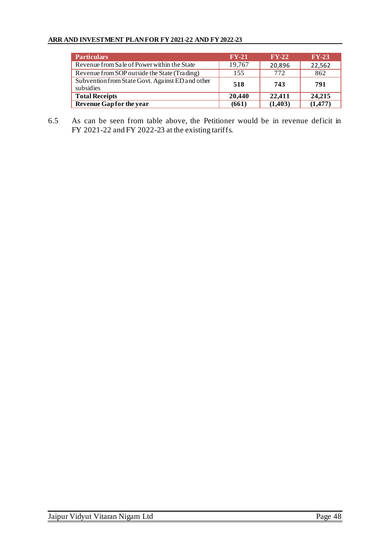### **ARR AND INVESTMENT PLAN FOR FY 2021-22 AND FY 2022-23**

| <b>Particulars</b>                                            | $FY-21$ | $FY-22$  | $FY-23$  |
|---------------------------------------------------------------|---------|----------|----------|
| Revenue from Sale of Power within the State                   | 19,767  | 20,896   | 22,562   |
| Revenue from SOP outside the State (Trading)                  | 155     | 772      | 862      |
| Subvention from State Govt. Against ED and other<br>subsidies | 518     | 743      | 791      |
| <b>Total Receipts</b>                                         | 20,440  | 22,411   | 24,215   |
| Revenue Gap for the year                                      | (661)   | (1, 403) | (1, 477) |

6.5 As can be seen from table above, the Petitioner would be in revenue deficit in FY 2021-22 and FY 2022-23 at the existing tariffs.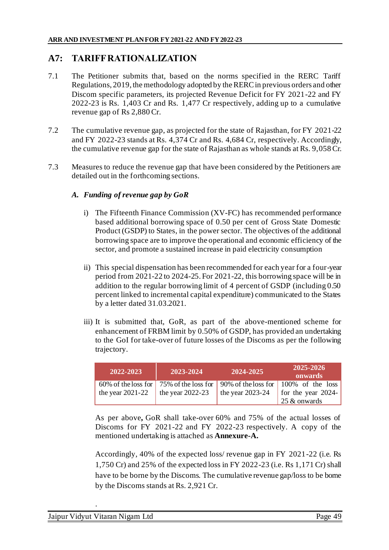# **A7: TARIFF RATIONALIZATION**

- 7.1 The Petitioner submits that, based on the norms specified in the RERC Tariff Regulations, 2019, the methodology adopted by the RERC in previous orders and other Discom specific parameters, its projected Revenue Deficit for FY 2021-22 and FY 2022-23 is Rs. 1,403 Cr and Rs. 1,477 Cr respectively, adding up to a cumulative revenue gap of Rs 2,880 Cr.
- 7.2 The cumulative revenue gap, as projected for the state of Rajasthan, for FY 2021-22 and FY 2022-23 stands at Rs. 4,374 Cr and Rs. 4,684 Cr, respectively. Accordingly, the cumulative revenue gap for the state of Rajasthan as whole stands at Rs. 9,058 Cr.
- 7.3 Measures to reduce the revenue gap that have been considered by the Petitioners are detailed out in the forthcoming sections.

## *A. Funding of revenue gap by GoR*

- i) The Fifteenth Finance Commission (XV-FC) has recommended performance based additional borrowing space of 0.50 per cent of Gross State Domestic Product (GSDP) to States, in the power sector. The objectives of the additional borrowing space are to improve the operational and economic efficiency of the sector, and promote a sustained increase in paid electricity consumption
- ii) This special dispensation has been recommended for each year for a four-year period from 2021-22 to 2024-25. For 2021-22, this borrowing space will be in addition to the regular borrowing limit of 4 percent of GSDP (including 0.50 percent linked to incremental capital expenditure) communicated to the States by a letter dated 31.03.2021.
- iii) It is submitted that, GoR, as part of the above-mentioned scheme for enhancement of FRBM limit by 0.50% of GSDP, has provided an undertaking to the GoI for take-over of future losses of the Discoms as per the following trajectory.

| 2022-2023          | 2023-2024          | 2024-2025          | 2025-2026<br>onwards                                                               |
|--------------------|--------------------|--------------------|------------------------------------------------------------------------------------|
|                    |                    |                    | 60% of the loss for   75% of the loss for   90% of the loss for   100% of the loss |
| the year $2021-22$ | the year $2022-23$ | the year $2023-24$ | for the year 2024-<br>25 & onwards                                                 |

As per above*,* GoR shall take-over 60% and 75% of the actual losses of Discoms for FY 2021-22 and FY 2022-23 respectively. A copy of the mentioned undertaking is attached as **Annexure-A.**

Accordingly, 40% of the expected loss/ revenue gap in FY 2021-22 (i.e. Rs 1,750 Cr) and 25% of the expected loss in FY 2022-23 (i.e. Rs 1,171 Cr) shall have to be borne by the Discoms. The cumulative revenue gap/loss to be borne by the Discoms stands at Rs. 2,921 Cr.

.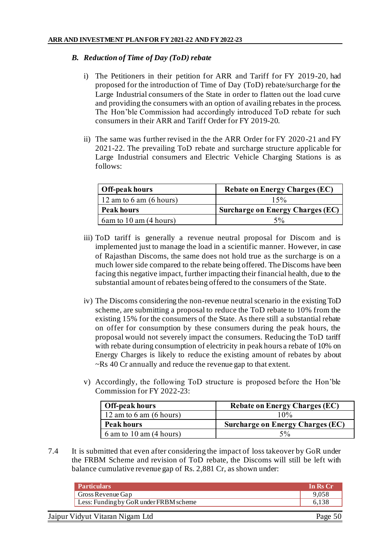### *B. Reduction of Time of Day (ToD) rebate*

- i) The Petitioners in their petition for ARR and Tariff for FY 2019-20, had proposed for the introduction of Time of Day (ToD) rebate/surcharge for the Large Industrial consumers of the State in order to flatten out the load curve and providing the consumers with an option of availing rebates in the process. The Hon'ble Commission had accordingly introduced ToD rebate for such consumers in their ARR and Tariff Order for FY 2019-20.
- ii) The same was further revised in the the ARR Order for FY 2020-21 and FY 2021-22. The prevailing ToD rebate and surcharge structure applicable for Large Industrial consumers and Electric Vehicle Charging Stations is as follows:

| Off-peak hours                      | <b>Rebate on Energy Charges (EC)</b>    |
|-------------------------------------|-----------------------------------------|
| 12 am to 6 am $(6 \text{ hours})$   | 15%                                     |
| <b>Peak hours</b>                   | <b>Surcharge on Energy Charges (EC)</b> |
| $6$ am to 10 am $(4 \text{ hours})$ | $5\%$                                   |

- iii) ToD tariff is generally a revenue neutral proposal for Discom and is implemented just to manage the load in a scientific manner. However, in case of Rajasthan Discoms, the same does not hold true as the surcharge is on a much lower side compared to the rebate being offered. The Discoms have been facing this negative impact, further impacting their financial health, due to the substantial amount of rebates being offered to the consumers of the State.
- iv) The Discoms considering the non-revenue neutral scenario in the existing ToD scheme, are submitting a proposal to reduce the ToD rebate to 10% from the existing 15% for the consumers of the State. As there still a substantial rebate on offer for consumption by these consumers during the peak hours, the proposal would not severely impact the consumers. Reducing the ToD tariff with rebate during consumption of electricity in peak hours a rebate of 10% on Energy Charges is likely to reduce the existing amount of rebates by about ~Rs 40 Cr annually and reduce the revenue gap to that extent.
- v) Accordingly, the following ToD structure is proposed before the Hon'ble Commission for FY 2022-23:

| <b>Off-peak hours</b>             | <b>Rebate on Energy Charges (EC)</b> |
|-----------------------------------|--------------------------------------|
| 12 am to 6 am $(6 \text{ hours})$ | 10%                                  |
| <b>Peak hours</b>                 | Surcharge on Energy Charges (EC)     |
| $6$ am to $10$ am $(4$ hours)     | 5%                                   |

7.4 It is submitted that even after considering the impact of loss takeover by GoR under the FRBM Scheme and revision of ToD rebate, the Discoms will still be left with balance cumulative revenue gap of Rs. 2,881 Cr, as shown under:

| <b>Particulars</b>                     | In Rs Cr |
|----------------------------------------|----------|
| Gross Revenue Gap                      | 9,058    |
| Less: Funding by GoR under FRBM scheme | 6.138    |
| Jaipur Vidyut Vitaran Nigam Ltd        | Page 50  |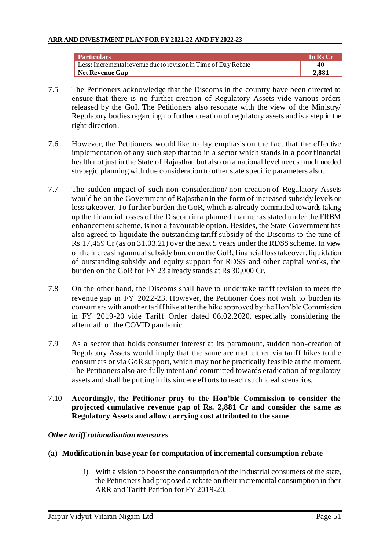| <b>Particulars</b>                                              | In Rs Cr |
|-----------------------------------------------------------------|----------|
| Less: Incremental revenue due to revision in Time of Day Rebate | 40       |
| <b>Net Revenue Gap</b>                                          | 2.881    |

- 7.5 The Petitioners acknowledge that the Discoms in the country have been directed to ensure that there is no further creation of Regulatory Assets vide various orders released by the GoI. The Petitioners also resonate with the view of the Ministry/ Regulatory bodies regarding no further creation of regulatory assets and is a step in the right direction.
- 7.6 However, the Petitioners would like to lay emphasis on the fact that the effective implementation of any such step that too in a sector which stands in a poor financial health not just in the State of Rajasthan but also on a national level needs much needed strategic planning with due consideration to other state specific parameters also.
- 7.7 The sudden impact of such non-consideration/ non-creation of Regulatory Assets would be on the Government of Rajasthan in the form of increased subsidy levels or loss takeover. To further burden the GoR, which is already committed towards taking up the financial losses of the Discom in a planned manner as stated under the FRBM enhancement scheme, is not a favourable option. Besides, the State Government has also agreed to liquidate the outstanding tariff subsidy of the Discoms to the tune of Rs 17,459 Cr (as on 31.03.21) over the next 5 years under the RDSS scheme. In view of the increasing annual subsidy burden on the GoR, financial loss takeover, liquidation of outstanding subsidy and equity support for RDSS and other capital works, the burden on the GoR for FY 23 already stands at Rs 30,000 Cr.
- 7.8 On the other hand, the Discoms shall have to undertake tariff revision to meet the revenue gap in FY 2022-23. However, the Petitioner does not wish to burden its consumers with another tariff hike after the hike approved by the Hon'ble Commission in FY 2019-20 vide Tariff Order dated 06.02.2020, especially considering the aftermath of the COVID pandemic
- 7.9 As a sector that holds consumer interest at its paramount, sudden non-creation of Regulatory Assets would imply that the same are met either via tariff hikes to the consumers or via GoR support, which may not be practically feasible at the moment. The Petitioners also are fully intent and committed towards eradication of regulatory assets and shall be putting in its sincere efforts to reach such ideal scenarios.
- 7.10 **Accordingly, the Petitioner pray to the Hon'ble Commission to consider the projected cumulative revenue gap of Rs. 2,881 Cr and consider the same as Regulatory Assets and allow carrying cost attributed to the same**

## *Other tariff rationalisation measures*

## **(a) Modification in base year for computation of incremental consumption rebate**

i) With a vision to boost the consumption of the Industrial consumers of the state, the Petitioners had proposed a rebate on their incremental consumption in their ARR and Tariff Petition for FY 2019-20.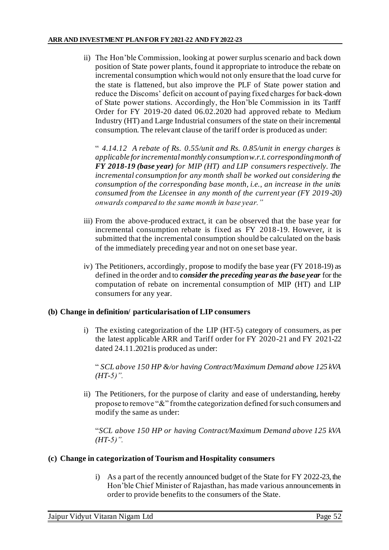ii) The Hon'ble Commission, looking at power surplus scenario and back down position of State power plants, found it appropriate to introduce the rebate on incremental consumption which would not only ensure that the load curve for the state is flattened, but also improve the PLF of State power station and reduce the Discoms' deficit on account of paying fixed charges for back-down of State power stations. Accordingly, the Hon'ble Commission in its Tariff Order for FY 2019-20 dated 06.02.2020 had approved rebate to Medium Industry (HT) and Large Industrial consumers of the state on their incremental consumption. The relevant clause of the tariff order is produced as under:

" *4.14.12 A rebate of Rs. 0.55/unit and Rs. 0.85/unit in energy charges is applicable for incremental monthly consumption w.r.t. corresponding month of FY 2018-19 (base year) for MIP (HT) and LIP consumers respectively. The incremental consumption for any month shall be worked out considering the consumption of the corresponding base month, i.e., an increase in the units consumed from the Licensee in any month of the current year (FY 2019-20) onwards compared to the same month in base year."*

- iii) From the above-produced extract, it can be observed that the base year for incremental consumption rebate is fixed as FY 2018-19. However, it is submitted that the incremental consumption should be calculated on the basis of the immediately preceding year and not on one set base year.
- iv) The Petitioners, accordingly, propose to modify the base year (FY 2018-19) as defined in the order and to *consider the preceding year as the base year* for the computation of rebate on incremental consumption of MIP (HT) and LIP consumers for any year.

## **(b) Change in definition/ particularisation of LIP consumers**

i) The existing categorization of the LIP (HT-5) category of consumers, as per the latest applicable ARR and Tariff order for FY 2020-21 and FY 2021-22 dated 24.11.2021is produced as under:

" *SCL above 150 HP &/or having Contract/Maximum Demand above 125 kVA (HT-5)".*

ii) The Petitioners, for the purpose of clarity and ease of understanding, hereby propose to remove "&" from the categorization defined for such consumers and modify the same as under:

"*SCL above 150 HP or having Contract/Maximum Demand above 125 kVA (HT-5)".*

## **(c) Change in categorization of Tourism and Hospitality consumers**

i) As a part of the recently announced budget of the State for FY 2022-23, the Hon'ble Chief Minister of Rajasthan, has made various announcements in order to provide benefits to the consumers of the State.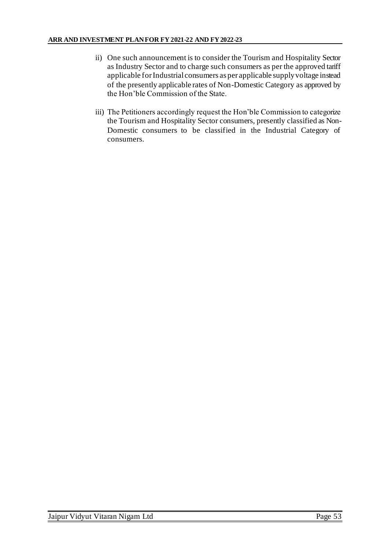- ii) One such announcement is to consider the Tourism and Hospitality Sector as Industry Sector and to charge such consumers as per the approved tariff applicable for Industrial consumers as per applicable supply voltage instead of the presently applicable rates of Non-Domestic Category as approved by the Hon'ble Commission of the State.
- iii) The Petitioners accordingly request the Hon'ble Commission to categorize the Tourism and Hospitality Sector consumers, presently classified as Non-Domestic consumers to be classified in the Industrial Category of consumers.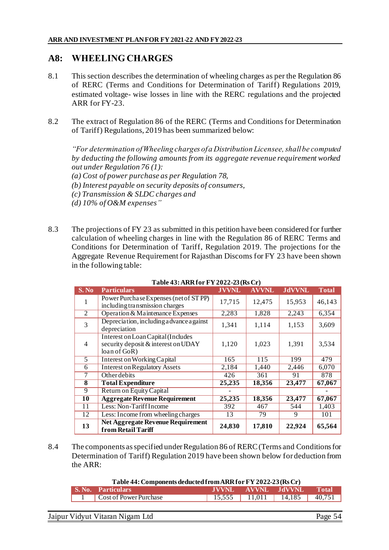# **A8: WHEELING CHARGES**

- 8.1 This section describes the determination of wheeling charges as per the Regulation 86 of RERC (Terms and Conditions for Determination of Tariff) Regulations 2019, estimated voltage- wise losses in line with the RERC regulations and the projected ARR for FY-23.
- 8.2 The extract of Regulation 86 of the RERC (Terms and Conditions for Determination of Tariff) Regulations, 2019 has been summarized below:

*"For determination of Wheeling charges of a Distribution Licensee, shall be computed by deducting the following amounts from its aggregate revenue requirement worked out under Regulation 76 (1):*

*(a) Cost of power purchase as per Regulation 78,*

*(b) Interest payable on security deposits of consumers,*

- *(c) Transmission & SLDC charges and*
- *(d) 10% of O&M expenses"*
- 8.3 The projections of FY 23 as submitted in this petition have been considered for further calculation of wheeling charges in line with the Regulation 86 of RERC Terms and Conditions for Determination of Tariff, Regulation 2019. The projections for the Aggregate Revenue Requirement for Rajasthan Discoms for FY 23 have been shown in the following table:

| S. No | <b>Particulars</b>                                                                        | <b>JVVNL</b> | <b>AVVNL</b> | <b>JdVVNL</b> | Total  |
|-------|-------------------------------------------------------------------------------------------|--------------|--------------|---------------|--------|
|       | Power Purchase Expenses (net of STPP)<br>including transmission charges                   | 17,715       | 12,475       | 15,953        | 46,143 |
| 2     | Operation & Maintenance Expenses                                                          | 2,283        | 1,828        | 2,243         | 6,354  |
| 3     | Depreciation, including a dvance a gainst<br>depreciation                                 | 1,341        | 1,114        | 1,153         | 3,609  |
| 4     | Interest on Loan Capital (Includes<br>security deposit & interest on UDAY<br>loan of GoR) | 1,120        | 1,023        | 1,391         | 3,534  |
| 5     | <b>Interest on Working Capital</b>                                                        | 165          | 115          | 199           | 479    |
| 6     | <b>Interest on Regulatory Assets</b>                                                      | 2,184        | 1,440        | 2,446         | 6,070  |
|       | <b>Other debits</b>                                                                       | 426          | 361          | 91            | 878    |
| 8     | <b>Total Expenditure</b>                                                                  | 25,235       | 18,356       | 23,477        | 67,067 |
| 9     | Return on Equity Capital                                                                  |              |              |               |        |
| 10    | <b>Aggregate Revenue Requirement</b>                                                      | 25,235       | 18,356       | 23,477        | 67,067 |
| 11    | Less: Non-Tariff Income                                                                   | 392          | 467          | 544           | 1,403  |
| 12    | Less: Income from wheeling charges                                                        | 13           | 79           | 9             | 101    |
| 13    | <b>Net Aggregate Revenue Requirement</b><br>from Retail Tariff                            | 24,830       | 17,810       | 22,924        | 65,564 |

**Table 43: ARR for FY2022-23 (Rs Cr)**

8.4 The components as specified under Regulation 86 of RERC (Terms and Conditions for Determination of Tariff) Regulation 2019 have been shown below for deduction from the ARR:

| Table 44: Components deducted from ARR for FY 2022-23 (Rs Cr)          |  |  |                                   |              |
|------------------------------------------------------------------------|--|--|-----------------------------------|--------------|
| <b>S. No. Particulars</b>                                              |  |  | JVVNL AVVNL JdVVNL                | <b>Total</b> |
| $\begin{array}{ c c c c c } \hline \end{array}$ Cost of Power Purchase |  |  | 15,555   11,011   14,185   40,751 |              |
|                                                                        |  |  |                                   |              |

| Jaipur Vidyut Vitaran Nigam Ltd<br>Page |
|-----------------------------------------|
|-----------------------------------------|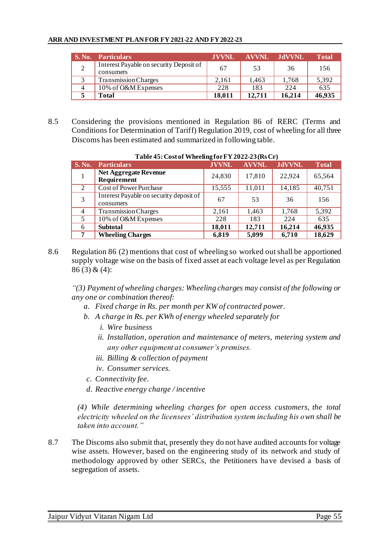#### **ARR AND INVESTMENT PLAN FOR FY 2021-22 AND FY 2022-23**

| <b>S. No.</b> | <b>Particulars</b>                                   | <b>JVVNL</b> | AVVNL  | - .IdVVNL | <b>Total</b> |
|---------------|------------------------------------------------------|--------------|--------|-----------|--------------|
|               | Interest Payable on security Deposit of<br>consumers | 67           | 53     | 36        | 156          |
| 3             | <b>Transmission Charges</b>                          | 2.161        | 1.463  | 1.768     | 5,392        |
| 4             | 10% of O&M Expenses                                  | 228          | 183    | 224       | 635          |
|               | Total                                                | 18,011       | 12,711 | 16,214    | 46,935       |

8.5 Considering the provisions mentioned in Regulation 86 of RERC (Terms and Conditions for Determination of Tariff) Regulation 2019, cost of wheeling for all three Discoms has been estimated and summarized in following table.

| S. No.         | <b>Particulars</b>                                   | <b>JVVNL</b> | <b>AVVNL</b> | <b>JdVVNL</b> | <b>Total</b> |
|----------------|------------------------------------------------------|--------------|--------------|---------------|--------------|
|                | <b>Net Aggregate Revenue</b><br>Requirement          | 24,830       | 17,810       | 22,924        | 65,564       |
| 2              | <b>Cost of Power Purchase</b>                        | 15,555       | 11,011       | 14,185        | 40,751       |
| 3              | Interest Payable on security deposit of<br>consumers | 67           | 53           | 36            | 156          |
| $\overline{4}$ | <b>Transmission Charges</b>                          | 2,161        | 1,463        | 1,768         | 5,392        |
| 5              | 10% of O&M Expenses                                  | 228          | 183          | 224           | 635          |
| 6              | <b>Subtotal</b>                                      | 18,011       | 12,711       | 16,214        | 46,935       |
| 7              | <b>Wheeling Charges</b>                              | 6,819        | 5,099        | 6,710         | 18,629       |

#### **Table 45: Cost of Wheeling for FY 2022-23(Rs Cr)**

8.6 Regulation 86 (2) mentions that cost of wheeling so worked out shall be apportioned supply voltage wise on the basis of fixed asset at each voltage level as per Regulation 86 (3) & (4):

*"(3) Payment of wheeling charges: Wheeling charges may consist of the following or any one or combination thereof:* 

- *a. Fixed charge in Rs. per month per KW of contracted power.*
- *b. A charge in Rs. per KWh of energy wheeled separately for* 
	- *i. Wire business*
	- *ii. Installation, operation and maintenance of meters, metering system and any other equipment at consumer's premises.*
	- *iii. Billing & collection of payment*
	- *iv. Consumer services.*
- *c. Connectivity fee.*
- *d. Reactive energy charge / incentive*

*(4) While determining wheeling charges for open access customers, the total electricity wheeled on the licensees' distribution system including his own shall be taken into account."* 

8.7 The Discoms also submit that, presently they do not have audited accounts for voltage wise assets. However, based on the engineering study of its network and study of methodology approved by other SERCs, the Petitioners have devised a basis of segregation of assets.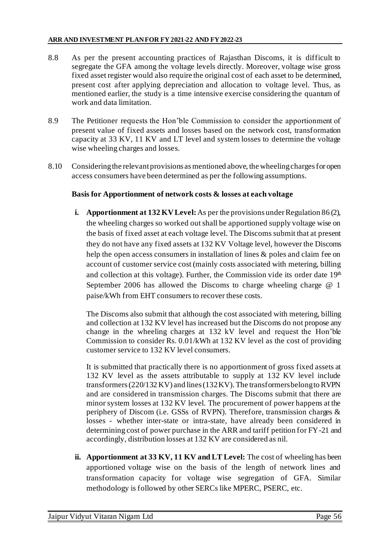- 8.8 As per the present accounting practices of Rajasthan Discoms, it is difficult to segregate the GFA among the voltage levels directly. Moreover, voltage wise gross fixed asset register would also require the original cost of each asset to be determined, present cost after applying depreciation and allocation to voltage level. Thus, as mentioned earlier, the study is a time intensive exercise considering the quantum of work and data limitation.
- 8.9 The Petitioner requests the Hon'ble Commission to consider the apportionment of present value of fixed assets and losses based on the network cost, transformation capacity at 33 KV, 11 KV and LT level and system losses to determine the voltage wise wheeling charges and losses.
- 8.10 Considering the relevant provisions as mentioned above, the wheeling charges for open access consumers have been determined as per the following assumptions.

## **Basis for Apportionment of network costs & losses at each voltage**

**i. Apportionment at 132 KV Level:** As per the provisions under Regulation 86 (2), the wheeling charges so worked out shall be apportioned supply voltage wise on the basis of fixed asset at each voltage level. The Discoms submit that at present they do not have any fixed assets at 132 KV Voltage level, however the Discoms help the open access consumers in installation of lines & poles and claim fee on account of customer service cost (mainly costs associated with metering, billing and collection at this voltage). Further, the Commission vide its order date  $19<sup>th</sup>$ September 2006 has allowed the Discoms to charge wheeling charge @ 1 paise/kWh from EHT consumers to recover these costs.

The Discoms also submit that although the cost associated with metering, billing and collection at 132 KV level has increased but the Discoms do not propose any change in the wheeling charges at 132 kV level and request the Hon'ble Commission to consider Rs. 0.01/kWh at 132 KV level as the cost of providing customer service to 132 KV level consumers.

It is submitted that practically there is no apportionment of gross fixed assets at 132 KV level as the assets attributable to supply at 132 KV level include transformers (220/132 KV) and lines (132 KV). The transformers belong to RVPN and are considered in transmission charges. The Discoms submit that there are minor system losses at 132 KV level. The procurement of power happens at the periphery of Discom (i.e. GSSs of RVPN). Therefore, transmission charges & losses - whether inter-state or intra-state, have already been considered in determining cost of power purchase in the ARR and tariff petition for FY-21 and accordingly, distribution losses at 132 KV are considered as nil.

**ii. Apportionment at 33 KV, 11 KV and LT Level:** The cost of wheeling has been apportioned voltage wise on the basis of the length of network lines and transformation capacity for voltage wise segregation of GFA. Similar methodology is followed by other SERCs like MPERC, PSERC, etc.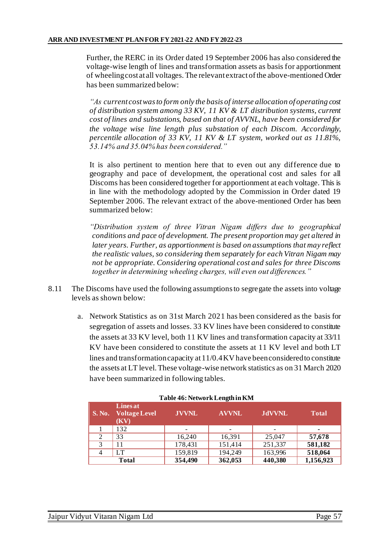Further, the RERC in its Order dated 19 September 2006 has also considered the voltage-wise length of lines and transformation assets as basis for apportionment of wheeling cost at all voltages. The relevant extract of the above-mentioned Order has been summarized below:

*"As current cost was to form only the basis of interse allocation of operating cost of distribution system among 33 KV, 11 KV & LT distribution systems, current cost of lines and substations, based on that of AVVNL, have been considered for the voltage wise line length plus substation of each Discom. Accordingly, percentile allocation of 33 KV, 11 KV & LT system, worked out as 11.81%, 53.14% and 35.04% has been considered."* 

It is also pertinent to mention here that to even out any difference due to geography and pace of development, the operational cost and sales for all Discoms has been considered together for apportionment at each voltage. This is in line with the methodology adopted by the Commission in Order dated 19 September 2006. The relevant extract of the above-mentioned Order has been summarized below:

*"Distribution system of three Vitran Nigam differs due to geographical conditions and pace of development. The present proportion may get altered in later years. Further, as apportionment is based on assumptions that may reflect the realistic values, so considering them separately for each Vitran Nigam may not be appropriate. Considering operational cost and sales for three Discoms together in determining wheeling charges, will even out differences."* 

- 8.11 The Discoms have used the following assumptions to segregate the assets into voltage levels as shown below:
	- a. Network Statistics as on 31st March 2021 has been considered as the basis for segregation of assets and losses. 33 KV lines have been considered to constitute the assets at 33 KV level, both 11 KV lines and transformation capacity at 33/11 KV have been considered to constitute the assets at 11 KV level and both LT lines and transformation capacity at 11/0.4 KV have been considered to constitute the assets at LT level. These voltage-wise network statistics as on 31 March 2020 have been summarized in following tables.

| $\vert$ S. No. | <b>Lines at</b><br><b>Voltage Level</b><br>(KV) | <b>JVVNL</b>             | <b>AVVNL</b>             | <b>JdVVNL</b> | <b>Total</b> |
|----------------|-------------------------------------------------|--------------------------|--------------------------|---------------|--------------|
|                | 132                                             | $\overline{\phantom{0}}$ | $\overline{\phantom{a}}$ | -             | ٠            |
| 2              | 33                                              | 16,240                   | 16,391                   | 25,047        | 57,678       |
| 3              | 11                                              | 178,431                  | 151,414                  | 251,337       | 581,182      |
| $\overline{4}$ | LT                                              | 159,819                  | 194,249                  | 163,996       | 518,064      |
|                | <b>Total</b>                                    | 354,490                  | 362,053                  | 440,380       | 1,156,923    |

#### **Table 46: Network Length in KM**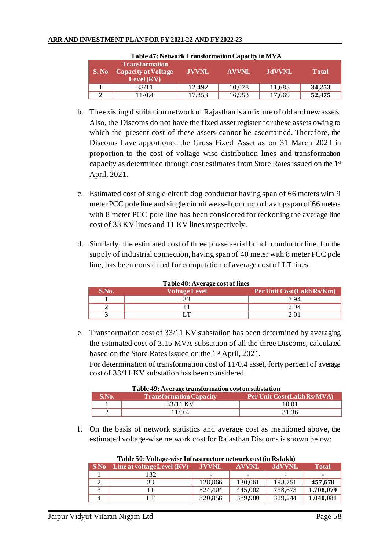|               | Table 47: Network Transformation Capacity in MVA      |              |              |               |              |
|---------------|-------------------------------------------------------|--------------|--------------|---------------|--------------|
| $\vert$ S. No | Transformation<br>Capacity at Voltage<br>Level $(KV)$ | <b>JVVNL</b> | <b>AVVNL</b> | <b>JdVVNL</b> | <b>Total</b> |
|               | 33/11                                                 | 12.492       | 10,078       | 11,683        | 34,253       |
|               | 1/0.4                                                 | 17,853       | 16,953       | 17,669        | 52,475       |

- b. The existing distribution network of Rajasthan is a mixture of old and new assets. Also, the Discoms do not have the fixed asset register for these assets owing to which the present cost of these assets cannot be ascertained. Therefore, the Discoms have apportioned the Gross Fixed Asset as on 31 March 2021 in proportion to the cost of voltage wise distribution lines and transformation capacity as determined through cost estimates from Store Rates issued on the  $1<sup>{st}</sup>$ April, 2021.
- c. Estimated cost of single circuit dog conductor having span of 66 meters with 9 meter PCC pole line and single circuit weasel conductor having span of 66 meters with 8 meter PCC pole line has been considered for reckoning the average line cost of 33 KV lines and 11 KV lines respectively.
- d. Similarly, the estimated cost of three phase aerial bunch conductor line, for the supply of industrial connection, having span of 40 meter with 8 meter PCC pole line, has been considered for computation of average cost of LT lines.

| S.No. | <b>Voltage Level</b> | Per Unit Cost (Lakh Rs/Km) |
|-------|----------------------|----------------------------|
|       |                      | 7.94                       |
|       |                      | 2.94                       |
|       |                      |                            |

**Table 48: Average cost of lines**

e. Transformation cost of 33/11 KV substation has been determined by averaging the estimated cost of 3.15 MVA substation of all the three Discoms, calculated based on the Store Rates issued on the 1st April, 2021. For determination of transformation cost of 11/0.4 asset, forty percent of average cost of 33/11 KV substation has been considered.

| Table 49: Average transformation cost on substation |                                |                             |  |  |  |
|-----------------------------------------------------|--------------------------------|-----------------------------|--|--|--|
| S.No.                                               | <b>Transformation Capacity</b> | Per Unit Cost (Lakh Rs/MVA) |  |  |  |
|                                                     | 33/11 KV                       | 10.01                       |  |  |  |
|                                                     | 11/0.4                         | 31.36                       |  |  |  |

- **Table 49: Average transformation cost on substation**
- f. On the basis of network statistics and average cost as mentioned above, the estimated voltage-wise network cost for Rajasthan Discoms is shown below:

|     | Table 50: Voltage-wise infrastructure network cost (in RS lakh) |              |                          |               |              |  |  |  |
|-----|-----------------------------------------------------------------|--------------|--------------------------|---------------|--------------|--|--|--|
| SNo | $\vert$ Line at voltage Level $(KV)$                            | <b>JVVNL</b> | <b>AVVNL</b>             | <b>JdVVNL</b> | <b>Total</b> |  |  |  |
|     | 132                                                             | -            | $\overline{\phantom{0}}$ |               |              |  |  |  |
|     | 33                                                              | 128,866      | 130,061                  | 198,751       | 457,678      |  |  |  |
|     |                                                                 | 524,404      | 445,002                  | 738,673       | 1,708,079    |  |  |  |
|     | LT.                                                             | 320,858      | 389,980                  | 329,244       | 1,040,081    |  |  |  |

# **Table 50: Voltage-wise Infrastructure network cost (in Rs lakh)**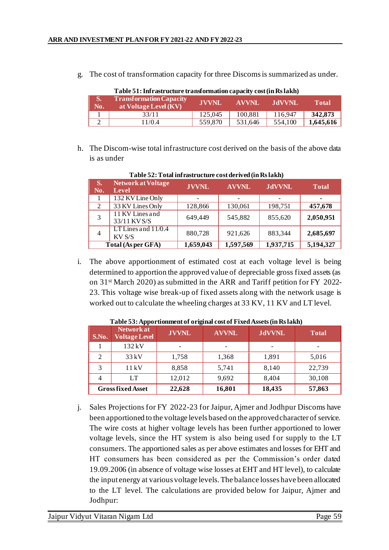g. The cost of transformation capacity for three Discoms is summarized as under.

|     | Table 51: Infrastructure transformation capacity cost (in Rs lakh) |              |         |         |              |  |
|-----|--------------------------------------------------------------------|--------------|---------|---------|--------------|--|
| No. | <b>Transformation Capacity</b><br>at Voltage Level (KV)            | <b>JVVNL</b> | AVVNL   | AdVVNL  | <b>Total</b> |  |
|     | 33/11                                                              | 125.045      | 100,881 | 116.947 | 342,873      |  |
|     | 11/0.4                                                             | 559,870      | 531.646 | 554,100 | 1,645,616    |  |

- **Table 51: Infrastructure transformation capacity cost (in Rs lakh)**
- h. The Discom-wise total infrastructure cost derived on the basis of the above data is as under

| S.<br>No.      | Network at Voltage<br>Level     | <b>JVVNL</b>    | <b>AVVNL</b>    | <b>JdVVNL</b> | <b>Total</b>   |
|----------------|---------------------------------|-----------------|-----------------|---------------|----------------|
|                | 132 KV Line Only                | $\qquad \qquad$ | $\qquad \qquad$ | -             | $\blacksquare$ |
| $\overline{2}$ | 33 KV Lines Only                | 128,866         | 130,061         | 198,751       | 457,678        |
| 3              | 11 KV Lines and<br>33/11 KV S/S | 649,449         | 545,882         | 855,620       | 2,050,951      |
| $\overline{4}$ | LT Lines and $11/0.4$<br>KV S/S | 880,728         | 921,626         | 883,344       | 2,685,697      |
|                | Total (As per GFA)              | 1,659,043       | 1,597,569       | 1,937,715     | 5,194,327      |

**Table 52: Total infrastructure cost derived (in Rs lakh)**

i. The above apportionment of estimated cost at each voltage level is being determined to apportion the approved value of depreciable gross fixed assets (as on 31st March 2020) as submitted in the ARR and Tariff petition for FY 2022- 23. This voltage wise break-up of fixed assets along with the network usage is worked out to calculate the wheeling charges at 33 KV, 11 KV and LT level.

| S.No.          | <b>Network at</b><br><b>Voltage Level</b> | <b>JVVNL</b> | <b>AVVNL</b> | <b>JdVVNL</b> | <b>Total</b> |
|----------------|-------------------------------------------|--------------|--------------|---------------|--------------|
|                | 132 kV                                    |              |              |               |              |
| $\mathfrak{D}$ | 33kV                                      | 1,758        | 1,368        | 1,891         | 5,016        |
|                | 11kV                                      | 8,858        | 5,741        | 8,140         | 22,739       |
|                | LT                                        | 12,012       | 9,692        | 8,404         | 30,108       |
|                | <b>Gross fixed Asset</b>                  | 22,628       | 16,801       | 18,435        | 57,863       |

**Table 53: Apportionment of original cost of Fixed Assets (in Rs lakh)**

j. Sales Projections for FY 2022-23 for Jaipur, Ajmer and Jodhpur Discoms have been apportioned to the voltage levels based on the approved character of service. The wire costs at higher voltage levels has been further apportioned to lower voltage levels, since the HT system is also being used for supply to the LT consumers. The apportioned sales as per above estimates and losses for EHT and HT consumers has been considered as per the Commission's order dated 19.09.2006 (in absence of voltage wise losses at EHT and HT level), to calculate the input energy at various voltage levels. The balance losses have been allocated to the LT level. The calculations are provided below for Jaipur, Ajmer and Jodhpur: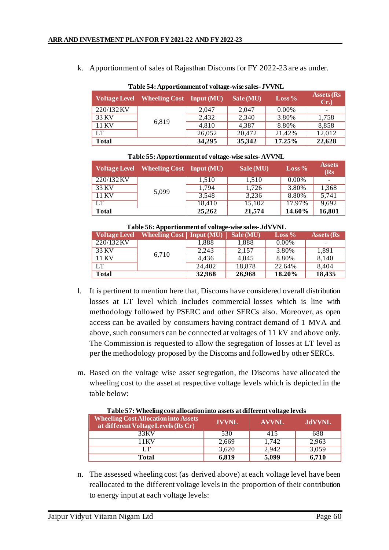k. Apportionment of sales of Rajasthan Discoms for FY 2022-23 are as under.

| Table 54: Apportionment of voltage-wise sales-JVVNL |                                 |        |           |                   |                   |  |
|-----------------------------------------------------|---------------------------------|--------|-----------|-------------------|-------------------|--|
| <b>Voltage Level</b>                                | <b>Wheeling Cost</b> Input (MU) |        | Sale (MU) | $\text{Loss } \%$ | Assets (Rs<br>Cr. |  |
| 220/132KV                                           |                                 | 2.047  | 2.047     | 0.00%             |                   |  |
| 33 KV                                               | 6,819                           | 2,432  | 2,340     | 3.80%             | 1,758             |  |
| 11 KV                                               |                                 | 4,810  | 4,387     | 8.80%             | 8,858             |  |
| LT                                                  |                                 | 26,052 | 20,472    | 21.42%            | 12,012            |  |
| <b>Total</b>                                        |                                 | 34,295 | 35,342    | 17.25%            | 22,628            |  |

| Table 55: Apportionment of voltage-wise sales-AVVNL |  |  |  |  |  |
|-----------------------------------------------------|--|--|--|--|--|
|-----------------------------------------------------|--|--|--|--|--|

|              | Voltage Level Wheeling Cost Input (MU) |        | Sale (MU) | $\text{Loss } \%$ | <b>Assets</b><br>(Rs) |
|--------------|----------------------------------------|--------|-----------|-------------------|-----------------------|
| 220/132KV    |                                        | 1,510  | 1,510     | 0.00%             |                       |
| 33 KV        | 5,099                                  | 1,794  | 1,726     | 3.80%             | 1,368                 |
| 11 KV        |                                        | 3.548  | 3.236     | 8.80%             | 5,741                 |
| LT           |                                        | 18,410 | 15,102    | 17.97%            | 9,692                 |
| <b>Total</b> |                                        | 25,262 | 21,574    | 14.60%            | 16,801                |

#### **Table 56: Apportionment of voltage-wise sales- JdVVNL**

|           | Voltage Level Wheeling Cost   Input (MU) |        | Sale (MU) | $\text{Loss } \%$ | <b>Assets</b> (Rs |
|-----------|------------------------------------------|--------|-----------|-------------------|-------------------|
| 220/132KV |                                          | 1.888  | 1,888     | 0.00%             |                   |
| 33 KV     | 6,710                                    | 2,243  | 2.157     | 3.80%             | 1.891             |
| 11 KV     |                                          | 4.436  | 4.045     | 8.80%             | 8,140             |
| LT        |                                          | 24,402 | 18,878    | 22.64%            | 8,404             |
| Total     |                                          | 32,968 | 26,968    | 18.20%            | 18,435            |

- l. It is pertinent to mention here that, Discoms have considered overall distribution losses at LT level which includes commercial losses which is line with methodology followed by PSERC and other SERCs also. Moreover, as open access can be availed by consumers having contract demand of 1 MVA and above, such consumers can be connected at voltages of 11 kV and above only. The Commission is requested to allow the segregation of losses at LT level as per the methodology proposed by the Discoms and followed by other SERCs.
- m. Based on the voltage wise asset segregation, the Discoms have allocated the wheeling cost to the asset at respective voltage levels which is depicted in the table below:

| <b>Wheeling Cost Allocation into Assets</b><br>at different Voltage Levels (Rs Cr) | <b>JVVNL</b> | <b>AVVNL</b> | <b>JdVVNL</b> |
|------------------------------------------------------------------------------------|--------------|--------------|---------------|
| 33 KV                                                                              | 530          | 415          | 688           |
| 11 K V                                                                             | 2.669        | 1.742        | 2.963         |
| IТ                                                                                 | 3.620        | 2,942        | 3,059         |
| <b>Total</b>                                                                       | 6.819        | 5,099        | 6,710         |

**Table 57: Wheeling cost allocation into assets at different voltage levels**

n. The assessed wheeling cost (as derived above) at each voltage level have been reallocated to the different voltage levels in the proportion of their contribution to energy input at each voltage levels: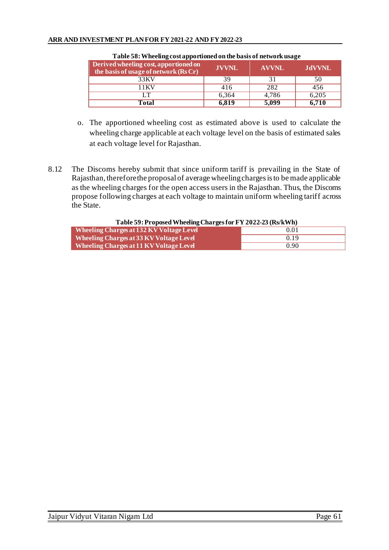| Derived wheeling cost, apportioned on<br>the basis of usage of network (Rs Cr) | <b>JVVNL</b> | <b>AVVNL</b> | <b>JdVVNL</b> |
|--------------------------------------------------------------------------------|--------------|--------------|---------------|
| 33KV                                                                           | 39           | 31           | 50            |
| 11 K V                                                                         | 416          | 282          | 456           |
| IТ                                                                             | 6,364        | 4.786        | 6,205         |
| Total                                                                          | 6.819        | 5,099        | 6,710         |

### **Table 58: Wheeling cost apportioned on the basis of network usage**

- o. The apportioned wheeling cost as estimated above is used to calculate the wheeling charge applicable at each voltage level on the basis of estimated sales at each voltage level for Rajasthan.
- 8.12 The Discoms hereby submit that since uniform tariff is prevailing in the State of Rajasthan, therefore the proposal of average wheeling charges is to be made applicable as the wheeling charges for the open access users in the Rajasthan. Thus, the Discoms propose following charges at each voltage to maintain uniform wheeling tariff across the State.

#### **Table 59: Proposed Wheeling Charges for FY 2022-23 (Rs/kWh) Wheeling Charges at 132 KV Voltage Level**  0.01 **Wheeling Charges at 33 KV Voltage Level COLLEGATE:** 0.19 **Wheeling Charges at 11 KV Voltage Level** 0.90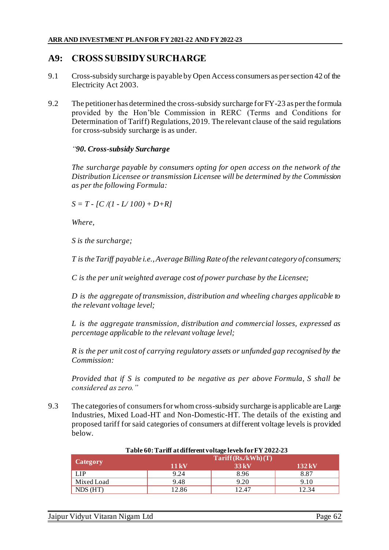# **A9: CROSS SUBSIDY SURCHARGE**

- 9.1 Cross-subsidy surcharge is payable by Open Access consumers as per section 42 of the Electricity Act 2003.
- 9.2 The petitioner has determined the cross-subsidy surcharge for FY-23 as per the formula provided by the Hon'ble Commission in RERC (Terms and Conditions for Determination of Tariff) Regulations, 2019. The relevant clause of the said regulations for cross-subsidy surcharge is as under.

## *"90. Cross-subsidy Surcharge*

*The surcharge payable by consumers opting for open access on the network of the Distribution Licensee or transmission Licensee will be determined by the Commission as per the following Formula:*

 $S = T - [C/(1 - L/100) + D + R]$ 

*Where,*

*S is the surcharge;*

*T is the Tariff payable i.e., Average Billing Rate of the relevant category of consumers;*

*C is the per unit weighted average cost of power purchase by the Licensee;*

*D is the aggregate of transmission, distribution and wheeling charges applicable to the relevant voltage level;*

*L is the aggregate transmission, distribution and commercial losses, expressed as percentage applicable to the relevant voltage level;*

*R is the per unit cost of carrying regulatory assets or unfunded gap recognised by the Commission:*

*Provided that if S is computed to be negative as per above Formula, S shall be considered as zero."*

9.3 The categories of consumers for whom cross-subsidy surcharge is applicable are Large Industries, Mixed Load-HT and Non-Domestic-HT. The details of the existing and proposed tariff for said categories of consumers at different voltage levels is provided below.

|                 |                                    | Table ov. Tarihi atunleleht voltage levels för F 1 2022-23 |                     |  |  |
|-----------------|------------------------------------|------------------------------------------------------------|---------------------|--|--|
|                 | $\text{Tariff}(\text{Rs./kWh})(T)$ |                                                            |                     |  |  |
| <b>Category</b> | $11 \,\mathrm{kV}$                 | $33\,\mathrm{kV}$                                          | $132 \,\mathrm{kV}$ |  |  |
| LIP             | 9.24                               | 8.96                                                       | 8.87                |  |  |
| Mixed Load      | 9.48                               | 9.20                                                       | 9.10                |  |  |
| NDS(HT)         | 12.86                              | 12.47                                                      | 12.34               |  |  |

### **Table 60: Tariff at different voltage levels for FY 2022-23**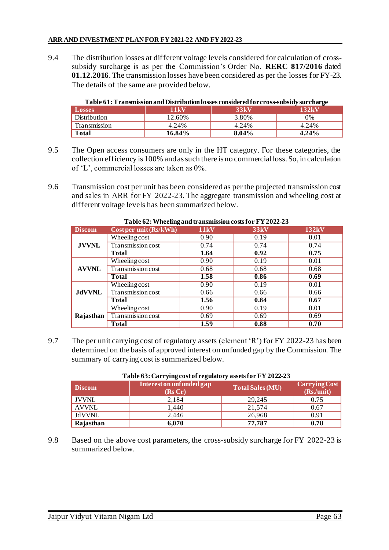### **ARR AND INVESTMENT PLAN FOR FY 2021-22 AND FY 2022-23**

9.4 The distribution losses at different voltage levels considered for calculation of crosssubsidy surcharge is as per the Commission's Order No. **RERC 817/2016** dated **01.12.2016**. The transmission losses have been considered as per the losses for FY-23. The details of the same are provided below.

| T abit 01. I Fanshiission and Disd Ibudon rosses consider cu for Cross-Subsidy sui chai ge |                       |       |          |  |
|--------------------------------------------------------------------------------------------|-----------------------|-------|----------|--|
| <b>Losses</b>                                                                              | <b>33kV</b><br>11 k V |       | 132kV    |  |
| Distribution                                                                               | 12.60%                | 3.80% | 0%       |  |
| Transmission                                                                               | 4.24%                 | 4.24% | 4.24%    |  |
| Total                                                                                      | 16.84%                | 8.04% | $4.24\%$ |  |

- **Table 61: Transmission and Distribution losses considered for cross-subsidy surcharge**
- 9.5 The Open access consumers are only in the HT category. For these categories, the collection efficiency is 100% and as such there is no commercial loss. So, in calculation of 'L', commercial losses are taken as 0%.
- 9.6 Transmission cost per unit has been considered as per the projected transmission cost and sales in ARR for FY 2022-23. The aggregate transmission and wheeling cost at different voltage levels has been summarized below.

| <b>Discom</b> | -<br>Cost per unit (Rs/kWh) | <b>11kV</b> | <b>33kV</b> | <b>132kV</b> |
|---------------|-----------------------------|-------------|-------------|--------------|
| <b>JVVNL</b>  | <b>Wheeling cost</b>        | 0.90        | 0.19        | 0.01         |
|               | <b>Transmission cost</b>    | 0.74        | 0.74        | 0.74         |
|               | <b>Total</b>                | 1.64        | 0.92        | 0.75         |
| <b>AVVNL</b>  | <b>Wheeling cost</b>        | 0.90        | 0.19        | 0.01         |
|               | <b>Transmission cost</b>    | 0.68        | 0.68        | 0.68         |
|               | <b>Total</b>                | 1.58        | 0.86        | 0.69         |
| <b>JdVVNL</b> | Wheeling cost               | 0.90        | 0.19        | 0.01         |
|               | <b>Transmission cost</b>    | 0.66        | 0.66        | 0.66         |
|               | Total                       | 1.56        | 0.84        | 0.67         |
| Rajasthan     | Wheelingcost                | 0.90        | 0.19        | 0.01         |
|               | <b>Transmission cost</b>    | 0.69        | 0.69        | 0.69         |
|               | Total                       | 1.59        | 0.88        | 0.70         |

**Table 62: Wheeling and transmission costs for FY2022-23**

9.7 The per unit carrying cost of regulatory assets (element 'R') for FY 2022-23 has been determined on the basis of approved interest on unfunded gap by the Commission. The summary of carrying cost is summarized below.

| <b>Discom</b> | Interest on unfunded gap | <b>Total Sales (MU)</b> | <b>Carrying Cost</b> |
|---------------|--------------------------|-------------------------|----------------------|
| <b>JVVNL</b>  | (Rs Cr)<br>2.184         | 29.245                  | (Rs./unit)<br>0.75   |
| <b>AVVNL</b>  | 1.440                    | 21.574                  | 0.67                 |
| JdVVNL        | 2.446                    | 26,968                  | 0.91                 |
| Rajasthan     | 6.070                    | 77,787                  | 0.78                 |

## **Table 63: Carrying cost of regulatory assets for FY 2022-23**

9.8 Based on the above cost parameters, the cross-subsidy surcharge for FY 2022-23 is summarized below.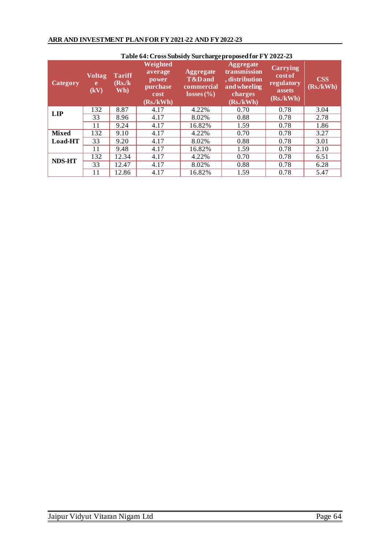| Table 64: Cross Subsidy Surcharge proposed for FY 2022-23 |                            |                                |                                                              |                                                                                   |                                                                                           |                                                                |                        |
|-----------------------------------------------------------|----------------------------|--------------------------------|--------------------------------------------------------------|-----------------------------------------------------------------------------------|-------------------------------------------------------------------------------------------|----------------------------------------------------------------|------------------------|
| Category                                                  | <b>Voltag</b><br>e<br>(kV) | <b>Tariff</b><br>(Rs/k)<br>Wh) | Weighted<br>average<br>power<br>purchase<br>cost<br>(Rs/kWh) | <b>Aggregate</b><br><b>T&amp;Dand</b><br>commercial<br>$\sqrt{\text{losses}(\%)}$ | <b>Aggregate</b><br>transmission<br>, distribution<br>and wheeling<br>charges<br>(Rs/kWh) | <b>Carrying</b><br>cost of<br>regulatory<br>assets<br>(Rs/kWh) | <b>CSS</b><br>(Rs/kWh) |
| <b>LIP</b>                                                | 132                        | 8.87                           | 4.17                                                         | 4.22%                                                                             | 0.70                                                                                      | 0.78                                                           | 3.04                   |
|                                                           | 33                         | 8.96                           | 4.17                                                         | 8.02%                                                                             | 0.88                                                                                      | 0.78                                                           | 2.78                   |
|                                                           | 11                         | 9.24                           | 4.17                                                         | 16.82%                                                                            | 1.59                                                                                      | 0.78                                                           | 1.86                   |
| <b>Mixed</b>                                              | 132                        | 9.10                           | 4.17                                                         | 4.22%                                                                             | 0.70                                                                                      | 0.78                                                           | 3.27                   |
| Load-HT                                                   | 33                         | 9.20                           | 4.17                                                         | 8.02%                                                                             | 0.88                                                                                      | 0.78                                                           | 3.01                   |
|                                                           | 11                         | 9.48                           | 4.17                                                         | 16.82%                                                                            | 1.59                                                                                      | 0.78                                                           | 2.10                   |
| <b>NDS-HT</b>                                             | 132                        | 12.34                          | 4.17                                                         | 4.22%                                                                             | 0.70                                                                                      | 0.78                                                           | 6.51                   |
|                                                           | 33                         | 12.47                          | 4.17                                                         | 8.02%                                                                             | 0.88                                                                                      | 0.78                                                           | 6.28                   |
|                                                           | 11                         | 12.86                          | 4.17                                                         | 16.82%                                                                            | 1.59                                                                                      | 0.78                                                           | 5.47                   |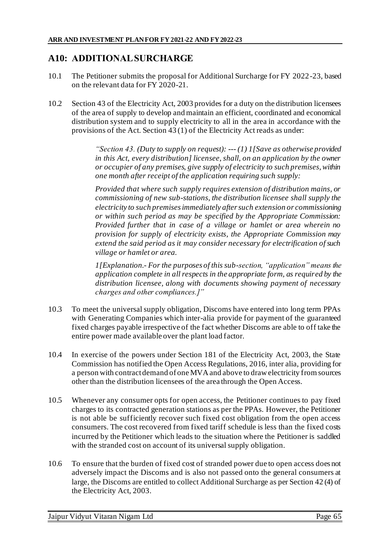# **A10: ADDITIONAL SURCHARGE**

- 10.1 The Petitioner submits the proposal for Additional Surcharge for FY 2022-23, based on the relevant data for FY 2020-21.
- 10.2 Section 43 of the Electricity Act, 2003 provides for a duty on the distribution licensees of the area of supply to develop and maintain an efficient, coordinated and economical distribution system and to supply electricity to all in the area in accordance with the provisions of the Act. Section 43 (1) of the Electricity Act reads as under:

*"Section 43. (Duty to supply on request): --- (1) 1[Save as otherwise provided in this Act, every distribution] licensee, shall, on an application by the owner or occupier of any premises, give supply of electricity to such premises, within one month after receipt of the application requiring such supply:*

*Provided that where such supply requires extension of distribution mains, or commissioning of new sub-stations, the distribution licensee shall supply the electricity to such premises immediately after such extension or commissioning or within such period as may be specified by the Appropriate Commission: Provided further that in case of a village or hamlet or area wherein no provision for supply of electricity exists, the Appropriate Commission may extend the said period as it may consider necessary for electrification of such village or hamlet or area.*

*1[Explanation.- For the purposes of this sub-section, "application" means the application complete in all respects in the appropriate form, as required by the distribution licensee, along with documents showing payment of necessary charges and other compliances.]"*

- 10.3 To meet the universal supply obligation, Discoms have entered into long term PPAs with Generating Companies which inter-alia provide for payment of the guaranteed fixed charges payable irrespective of the fact whether Discoms are able to off take the entire power made available over the plant load factor.
- 10.4 In exercise of the powers under Section 181 of the Electricity Act, 2003, the State Commission has notified the Open Access Regulations, 2016, inter alia, providing for a person with contract demand of one MVA and above to draw electricity from sources other than the distribution licensees of the area through the Open Access.
- 10.5 Whenever any consumer opts for open access, the Petitioner continues to pay fixed charges to its contracted generation stations as per the PPAs. However, the Petitioner is not able be sufficiently recover such fixed cost obligation from the open access consumers. The cost recovered from fixed tariff schedule is less than the fixed costs incurred by the Petitioner which leads to the situation where the Petitioner is saddled with the stranded cost on account of its universal supply obligation.
- 10.6 To ensure that the burden of fixed cost of stranded power due to open access does not adversely impact the Discoms and is also not passed onto the general consumers at large, the Discoms are entitled to collect Additional Surcharge as per Section 42 (4) of the Electricity Act, 2003.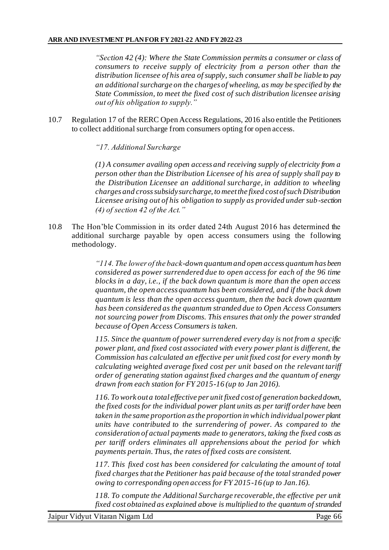*"Section 42 (4): Where the State Commission permits a consumer or class of consumers to receive supply of electricity from a person other than the distribution licensee of his area of supply, such consumer shall be liable to pay an additional surcharge on the charges of wheeling, as may be specified by the State Commission, to meet the fixed cost of such distribution licensee arising out of his obligation to supply."*

10.7 Regulation 17 of the RERC Open Access Regulations, 2016 also entitle the Petitioners to collect additional surcharge from consumers opting for open access.

*"17. Additional Surcharge* 

*(1) A consumer availing open access and receiving supply of electricity from a person other than the Distribution Licensee of his area of supply shall pay to the Distribution Licensee an additional surcharge, in addition to wheeling charges and cross subsidy surcharge, to meet the fixed cost of such Distribution Licensee arising out of his obligation to supply as provided under sub-section (4) of section 42 of the Act."*

10.8 The Hon'ble Commission in its order dated 24th August 2016 has determined the additional surcharge payable by open access consumers using the following methodology.

> *"114. The lower of the back-down quantum and open access quantum has been considered as power surrendered due to open access for each of the 96 time blocks in a day, i.e., if the back down quantum is more than the open access quantum, the open access quantum has been considered, and if the back down quantum is less than the open access quantum, then the back down quantum has been considered as the quantum stranded due to Open Access Consumers not sourcing power from Discoms. This ensures that only the power stranded because of Open Access Consumers is taken.*

> *115. Since the quantum of power surrendered every day is not from a specific power plant, and fixed cost associated with every power plant is different, the Commission has calculated an effective per unit fixed cost for every month by calculating weighted average fixed cost per unit based on the relevant tariff order of generating station against fixed charges and the quantum of energy drawn from each station for FY 2015-16 (up to Jan 2016).*

> *116. To work out a total effective per unit fixed cost of generation backed down, the fixed costs for the individual power plant units as per tariff order have been taken in the same proportion as the proportion in which individual power plant units have contributed to the surrendering of power. As compared to the consideration of actual payments made to generators, taking the fixed costs as per tariff orders eliminates all apprehensions about the period for which payments pertain. Thus, the rates of fixed costs are consistent.*

> *117. This fixed cost has been considered for calculating the amount of total fixed charges that the Petitioner has paid because of the total stranded power owing to corresponding open access for FY 2015-16 (up to Jan.16).*

> *118. To compute the Additional Surcharge recoverable, the effective per unit fixed cost obtained as explained above is multiplied to the quantum of stranded*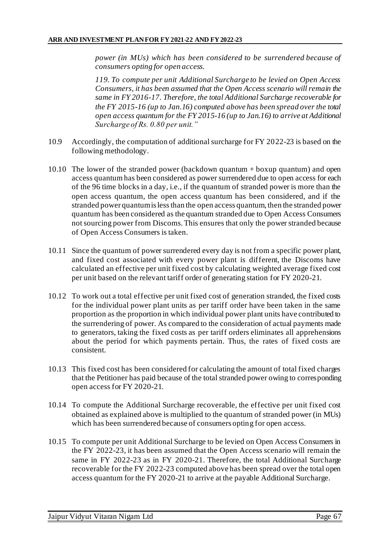*power (in MUs) which has been considered to be surrendered because of consumers opting for open access.*

*119. To compute per unit Additional Surcharge to be levied on Open Access Consumers, it has been assumed that the Open Access scenario will remain the same in FY 2016-17. Therefore, the total Additional Surcharge recoverable for the FY 2015-16 (up to Jan.16) computed above has been spread over the total open access quantum for the FY 2015-16 (up to Jan.16) to arrive at Additional Surcharge of Rs. 0.80 per unit."*

- 10.9 Accordingly, the computation of additional surcharge for FY 2022-23 is based on the following methodology.
- 10.10 The lower of the stranded power (backdown quantum + boxup quantum) and open access quantum has been considered as power surrendered due to open access for each of the 96 time blocks in a day, i.e., if the quantum of stranded power is more than the open access quantum, the open access quantum has been considered, and if the stranded power quantum is less than the open access quantum, then the stranded power quantum has been considered as the quantum stranded due to Open Access Consumers not sourcing power from Discoms. This ensures that only the power stranded because of Open Access Consumers is taken.
- 10.11 Since the quantum of power surrendered every day is not from a specific power plant, and fixed cost associated with every power plant is different, the Discoms have calculated an effective per unit fixed cost by calculating weighted average fixed cost per unit based on the relevant tariff order of generating station for FY 2020-21.
- 10.12 To work out a total effective per unit fixed cost of generation stranded, the fixed costs for the individual power plant units as per tariff order have been taken in the same proportion as the proportion in which individual power plant units have contributed to the surrendering of power. As compared to the consideration of actual payments made to generators, taking the fixed costs as per tariff orders eliminates all apprehensions about the period for which payments pertain. Thus, the rates of fixed costs are consistent.
- 10.13 This fixed cost has been considered for calculating the amount of total fixed charges that the Petitioner has paid because of the total stranded power owing to corresponding open access for FY 2020-21.
- 10.14 To compute the Additional Surcharge recoverable, the effective per unit fixed cost obtained as explained above is multiplied to the quantum of stranded power (in MUs) which has been surrendered because of consumers opting for open access.
- 10.15 To compute per unit Additional Surcharge to be levied on Open Access Consumers in the FY 2022-23, it has been assumed that the Open Access scenario will remain the same in FY 2022-23 as in FY 2020-21. Therefore, the total Additional Surcharge recoverable for the FY 2022-23 computed above has been spread over the total open access quantum for the FY 2020-21 to arrive at the payable Additional Surcharge.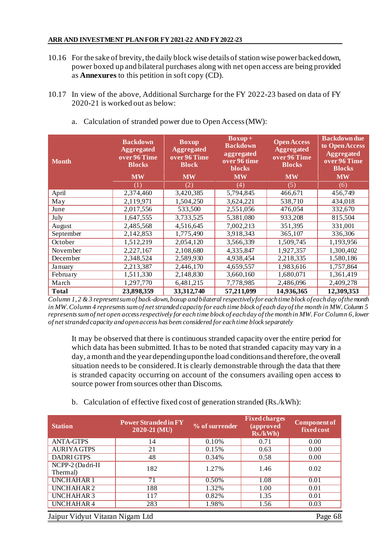- 10.16 For the sake of brevity, the daily block wise details of station wise power backed down, power boxed up and bilateral purchases along with net open access are being provided as **Annexures** to this petition in soft copy (CD).
- 10.17 In view of the above, Additional Surcharge for the FY 2022-23 based on data of FY 2020-21 is worked out as below:

| <b>Month</b> | <b>Backdown</b><br><b>Aggregated</b><br>over 96 Time<br><b>Blocks</b><br><b>MW</b> | <b>Boxup</b><br><b>Aggregated</b><br>over 96 Time<br><b>Block</b><br><b>MW</b> | $\overline{\text{Boxup}}$<br><b>Backdown</b><br>aggregated<br>over 96 time<br>blocks<br><b>MW</b> | <b>Open Access</b><br><b>Aggregated</b><br>over 96 Time<br><b>Blocks</b><br><b>MW</b> | <b>Backdown due</b><br>to Open Access<br><b>Aggregated</b><br>over 96 Time<br><b>Blocks</b><br><b>MW</b> |
|--------------|------------------------------------------------------------------------------------|--------------------------------------------------------------------------------|---------------------------------------------------------------------------------------------------|---------------------------------------------------------------------------------------|----------------------------------------------------------------------------------------------------------|
|              | $\left(1\right)$                                                                   | (2)                                                                            | (4)                                                                                               | (5)                                                                                   | (6)                                                                                                      |
| April        | 2,374,460                                                                          | 3,420,385                                                                      | 5,794,845                                                                                         | 466,671                                                                               | 456,749                                                                                                  |
| May          | 2,119,971                                                                          | 1,504,250                                                                      | 3,624,221                                                                                         | 538,710                                                                               | 434,018                                                                                                  |
| June         | 2,017,556                                                                          | 533,500                                                                        | 2,551,056                                                                                         | 476,054                                                                               | 332,670                                                                                                  |
| July         | 1,647,555                                                                          | 3,733,525                                                                      | 5,381,080                                                                                         | 933,208                                                                               | 815,504                                                                                                  |
| August       | 2,485,568                                                                          | 4,516,645                                                                      | 7,002,213                                                                                         | 351,395                                                                               | 331,001                                                                                                  |
| September    | 2,142,853                                                                          | 1,775,490                                                                      | 3,918,343                                                                                         | 365,107                                                                               | 336,306                                                                                                  |
| October      | 1,512,219                                                                          | 2,054,120                                                                      | 3,566,339                                                                                         | 1,509,745                                                                             | 1,193,956                                                                                                |
| November     | 2,227,167                                                                          | 2,108,680                                                                      | 4,335,847                                                                                         | 1,927,357                                                                             | 1,300,402                                                                                                |
| December     | 2,348,524                                                                          | 2,589,930                                                                      | 4,938,454                                                                                         | 2,218,335                                                                             | 1,580,186                                                                                                |
| January      | 2,213,387                                                                          | 2,446,170                                                                      | 4,659,557                                                                                         | 1,983,616                                                                             | 1,757,864                                                                                                |
| February     | 1,511,330                                                                          | 2,148,830                                                                      | 3,660,160                                                                                         | 1,680,071                                                                             | 1,361,419                                                                                                |
| March        | 1,297,770                                                                          | 6,481,215                                                                      | 7,778,985                                                                                         | 2,486,096                                                                             | 2,409,278                                                                                                |
| <b>Total</b> | 23,898,359                                                                         | 33, 312, 740                                                                   | 57,211,099                                                                                        | 14,936,365                                                                            | 12,309,353                                                                                               |

a. Calculation of stranded power due to Open Access (MW):

*Column 1, 2 & 3 represent sum of back-down, boxup and bilateral respectively for each time block of each day of the month in MW. Column 4 represents sum of net stranded capacity for each time block of each day of the month in MW. Column 5 represents sum of net open access respectively for each time block of each day of the month in MW. For Column 6, lower of net stranded capacity and open access has been considered for each time block separately*

It may be observed that there is continuous stranded capacity over the entire period for which data has been submitted. It has to be noted that stranded capacity may vary in a day, a month and the year depending upon the load conditions and therefore, the overall situation needs to be considered. It is clearly demonstrable through the data that there is stranded capacity occurring on account of the consumers availing open access to source power from sources other than Discoms.

b. Calculation of effective fixed cost of generation stranded (Rs./kWh):

| <b>Station</b>                             | <b>Power Stranded in FY</b><br>2020-21 (MU) | % of surrender | <b>Fixed charges</b><br>(approved<br>Rs./kWh) | <b>Component of</b><br>fixed cost |  |
|--------------------------------------------|---------------------------------------------|----------------|-----------------------------------------------|-----------------------------------|--|
| <b>ANTA-GTPS</b>                           | 14                                          | 0.10%          | 0.71                                          | 0.00                              |  |
| <b>AURIYA GTPS</b>                         | 21                                          | 0.15%          | 0.63                                          | 0.00                              |  |
| <b>DADRIGTPS</b>                           | 48                                          | 0.34%          | 0.58                                          | 0.00                              |  |
| NCPP-2 (Dadri-II<br>Thermal)               | 182                                         | 1.27%          | 1.46                                          | 0.02                              |  |
| <b>UNCHAHAR1</b>                           | 71                                          | 0.50%          | 1.08                                          | 0.01                              |  |
| UNCHAHAR <sub>2</sub>                      | 188                                         | 1.32%          | 1.00                                          | 0.01                              |  |
| UNCHAHAR <sub>3</sub>                      | 117                                         | 0.82%          | 1.35                                          | 0.01                              |  |
| <b>UNCHAHAR4</b>                           | 283                                         | 1.98%          | 1.56                                          | 0.03                              |  |
| Jaipur Vidyut Vitaran Nigam Ltd<br>Page 68 |                                             |                |                                               |                                   |  |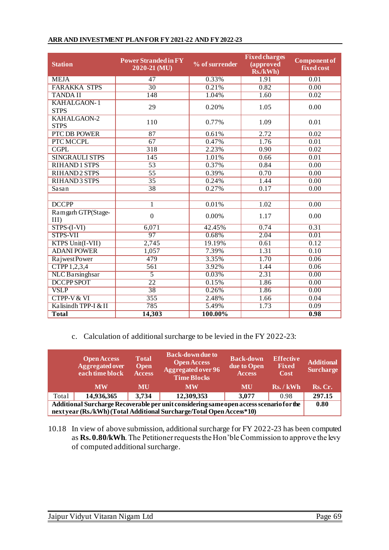| <b>Station</b>                    | <b>Power Stranded in FY</b><br>2020-21 (MU) | % of surrender | <b>Fixed charges</b><br>(approved<br>Rs./kWh) | <b>Component of</b><br>fixed cost |  |
|-----------------------------------|---------------------------------------------|----------------|-----------------------------------------------|-----------------------------------|--|
| <b>MEJA</b>                       | $\overline{47}$                             | 0.33%          | 1.91                                          | 0.01                              |  |
| <b>FARAKKA STPS</b>               | $\overline{30}$                             | 0.21%          | 0.82                                          | 0.00                              |  |
| <b>TANDAII</b>                    | 148                                         | 1.04%          | $\overline{1.60}$                             | 0.02                              |  |
| <b>KAHALGAON-1</b><br><b>STPS</b> | 29                                          | 0.20%          | 1.05                                          | 0.00                              |  |
| <b>KAHALGAON-2</b><br><b>STPS</b> | 110                                         | 0.77%          | 1.09                                          | 0.01                              |  |
| <b>PTC DB POWER</b>               | 87                                          | 0.61%          | 2.72                                          | 0.02                              |  |
| PTC MCCPL                         | 67                                          | 0.47%          | 1.76                                          | 0.01                              |  |
| <b>CGPL</b>                       | $\overline{318}$                            | 2.23%          | 0.90                                          | 0.02                              |  |
| <b>SINGRAULI STPS</b>             | 145                                         | 1.01%          | 0.66                                          | $\overline{0.01}$                 |  |
| RIHAND1 STPS                      | 53                                          | 0.37%          | 0.84                                          | 0.00                              |  |
| <b>RIHAND2 STPS</b>               | $\overline{55}$                             | 0.39%          | 0.70                                          | 0.00                              |  |
| <b>RIHAND3 STPS</b>               | $\overline{35}$                             | 0.24%          | 1.44                                          | 0.00                              |  |
| Sasan                             | $\overline{38}$                             | 0.27%          | 0.17                                          | 0.00                              |  |
|                                   |                                             |                |                                               |                                   |  |
| <b>DCCPP</b>                      | $\mathbf{1}$                                | 0.01%          | $\overline{1.02}$                             | 0.00                              |  |
| Ramgarh GTP(Stage-<br>$III$ )     | $\overline{0}$                              | 0.00%          | 1.17                                          | 0.00                              |  |
| $STPS-(I-VI)$                     | 6,071                                       | 42.45%         | 0.74                                          | 0.31                              |  |
| <b>STPS-VII</b>                   | 97                                          | 0.68%          | 2.04                                          | 0.01                              |  |
| KTPS Unit(I-VII)                  | 2,745                                       | 19.19%         | 0.61                                          | 0.12                              |  |
| <b>ADANI POWER</b>                | 1,057                                       | 7.39%          | 1.31                                          | 0.10                              |  |
| <b>RajwestPower</b>               | 479                                         | 3.35%          | 1.70                                          | 0.06                              |  |
| CTPP1,2,3,4                       | $\overline{561}$                            | 3.92%          | 1.44                                          | 0.06                              |  |
| <b>NLC</b> Barsinghsar            | $\overline{5}$                              | 0.03%          | $\overline{2.31}$                             | 0.00                              |  |
| <b>DCCPP SPOT</b>                 | $\overline{22}$                             | 0.15%          | 1.86                                          | 0.00                              |  |
| <b>VSLP</b>                       | 38                                          | 0.26%          | 1.86                                          | 0.00                              |  |
| <b>CTPP-V &amp; VI</b>            | 355                                         | 2.48%          | 1.66                                          | 0.04                              |  |
| Kalisindh TPP-I & II              | 785                                         | 5.49%          | 1.73                                          | 0.09                              |  |
| <b>Total</b>                      | 14,303                                      | 100.00%        |                                               | 0.98                              |  |

## **ARR AND INVESTMENT PLAN FOR FY 2021-22 AND FY 2022-23**

c. Calculation of additional surcharge to be levied in the FY 2022-23:

|                                                                                         | <b>Open Access</b><br><b>Aggregated over</b><br>each time block | <b>Total</b><br><b>Open</b><br><b>Access</b> | <b>Back-down due to</b><br><b>Open Access</b><br><b>Aggregated over 96</b><br><b>Time Blocks</b> | <b>Back-down</b><br>due to Open<br><b>Access</b> | <b>Effective</b><br><b>Fixed</b><br>Cost | <b>Additional</b><br><b>Surcharge</b> |
|-----------------------------------------------------------------------------------------|-----------------------------------------------------------------|----------------------------------------------|--------------------------------------------------------------------------------------------------|--------------------------------------------------|------------------------------------------|---------------------------------------|
|                                                                                         | <b>MW</b>                                                       | MU                                           | <b>MW</b>                                                                                        | MU                                               | Rs. / kWh                                | Rs. Cr.                               |
| Total                                                                                   | 14,936,365                                                      | 3,734                                        | 12,309,353                                                                                       | 3,077                                            | 0.98                                     | 297.15                                |
| Additional Surcharge Recoverable per unit considering same open access scenario for the |                                                                 |                                              |                                                                                                  |                                                  | 0.80                                     |                                       |
| next year (Rs./kWh) (Total Additional Surcharge/Total Open Access*10)                   |                                                                 |                                              |                                                                                                  |                                                  |                                          |                                       |

10.18 In view of above submission, additional surcharge for FY 2022-23 has been computed as **Rs. 0.80/kWh**. The Petitioner requests the Hon'ble Commission to approve the levy of computed additional surcharge.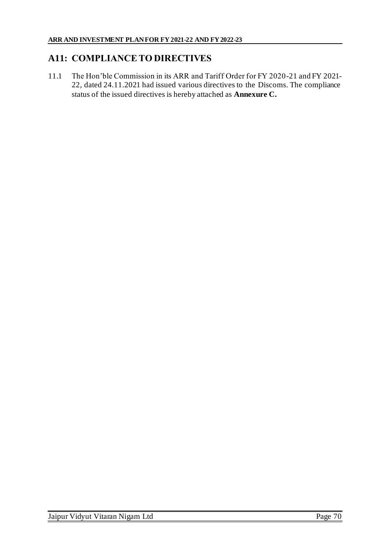## **A11: COMPLIANCE TO DIRECTIVES**

11.1 The Hon'ble Commission in its ARR and Tariff Order for FY 2020-21 and FY 2021- 22, dated 24.11.2021 had issued various directives to the Discoms. The compliance status of the issued directives is hereby attached as **Annexure C.**